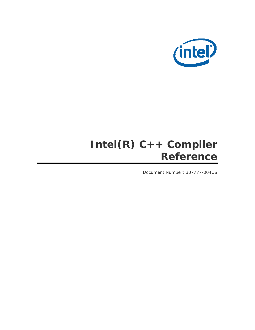

# **Intel(R) C++ Compiler Reference**

Document Number: 307777-004US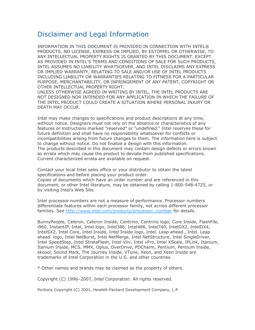## Disclaimer and Legal Information

INFORMATION IN THIS DOCUMENT IS PROVIDED IN CONNECTION WITH INTEL® PRODUCTS. NO LICENSE, EXPRESS OR IMPLIED, BY ESTOPPEL OR OTHERWISE, TO ANY INTELLECTUAL PROPERTY RIGHTS IS GRANTED BY THIS DOCUMENT. EXCEPT AS PROVIDED IN INTEL'S TERMS AND CONDITIONS OF SALE FOR SUCH PRODUCTS, INTEL ASSUMES NO LIABILITY WHATSOEVER, AND INTEL DISCLAIMS ANY EXPRESS OR IMPLIED WARRANTY, RELATING TO SALE AND/OR USE OF INTEL PRODUCTS INCLUDING LIABILITY OR WARRANTIES RELATING TO FITNESS FOR A PARTICULAR PURPOSE, MERCHANTABILITY, OR INFRINGEMENT OF ANY PATENT, COPYRIGHT OR OTHER INTELLECTUAL PROPERTY RIGHT.

UNLESS OTHERWISE AGREED IN WRITING BY INTEL, THE INTEL PRODUCTS ARE NOT DESIGNED NOR INTENDED FOR ANY APPLICATION IN WHICH THE FAILURE OF THE INTEL PRODUCT COULD CREATE A SITUATION WHERE PERSONAL INJURY OR DEATH MAY OCCUR.

Intel may make changes to specifications and product descriptions at any time, without notice. Designers must not rely on the absence or characteristics of any features or instructions marked "reserved" or "undefined." Intel reserves these for future definition and shall have no responsibility whatsoever for conflicts or incompatibilities arising from future changes to them. The information here is subject to change without notice. Do not finalize a design with this information. The products described in this document may contain design defects or errors known as errata which may cause the product to deviate from published specifications. Current characterized errata are available on request.

Contact your local Intel sales office or your distributor to obtain the latest specifications and before placing your product order. Copies of documents which have an order number and are referenced in this document, or other Intel literature, may be obtained by calling 1-800-548-4725, or by visiting [Intel's Web Site.](http://www.intel.com/)

Intel processor numbers are not a measure of performance. Processor numbers differentiate features within each processor family, not across different processor families. See [http://www.intel.com/products/processor\\_number](http://www.intel.com/products/processor_number) for details.

BunnyPeople, Celeron, Celeron Inside, Centrino, Centrino logo, Core Inside, FlashFile, i960, InstantIP, Intel, Intel logo, Intel386, Intel486, Intel740, IntelDX2, IntelDX4, IntelSX2, Intel Core, Intel Inside, Intel Inside logo, Intel. Leap ahead., Intel. Leap ahead. logo, Intel NetBurst, Intel NetMerge, Intel NetStructure, Intel SingleDriver, Intel SpeedStep, Intel StrataFlash, Intel Viiv, Intel vPro, Intel XScale, IPLink, Itanium, Itanium Inside, MCS, MMX, Oplus, OverDrive, PDCharm, Pentium, Pentium Inside, skoool, Sound Mark, The Journey Inside, VTune, Xeon, and Xeon Inside are trademarks of Intel Corporation in the U.S. and other countries.

\* Other names and brands may be claimed as the property of others.

Copyright (C) 1996–2007, Intel Corporation. All rights reserved.

Portions Copyright (C) 2001, Hewlett-Packard Development Company, L.P.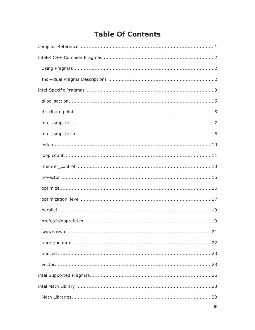## **Table Of Contents**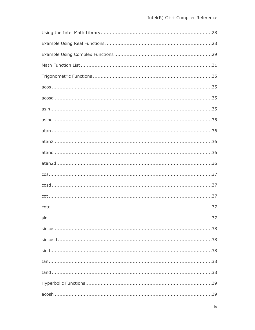| sincos d |
|----------|
|          |
|          |
|          |
|          |
|          |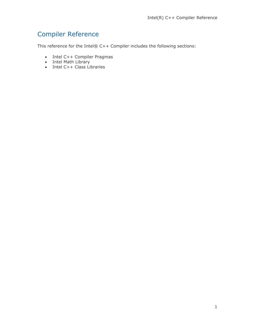## <span id="page-11-0"></span>Compiler Reference

This reference for the Intel® C++ Compiler includes the following sections:

- Intel C++ Compiler Pragmas
- Intel Math Library
- $\bullet$  Intel C++ Class Libraries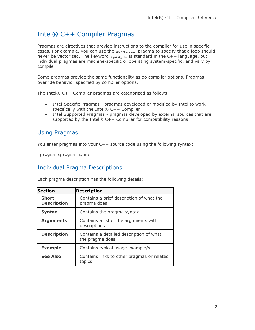## <span id="page-12-0"></span>Intel® C++ Compiler Pragmas

Pragmas are directives that provide instructions to the compiler for use in specific cases. For example, you can use the novector pragma to specify that a loop should never be vectorized. The keyword #pragma is standard in the C++ language, but individual pragmas are machine-specific or operating system-specific, and vary by compiler.

Some pragmas provide the same functionality as do compiler options. Pragmas override behavior specified by compiler options.

The Intel® C++ Compiler pragmas are categorized as follows:

- Intel-Specific Pragmas pragmas developed or modified by Intel to work specifically with the Intel® C++ Compiler
- Intel Supported Pragmas pragmas developed by external sources that are supported by the Intel® C++ Compiler for compatibility reasons

## Using Pragmas

You enter pragmas into your C++ source code using the following syntax:

#pragma <pragma name>

## Individual Pragma Descriptions

Each pragma description has the following details:

| <b>Section</b>                     | <b>Description</b>                                         |  |
|------------------------------------|------------------------------------------------------------|--|
| <b>Short</b><br><b>Description</b> | Contains a brief description of what the<br>pragma does    |  |
| <b>Syntax</b>                      | Contains the pragma syntax                                 |  |
| <b>Arguments</b>                   | Contains a list of the arguments with<br>descriptions      |  |
| <b>Description</b>                 | Contains a detailed description of what<br>the pragma does |  |
| <b>Example</b>                     | Contains typical usage example/s                           |  |
| <b>See Also</b>                    | Contains links to other pragmas or related<br>topics       |  |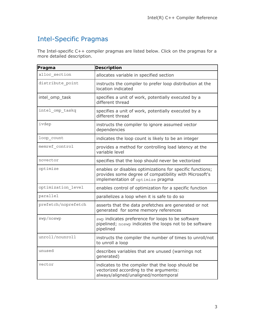## <span id="page-13-0"></span>Intel-Specific Pragmas

The Intel-specific C++ compiler pragmas are listed below. Click on the pragmas for a more detailed description.

| Pragma              | <b>Description</b>                                                                                                                                       |
|---------------------|----------------------------------------------------------------------------------------------------------------------------------------------------------|
| alloc section       | allocates variable in specified section                                                                                                                  |
| distribute point    | instructs the compiler to prefer loop distribution at the<br>location indicated                                                                          |
| intel_omp_task      | specifies a unit of work, potentially executed by a<br>different thread                                                                                  |
| intel_omp_taskq     | specifies a unit of work, potentially executed by a<br>different thread                                                                                  |
| ivdep               | instructs the compiler to ignore assumed vector<br>dependencies                                                                                          |
| loop count          | indicates the loop count is likely to be an integer                                                                                                      |
| memref control      | provides a method for controlling load latency at the<br>variable level                                                                                  |
| novector            | specifies that the loop should never be vectorized                                                                                                       |
| optimize            | enables or disables optimizations for specific functions;<br>provides some degree of compatibility with Microsoft's<br>implementation of optimize pragma |
| optimization level  | enables control of optimization for a specific function                                                                                                  |
| parallel            | parallelizes a loop when it is safe to do so                                                                                                             |
| prefetch/noprefetch | asserts that the data prefetches are generated or not<br>generated for some memory references                                                            |
| swp/noswp           | swp indicates preference for loops to be software<br>pipelined; noswp indicates the loops not to be software<br>pipelined                                |
| unroll/nounroll     | instructs the compiler the number of times to unroll/not<br>to unroll a loop                                                                             |
| unused              | describes variables that are unused (warnings not<br>qenerated)                                                                                          |
| vector              | indicates to the compiler that the loop should be<br>vectorized according to the arguments:<br>always/aligned/unaligned/nontemporal                      |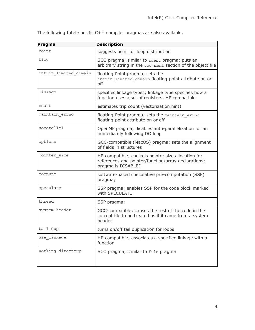| Pragma                | <b>Description</b>                                                                                                               |
|-----------------------|----------------------------------------------------------------------------------------------------------------------------------|
| point                 | suggests point for loop distribution                                                                                             |
| file                  | SCO pragma; similar to ident pragma; puts an<br>arbitrary string in the . comment section of the object file                     |
| intrin limited domain | floating-Point pragma; sets the<br>intrin limited domain floating-point attribute on or<br>off                                   |
| linkage               | specifies linkage types; linkage type specifies how a<br>function uses a set of registers; HP compatible                         |
| count                 | estimates trip count (vectorization hint)                                                                                        |
| maintain errno        | floating-Point pragma; sets the maintain errno<br>floating-point attribute on or off                                             |
| noparallel            | OpenMP pragma; disables auto-parallelization for an<br>immediately following DO loop                                             |
| options               | GCC-compatible (MacOS) pragma; sets the alignment<br>of fields in structures                                                     |
| pointer size          | HP-compatible; controls pointer size allocation for<br>references and pointer/function/array declarations;<br>pragma is DISABLED |
| compute               | software-based speculative pre-computation (SSP)<br>pragma;                                                                      |
| speculate             | SSP pragma; enables SSP for the code block marked<br>with SPECULATE                                                              |
| thread                | SSP pragma;                                                                                                                      |
| system header         | GCC-compatible; causes the rest of the code in the<br>current file to be treated as if it came from a system<br>header           |
| tail dup              | turns on/off tail duplication for loops                                                                                          |
| use linkage           | HP-compatible; associates a specified linkage with a<br>function                                                                 |
| working directory     | SCO pragma; similar to file pragma                                                                                               |

The following Intel-specific C++ compiler pragmas are also available.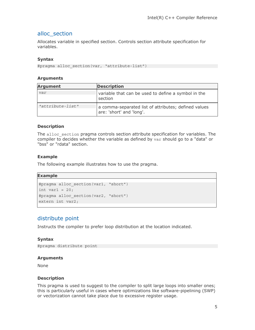## <span id="page-15-0"></span>alloc\_section

Allocates variable in specified section. Controls section attribute specification for variables.

#### **Syntax**

```
#pragma alloc_section(var, "attribute-list")
```
#### **Arguments**

| <b>Argument</b>  | <b>Description</b>                                                               |
|------------------|----------------------------------------------------------------------------------|
| var              | variable that can be used to define a symbol in the<br>section                   |
| "attribute-list" | a comma-separated list of attributes; defined values<br>are: 'short' and 'long'. |

#### **Description**

The alloc section pragma controls section attribute specification for variables. The compiler to decides whether the variable as defined by var should go to a "data" or "bss" or "rdata" section.

#### **Example**

The following example illustrates how to use the pragma.

#### **Example**

```
#pragma alloc section(var1, "short")
int var1 = 20;
#pragma alloc_section(var2, "short") 
extern int var2;
```
## distribute point

Instructs the compiler to prefer loop distribution at the location indicated.

#### **Syntax**

```
#pragma distribute point
```
#### **Arguments**

None

#### **Description**

This pragma is used to suggest to the compiler to split large loops into smaller ones; this is particularly useful in cases where optimizations like software-pipelining (SWP) or vectorization cannot take place due to excessive register usage.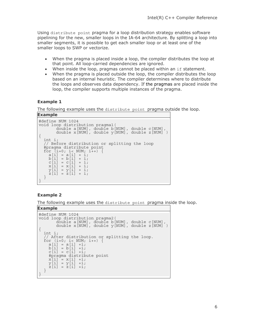Using distribute point pragma for a loop distribution strategy enables software pipelining for the new, smaller loops in the IA-64 architecture. By splitting a loop into smaller segments, it is possible to get each smaller loop or at least one of the smaller loops to SWP or vectorize.

- When the pragma is placed inside a loop, the compiler distributes the loop at that point. All loop-carried dependencies are ignored.
- When inside the loop, pragmas cannot be placed within an if statement.
- When the pragma is placed outside the loop, the compiler distributes the loop based on an internal heuristic. The compiler determines where to distribute the loops and observes data dependency. If the pragmas are placed inside the loop, the compiler supports multiple instances of the pragma.

#### **Example 1**

The following example uses the distribute point pragma outside the loop.

```
Example 
#define NUM 1024 
void loop_distribution_pragma1( 
 double a[NUM], double b[NUM], double c[NUM], 
double x[NUM], double y[NUM], double z[NUM])
{ 
   int i; 
   // Before distribution or splitting the loop 
   #pragma distribute point 
  for (i=0; i< NUM; i+i) {
    a[i] = a[i] + i;b[i] = b[i] + i;c[i] = c[i] + i;x[i] = x[i] + i;y[i] = y[i] + i;\bar{z}[\bar{i}] = \bar{z}[\bar{i}] + i; } 
}
```
#### **Example 2**

The following example uses the distribute point pragma inside the loop. **Example** 

```
#define NUM 1024 
void loop_distribution_pragma2( 
 double a[NUM], double b[NUM], double c[NUM], 
double x[NUM], double y[NUM], double z[NUM])
{ 
  int i; 
   // After distribution or splitting the loop. 
 for (i=0; i< NUM; i++)a[i] = a[i] + i;b[i] = b[i] + i;c[i] = c[i] + i; #pragma distribute point 
\bar{x}[i] = x[i] +i;
y[i] = y[i] + i;Z[i] = Z[i] + i;\qquad \qquad}
```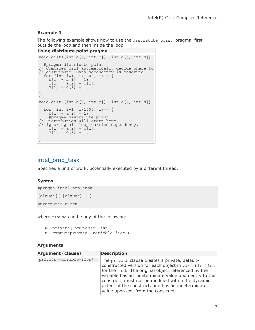#### <span id="page-17-0"></span>**Example 3**

The following example shows how to use the distribute point pragma, first outside the loop and then inside the loop.

```
Using distribute point pragma 
void dist1(int a[], int b[], int c[], int d[])
{ 
   #pragma distribute point 
// Compiler will automatically decide where to
1/ distribute. Data dependency is observed.
\int for (int i=1; i<1000; i++) \intb[i] = a[i] + 1;c[i] = a[i] + b[i];d[i] = c[i] + 1;\qquad \qquad} 
void dist2(int a[], int b[], int c[], int d[])
{ 
for (int i=1; i<1000; i++) {
b[i] = a[i] + 1; #pragma distribute point 
// Distribution will start here, 
// ignoring all loop-carried dependency. 
C[i] = a[i] + b[i];d[i] = c[i] + 1; } 
}
```
## intel\_omp\_task

Specifies a unit of work, potentially executed by a different thread.

#### **Syntax**

```
#pragma intel omp task 
[clause[[,]clause]...] 
structured-block
```
where clause can be any of the following:

- private( *variable-list* )
- captureprivate( *variable-list* )

#### **Arguments**

| <b>Argument (clause)</b> | <b>Description</b>                                                                                                                                                                                                                                                                                                                                                       |
|--------------------------|--------------------------------------------------------------------------------------------------------------------------------------------------------------------------------------------------------------------------------------------------------------------------------------------------------------------------------------------------------------------------|
| private (variable-list)  | The private clause creates a private, default-<br>constructed version for each object in variable-list<br>for the task. The original object referenced by the<br>variable has an indeterminate value upon entry to the<br>construct, must not be modified within the dynamic<br>extent of the construct, and has an indeterminate<br>value upon exit from the construct. |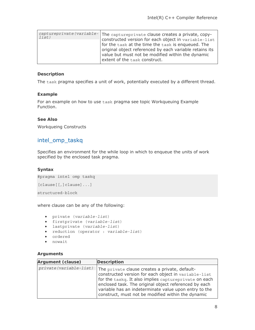<span id="page-18-0"></span>

| $_{list}$ | captureprivate (variable- The captureprivate clause creates a private, copy-<br>constructed version for each object in variable-list<br>for the task at the time the task is enqueued. The<br>original object referenced by each variable retains its<br>value but must not be modified within the dynamic |
|-----------|------------------------------------------------------------------------------------------------------------------------------------------------------------------------------------------------------------------------------------------------------------------------------------------------------------|
|           | extent of the task construct.                                                                                                                                                                                                                                                                              |

#### **Description**

The task pragma specifies a unit of work, potentially executed by a different thread.

#### **Example**

For an example on how to use task pragma see topic Workqueuing Example Function.

#### **See Also**

Workqueing Constructs

## intel omp taskq

Specifies an environment for the while loop in which to enqueue the units of work specified by the enclosed task pragma.

#### **Syntax**

```
#pragma intel omp taskq 
[clause[[,]clause]...]
structured-block
```
where clause can be any of the following:

- private (*variable-list*)
- firstprivate (*variable-list*)
- lastprivate (*variable-list*)
- reduction (operator : *variable-list*)
- ordered
- nowait

#### **Arguments**

| <b>Argument (clause)</b> | <b>Description</b>                                                                                                                                                                                                                                                                                                                      |
|--------------------------|-----------------------------------------------------------------------------------------------------------------------------------------------------------------------------------------------------------------------------------------------------------------------------------------------------------------------------------------|
| private (variable-list)  | The private clause creates a private, default-<br>constructed version for each object in variable-list<br>for the taskq. It also implies captureprivate on each<br>enclosed task. The original object referenced by each<br>variable has an indeterminate value upon entry to the<br>construct, must not be modified within the dynamic |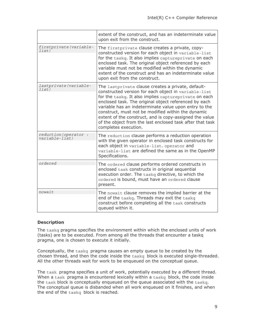|                                         | extent of the construct, and has an indeterminate value<br>upon exit from the construct.                                                                                                                                                                                                                                                                                                                                                                                                    |
|-----------------------------------------|---------------------------------------------------------------------------------------------------------------------------------------------------------------------------------------------------------------------------------------------------------------------------------------------------------------------------------------------------------------------------------------------------------------------------------------------------------------------------------------------|
| firstprivate (variable-<br>list)        | The firstprivate clause creates a private, copy-<br>constructed version for each object in variable-list<br>for the taskq. It also implies captureprivate on each<br>enclosed task. The original object referenced by each<br>variable must not be modified within the dynamic<br>extent of the construct and has an indeterminate value<br>upon exit from the construct.                                                                                                                   |
| lastprivate (variable-<br>list)         | The lastprivate clause creates a private, default-<br>constructed version for each object in variable-list<br>for the taskq. It also implies captureprivate on each<br>enclosed task. The original object referenced by each<br>variable has an indeterminate value upon entry to the<br>construct, must not be modified within the dynamic<br>extent of the construct, and is copy-assigned the value<br>of the object from the last enclosed task after that task<br>completes execution. |
| reduction (operator :<br>variable-list) | The reduction clause performs a reduction operation<br>with the given operator in enclosed task constructs for<br>each object in variable-list. operator and<br>variable-list are defined the same as in the OpenMP<br>Specifications.                                                                                                                                                                                                                                                      |
| ordered                                 | The ordered clause performs ordered constructs in<br>enclosed task constructs in original sequential<br>execution order. The taskq directive, to which the<br>ordered is bound, must have an ordered clause<br>present.                                                                                                                                                                                                                                                                     |
| nowait                                  | The nowait clause removes the implied barrier at the<br>end of the taskq. Threads may exit the taskq<br>construct before completing all the task constructs<br>queued within it.                                                                                                                                                                                                                                                                                                            |

#### **Description**

The taskq pragma specifies the environment within which the enclosed units of work (tasks) are to be executed. From among all the threads that encounter a taskq pragma, one is chosen to execute it initially.

Conceptually, the taskq pragma causes an empty queue to be created by the chosen thread, and then the code inside the taskq block is executed single-threaded. All the other threads wait for work to be enqueued on the conceptual queue.

The task pragma specifies a unit of work, potentially executed by a different thread. When a task pragma is encountered lexically within a taskq block, the code inside the task block is conceptually enqueued on the queue associated with the taskq. The conceptual queue is disbanded when all work enqueued on it finishes, and when the end of the taskq block is reached.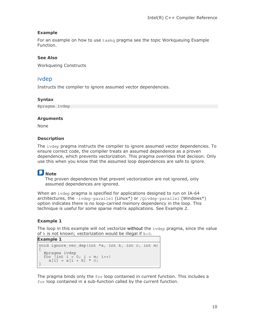#### <span id="page-20-0"></span>**Example**

For an example on how to use taskq pragma see the topic Workqueuing Example Function.

#### **See Also**

Workqueing Constructs

### ivdep

Instructs the compiler to ignore assumed vector dependencies.

#### **Syntax**

#pragma ivdep

#### **Arguments**

None

#### **Description**

The ivdep pragma instructs the compiler to ignore assumed vector dependencies. To ensure correct code, the compiler treats an assumed dependence as a proven dependence, which prevents vectorization. This pragma overrides that decision. Only use this when you know that the assumed loop dependences are safe to ignore.

## **Note**

The proven dependences that prevent vectorization are not ignored, only assumed dependences are ignored.

When an ivdep pragma is specified for applications designed to run on IA-64 architectures, the -ivdep-parallel (Linux\*) or /Qivdep-parallel (Windows\*) option indicates there is no loop-carried memory dependency in the loop. This technique is useful for some sparse matrix applications. See Example 2.

#### **Example 1**

The loop in this example will not vectorize without the  $i$ <sub>vdep</sub> pragma, since the value of  $k$  is not known; vectorization would be illegal if  $k < 0$ .

**Example 1** 

```
void ignore vec dep(int *a, int k, int c, int m)
{ 
  #pragma ivdep 
for (int i = 0; i < m; i++)a[i] = a[i + k] * c;}
```
The pragma binds only the  $for$  loop contained in current function. This includes a for loop contained in a sub-function called by the current function.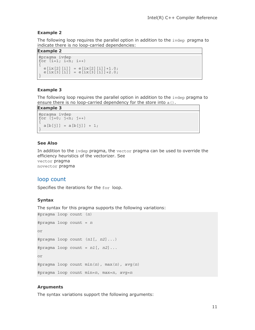#### <span id="page-21-0"></span>**Example 2**

The following loop requires the parallel option in addition to the ivdep pragma to indicate there is no loop-carried dependencies:

#### **Example 2**

```
#pragma ivdep 
for (i=1; i<n; i++){ 
e[ix[2][i]] = e[ix[2][i]]+1.0;e[ix[3][i]] = e[ix[3][i]] + 2.0;}
```
#### **Example 3**

The following loop requires the parallel option in addition to the ivdep pragma to ensure there is no loop-carried dependency for the store into  $a()$ .

```
Example 3
```

```
#pragma ivdep 
for (j=0; j< n; j++){ 
 a[b[j]] = a[b[j]] + 1;}
```
#### **See Also**

In addition to the ivdep pragma, the vector pragma can be used to override the efficiency heuristics of the vectorizer. See vector pragma

novector pragma

### loop count

Specifies the iterations for the for loop.

#### **Syntax**

The syntax for this pragma supports the following variations:

```
#pragma loop count (n) 
#pragma loop count = n
or 
#pragma loop count (n1[, n2]...) 
#pragma loop count = n1[, n2]... 
or 
#pragma loop count min(n), max(n), avg(n) 
#pragma loop count min=n, max=n, avg=n
```
#### **Arguments**

The syntax variations support the following arguments: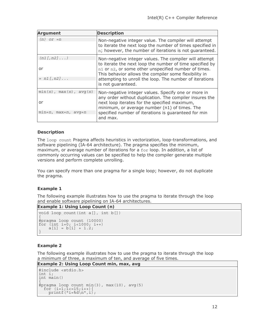| <b>Argument</b>                                                     | <b>Description</b>                                                                                                                                                                                                                                                                                                   |
|---------------------------------------------------------------------|----------------------------------------------------------------------------------------------------------------------------------------------------------------------------------------------------------------------------------------------------------------------------------------------------------------------|
| $(n)$ or $=n$                                                       | Non-negative integer value. The compiler will attempt<br>to iterate the next loop the number of times specified in<br>n; however, the number of iterations is not quaranteed.                                                                                                                                        |
| $(n1[, n2], \ldots)$<br>or<br>$= n1[, n2].$                         | Non-negative integer values. The compiler will attempt<br>to iterate the next loop the number of time specified by<br>n1 or n2, or some other unspecified number of times.<br>This behavior allows the compiler some flexibility in<br>attempting to unroll the loop. The number of iterations<br>is not quaranteed. |
| $min(n)$ , $max(n)$ , $avg(n)$<br>or<br>$min=n$ , $max=n$ , $avg=n$ | Non-negative integer values. Specify one or more in<br>any order without duplication. The compiler insures the<br>next loop iterates for the specified maximum,<br>minimum, or average number (n1) of times. The<br>specified number of iterations is quaranteed for min<br>and max.                                 |

#### **Description**

The loop count Pragma affects heuristics in vectorization, loop-transformations, and software pipelining (IA-64 architecture). The pragma specifies the minimum, maximum, or average number of iterations for a for loop. In addition, a list of commonly occurring values can be specified to help the compiler generate multiple versions and perform complete unrolling.

You can specify more than one pragma for a single loop; however, do not duplicate the pragma.

#### **Example 1**

The following example illustrates how to use the pragma to iterate through the loop and enable software pipelining on IA-64 architectures.

#### **Example 1: Using Loop Count (n)**

```
void loop_count(int a[], int b[]) 
{ 
#pragma loop count (10000) 
for (int i=0; i<1000; i++) 
a[i] = b[i] + 1.2;}
```
#### **Example 2**

The following example illustrates how to use the pragma to iterate through the loop a minimum of three, a maximum of ten, and average of five times.

```
Example 2: Using Loop Count min, max, avg
```

```
#include <stdio.h> 
int i; 
int main() 
{ 
#pragma loop count min(3), max(10), avg(5) 
for (i=1;\overline{i}<=15;i++) {
 printf("i=%d\n",i);
```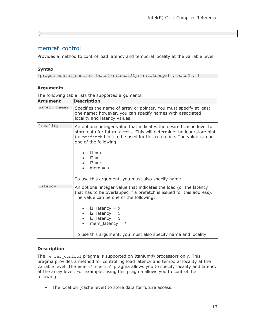<span id="page-23-0"></span>}

## memref\_control

Provides a method to control load latency and temporal locality at the variable level.

#### **Syntax**

#pragma memref\_control [*name1*[:<*locality*>[:<*latency*>]],[*name2*...]

#### **Arguments**

The following table lists the supported arguments.

| <b>Argument</b> | <b>Description</b>                                                                                                                                                                                                                                                                                  |
|-----------------|-----------------------------------------------------------------------------------------------------------------------------------------------------------------------------------------------------------------------------------------------------------------------------------------------------|
| name1, name2    | Specifies the name of array or pointer. You must specify at least<br>one name; however, you can specify names with associated<br>locality and latency values.                                                                                                                                       |
| locality        | An optional integer value that indicates the desired cache level to<br>store data for future access. This will determine the load/store hint<br>(or prefetch hint) to be used for this reference. The value can be<br>one of the following:<br>• $11 = 0$<br>• $ 2 = 1$<br>• $ 3 = 2$<br>$m$ em = 3 |
|                 | To use this argument, you must also specify name.                                                                                                                                                                                                                                                   |
| latency         | An optional integer value that indicates the load (or the latency<br>that has to be overlapped if a prefetch is issued for this address).<br>The value can be one of the following:<br>$\bullet$ 11_latency = 0<br>• $12$ latency = 1<br>• $13$ latency = 2<br>$mem$ _latency = 3                   |
|                 | To use this argument, you must also specify name and locality.                                                                                                                                                                                                                                      |

#### **Description**

The memref control pragma is supported on Itanium® processors only. This pragma provides a method for controlling load latency and temporal locality at the variable level. The memref control pragma allows you to specify locality and latency at the array level. For example, using this pragma allows you to control the following:

• The location (cache level) to store data for future access.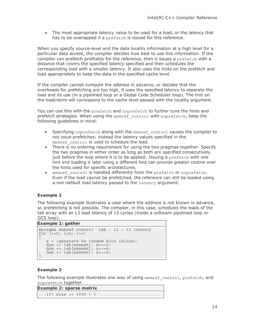• The most appropriate latency value to be used for a load, or the latency that has to be overlapped if a prefetch is issued for this reference.

When you specify source-level and the data locality information at a high level for a particular data access, the compiler decides how best to use this information. If the compiler can prefetch profitably for the reference, then it issues a prefetch with a distance that covers the specified latency specified and then schedules the corresponding load with a smaller latency. It also uses the hints on the prefetch and load appropriately to keep the data in the specified cache level.

If the compiler cannot compute the address in advance, or decides that the overheads for prefetching are too high, it uses the specified latency to separate the load and its use (in a pipelined loop or a Global Code Scheduler loop). The hint on the load/store will correspond to the cache level passed with the locality argument.

You can use this with the prefetch and noprefetch to further tune the hints and prefetch strategies. When using the memref\_control with noprefetch, keep the following guidelines in mind:

- Specifying noprefetch along with the memref control causes the compiler to not issue prefetches; instead the latency values specified in the memref control is used to schedule the load.
- There is no ordering requirement for using the two pragmas together. Specify the two pragmas in either order as long as both are specified consecutively just before the loop where it is to be applied. Issuing a prefetch with one hint and loading it later using a different hint can provide greater control over the hints used for specific architectures.
- memref control is handled differently from the prefetch or noprefetch. Even if the load cannot be prefetched, the reference can still be loaded using a non-default load latency passed to the latency argument.

#### **Example 1**

The following example illustrates a case where the address is not known in advance, so prefetching is not possible. The compiler, in this case, schedules the loads of the tab array with an L3 load latency of 15 cycles (inside a software pipelined loop or GCS loop).

```
Example 1: gather
```

```
#pragma memref_control tab : l2 : l3_latency 
for (i=0; i<n; i++){ 
  x = <qenerate 64 random bits inline>;
  dum += tab [x&mask]; x>>=6;
dum += tab[x&mask]; x>>=6;
dum += tab [x\&max]; x>>=6;
}
```
#### **Example 2**

The following example illustrates one way of using memref control, prefetch, and noprefetch together.

| Example 2: sparse matrix |  |
|--------------------------|--|
| if $(size = 1000)$       |  |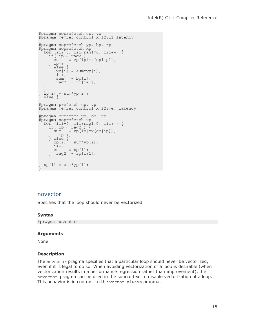```
#pragma noprefetch cp, vp 
#pragma memref_control x:l2:l3_latency 
#pragma noprefetch yp, bp, rp 
#pragma noprefetch xp 
  for (iii=0; iiicrag1m0; iii++) {
    if( ip < rag2 )
      sum = vp[ip]*x[cp[ip]];\begin{cases} ip++;\\ else \end{cases} } else { 
\exp[i] = \text{sum*yp}[i];i++;sum = bp[i];rag2 = rp[i+1];
\left\{\begin{array}{c}1\\1\end{array}\right\} } 
  xp[i] = sum * yp[i];} else { 
#pragma prefetch cp, vp 
#pragma memref_control x:12:mem_latency
#pragma prefetch yp, bp, rp 
#pragma noprefetch xp 
for (iii=0; iii<rag1m0; iii++) {
if( ip < rag2 ) \{sum = vp[ip]*x[cp[ip]];ip++; } else { 
xp[i] = sum * yp[i];i++;<br>sum
             = bp[i];
        rag2 = rp[i+1];
\left\{\begin{array}{c}1\\1\end{array}\right\} } 
  xp[i] = sum * yp[i];}
```
### novector

Specifies that the loop should never be vectorized.

#### **Syntax**

#pragma novector

#### **Arguments**

None

#### **Description**

The novector pragma specifies that a particular loop should never be vectorized, even if it is legal to do so. When avoiding vectorization of a loop is desirable (when vectorization results in a performance regression rather than improvement), the novector pragma can be used in the source text to disable vectorization of a loop. This behavior is in contrast to the vector always pragma.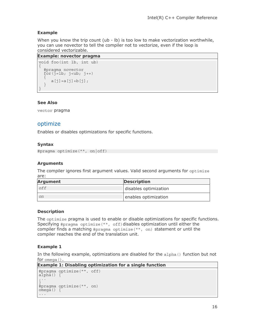#### <span id="page-26-0"></span>**Example**

When you know the trip count (ub - lb) is too low to make vectorization worthwhile, you can use novector to tell the compiler not to vectorize, even if the loop is considered vectorizable.

#### **Example: novector pragma**

```
void foo(int lb, int ub) 
{ 
  #pragma novector 
 for(j=1b; j< u, j++)\{a[j]=a[j]+b[j]; } 
}
```
#### **See Also**

vector pragma

### optimize

Enables or disables optimizations for specific functions.

#### **Syntax**

#pragma optimize("", on|off)

#### **Arguments**

The compiler ignores first argument values. Valid second arguments for optimize are:

| Argument | <b>Description</b>    |
|----------|-----------------------|
| off      | disables optimization |
| on       | enables optimization  |

#### **Description**

The optimize pragma is used to enable or disable optimizations for specific functions. Specifying #pragma optimize("", off)disables optimization until either the compiler finds a matching #pragma optimize("", on) statement or until the compiler reaches the end of the translation unit.

#### **Example 1**

In the following example, optimizations are disabled for the alpha() function but not for omega().

```
Example 1: Disabling optimization for a single function
```

```
#pragma optimize("", off) 
alpha() { 
... 
} 
#pragma optimize("", on) 
omega()...
```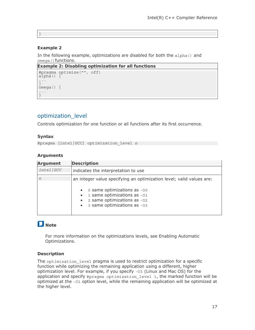<span id="page-27-0"></span>}

#### **Example 2**

In the following example, optimizations are disabled for both the alpha() and omega() functions.

```
Example 2: Disabling optimization for all functions 
#pragma optimize("", off) 
alpha() {
 ... 
} 
omega() { 
 ... 
}
```
## optimization\_level

Controls optimization for one function or all functions after its first occurrence.

#### **Syntax**

#pragma [intel|GCC] optimization\_level *n*

#### **Arguments**

| <b>Argument</b> | <b>Description</b>                                                                                                                                                                               |
|-----------------|--------------------------------------------------------------------------------------------------------------------------------------------------------------------------------------------------|
| intel GCC       | indicates the interpretation to use                                                                                                                                                              |
| n               | an integer value specifying an optimization level; valid values are:<br>0 same optimizations as -00<br>1 same optimizations as -01<br>2 same optimizations as -02<br>3 same optimizations as -03 |

## $\blacksquare$  Note

For more information on the optimizations levels, see Enabling Automatic Optimizations.

#### **Description**

The optimization level pragma is used to restrict optimization for a specific function while optimizing the remaining application using a different, higher optimization level. For example, if you specify -O3 (Linux and Mac OS) for the application and specify #pragma optimization level 1, the marked function will be optimized at the -O1 option level, while the remaining application will be optimized at the higher level.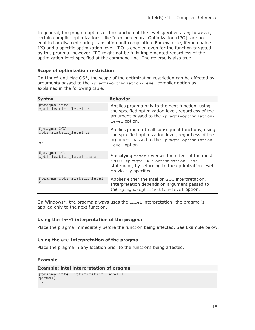In general, the pragma optimizes the function at the level specified as *n*; however, certain compiler optimizations, like Inter-procedural Optimization (IPO), are not enabled or disabled during translation unit compilation. For example, if you enable IPO and a specific optimization level, IPO is enabled even for the function targeted by this pragma; however, IPO might not be fully implemented regardless of the optimization level specified at the command line. The reverse is also true.

#### **Scope of optimization restriction**

On Linux\* and Mac OS\*, the scope of the optimization restriction can be affected by arguments passed to the -pragma-optimization-level compiler option as explained in the following table.

| <b>Syntax</b>                             | <b>Behavior</b>                                                                                                                                                           |
|-------------------------------------------|---------------------------------------------------------------------------------------------------------------------------------------------------------------------------|
| #pragma intel<br>optimization level n     | Applies pragma only to the next function, using<br>the specified optimization level, regardless of the<br>argument passed to the -pragma-optimization-<br>level option.   |
| #praqma GCC<br>optimization level n<br>or | Applies pragma to all subsequent functions, using<br>the specified optimization level, regardless of the<br>argument passed to the -pragma-optimization-<br>level option. |
| #praqma GCC<br>optimization level reset   | Specifying reset reverses the effect of the most<br>recent #pragma GCC optimization level<br>statement, by returning to the optimization level<br>previously specified.   |
| #pragma optimization level<br>$\eta$      | Applies either the intel or GCC interpretation.<br>Interpretation depends on argument passed to<br>the -pragma-optimization-level option.                                 |

On Windows\*, the pragma always uses the intel interpretation; the pragma is applied only to the next function.

#### **Using the intel interpretation of the pragma**

Place the pragma immediately before the function being affected. See Example below.

#### **Using the GCC interpretation of the pragma**

Place the pragma in any location prior to the functions being affected.

#### **Example**

| Example: intel interpretation of pragma                               |  |
|-----------------------------------------------------------------------|--|
| #pragma intel optimization level 1<br>qamma()<br>$\ddot{\phantom{a}}$ |  |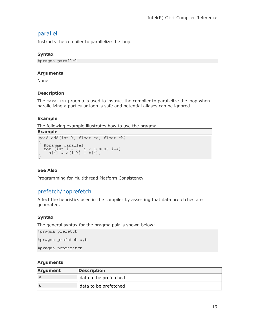### <span id="page-29-0"></span>parallel

Instructs the compiler to parallelize the loop.

#### **Syntax**

#pragma parallel

#### **Arguments**

None

#### **Description**

The parallel pragma is used to instruct the compiler to parallelize the loop when parallelizing a particular loop is safe and potential aliases can be ignored.

#### **Example**

The following example illustrates how to use the pragma...

```
Example
```

```
void add(int k, float *a, float *b) 
{ 
 #pragma parallel 
for (int i = 0; i < 10000; i++)a[i] = a[i+k] + b[i];}
```
#### **See Also**

Programming for Multithread Platform Consistency

## prefetch/noprefetch

Affect the heuristics used in the compiler by asserting that data prefetches are generated.

#### **Syntax**

The general syntax for the pragma pair is shown below:

#pragma prefetch

```
#pragma prefetch a,b
```
#pragma noprefetch

#### **Arguments**

| Argument | <b>Description</b>    |
|----------|-----------------------|
| а        | data to be prefetched |
|          | data to be prefetched |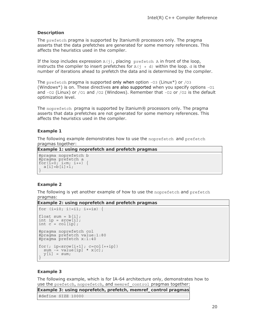#### **Description**

The prefetch pragma is supported by Itanium® processors only. The pragma asserts that the data prefetches are generated for some memory references. This affects the heuristics used in the compiler.

If the loop includes expression  $A(j)$ , placing prefetch A in front of the loop, instructs the compiler to insert prefetches for  $A(j + d)$  within the loop. d is the number of iterations ahead to prefetch the data and is determined by the compiler.

The prefetch pragma is supported only when option  $-03$  (Linux\*) or  $/03$ (Windows\*) is on. These directives are also supported when you specify options -01 and  $-02$  (Linux) or /01 and /02 (Windows). Remember that  $-02$  or /02 is the default optimization level.

The noprefetch pragma is supported by Itanium® processors only. The pragma asserts that data prefetches are not generated for some memory references. This affects the heuristics used in the compiler.

#### **Example 1**

The following example demonstrates how to use the noprefetch and prefetch pragmas together:

#### **Example 1: using noprefetch and prefetch pragmas**

```
#pragma noprefetch b 
#pragma prefetch a 
for(\vec{i} = 0; \vec{i} < m; \vec{i} + \vec{j}) {
a[i]=b[i]+1;}
```
#### **Example 2**

The following is yet another example of how to use the noprefetch and prefetch pragmas:

```
Example 2: using noprefetch and prefetch pragmas
```

```
for (i=i0; i!=i1; i+=is) {
float sum = b[i];
int ip = srow[i];
int c = col[ip];#pragma noprefetch col 
#pragma prefetch value:1:80 
#pragma prefetch x:1:40
for(; ip<srow[i+1]; c=col[++ip]) 
sum -\frac{1}{2} value [ip] * x [c];
 y[i] = sum;}
```
#### **Example 3**

The following example, which is for IA-64 architecture only, demonstrates how to use the prefetch, noprefetch, and memref control pragmas together:

**Example 3: using noprefetch, prefetch, memref\_control pragmas**

#define SIZE 10000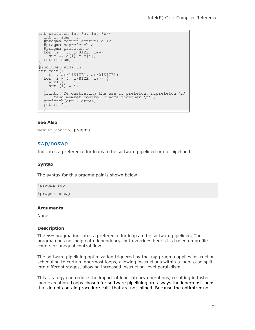```
int prefetch(int *a, int *b){ 
  int i, sum = 0;
  #pragma memref control a:12
   #pragma noprefetch a 
   #pragma prefetch b 
for (i = 0; i < SIZE; i++)sum_{+} = a[i] * b[i]; return sum; 
} 
#include <stdio.h> 
int main(){ 
 int i, arr1[SIZE], arr2[SIZE]; 
for (i = 0; i < SIZE; i++) {
    arr1[i] = i;arr2[i] = i; } 
 printf("Demonstrating the use of prefetch, noprefetch,\n" 
      "and memref control pragma together.\langle n" \rangle;
   prefetch(arr1, arr2); 
  return 0; 
  }
```
#### **See Also**

memref control pragma

#### swp/noswp

Indicates a preference for loops to be software pipelined or not pipelined.

#### **Syntax**

The syntax for this pragma pair is shown below:

#pragma swp

#pragma noswp

#### **Arguments**

None

#### **Description**

The swp pragma indicates a preference for loops to be software pipelined. The pragma does not help data dependency, but overrides heuristics based on profile counts or unequal control flow.

The software pipelining optimization triggered by the swp pragma applies instruction scheduling to certain innermost loops, allowing instructions within a loop to be split into different stages, allowing increased instruction-level parallelism.

This strategy can reduce the impact of long-latency operations, resulting in faster loop execution. Loops chosen for software pipelining are always the innermost loops that do not contain procedure calls that are not inlined. Because the optimizer no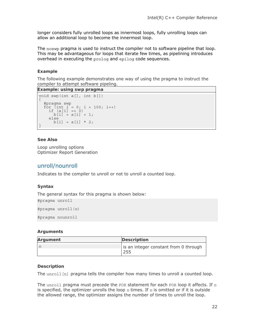<span id="page-32-0"></span>longer considers fully unrolled loops as innermost loops, fully unrolling loops can allow an additional loop to become the innermost loop.

The noswp pragma is used to instruct the compiler not to software pipeline that loop. This may be advantageous for loops that iterate few times, as pipelining introduces overhead in executing the prolog and epilog code sequences.

#### **Example**

The following example demonstrates one way of using the pragma to instruct the compiler to attempt software pipeling.

**Example: using swp pragma** 

```
void swp(int a[], int b[]) 
{ 
  #pragma swp 
for (int i = 0; i < 100; i++)if (a[i] == 0)b[i] = a[i] + 1; else 
     b[i] = a[i] * 2;}
```
#### **See Also**

Loop unrolling options Optimizer Report Generation

### unroll/nounroll

Indicates to the compiler to unroll or not to unroll a counted loop.

#### **Syntax**

The general syntax for this pragma is shown below:

#pragma unroll

#pragma unroll(*n*)

#pragma nounroll

#### **Arguments**

| Argument | <b>Description</b>                           |
|----------|----------------------------------------------|
|          | is an integer constant from 0 through<br>255 |

#### **Description**

The  $unroll[n]$  pragma tells the compiler how many times to unroll a counted loop.

The unroll pragma must precede the FOR statement for each FOR loop it affects. If *n* is specified, the optimizer unrolls the loop *n* times. If *n* is omitted or if it is outside the allowed range, the optimizer assigns the number of times to unroll the loop.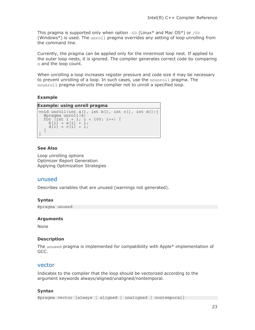<span id="page-33-0"></span>This pragma is supported only when option  $-03$  (Linux\* and Mac OS\*) or  $/03$ (Windows\*) is used. The unroll pragma overrides any setting of loop unrolling from the command line.

Currently, the pragma can be applied only for the innermost loop nest. If applied to the outer loop nests, it is ignored. The compiler generates correct code by comparing *n* and the loop count.

When unrolling a loop increases register pressure and code size it may be necessary to prevent unrolling of a loop. In such cases, use the nounroll pragma. The nounroll pragma instructs the compiler not to unroll a specified loop.

#### **Example**

```
Example: using unroll pragma 
void unroll(int a[], int b[], int c[], int d[]) {
   #pragma unroll(4) 
for (int i = 1; i < 100; i++) {
b[i] = a[i] + 1;d[i] = c[i] + 1; } 
}
```
#### **See Also**

Loop unrolling options Optimizer Report Generation Applying Optimization Strategies

#### unused

Describes variables that are unused (warnings not generated).

#### **Syntax**

#pragma unused

#### **Arguments**

None

#### **Description**

The unused pragma is implemented for compatibility with Apple\* implementation of GCC.

#### vector

Indicates to the compiler that the loop should be vectorized according to the argument keywords always/aligned/unaligned/nontemporal.

#### **Syntax**

```
#pragma vector {always | aligned | unaligned | nontemporal}
```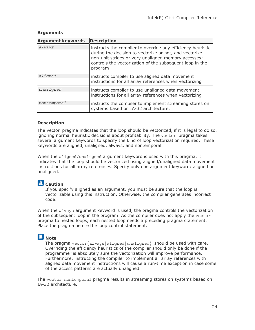#### **Arguments**

| <b>Argument keywords</b> | <b>Description</b>                                                                                                                                                                                                                                  |  |
|--------------------------|-----------------------------------------------------------------------------------------------------------------------------------------------------------------------------------------------------------------------------------------------------|--|
| always                   | instructs the compiler to override any efficiency heuristic<br>during the decision to vectorize or not, and vectorize<br>non-unit strides or very unaligned memory accesses;<br>controls the vectorization of the subsequent loop in the<br>program |  |
| aligned                  | instructs compiler to use aligned data movement<br>instructions for all array references when vectorizing                                                                                                                                           |  |
| unaligned                | instructs compiler to use unaligned data movement<br>instructions for all array references when vectorizing                                                                                                                                         |  |
| nontemporal              | instructs the compiler to implement streaming stores on<br>systems based on IA-32 architecture.                                                                                                                                                     |  |

#### **Description**

The vector pragma indicates that the loop should be vectorized, if it is legal to do so, ignoring normal heuristic decisions about profitability. The vector pragma takes several argument keywords to specify the kind of loop vectorization required. These keywords are aligned, unaligned, always, and nontemporal.

When the aligned/unaligned argument keyword is used with this pragma, it indicates that the loop should be vectorized using aligned/unaligned data movement instructions for all array references. Specify only one argument keyword: aligned or unaligned.

## **A** Caution

If you specify aligned as an argument, you must be sure that the loop is vectorizable using this instruction. Otherwise, the compiler generates incorrect code.

When the always argument keyword is used, the pragma controls the vectorization of the subsequent loop in the program. As the compiler does not apply the vector pragma to nested loops, each nested loop needs a preceding pragma statement. Place the pragma before the loop control statement.

## **Note**

The pragma  $vector{\{always\}}$  aligned unaligned should be used with care. Overriding the efficiency heuristics of the compiler should only be done if the programmer is absolutely sure the vectorization will improve performance. Furthermore, instructing the compiler to implement all array references with aligned data movement instructions will cause a run-time exception in case some of the access patterns are actually unaligned.

The vector nontemporal pragma results in streaming stores on systems based on IA-32 architecture.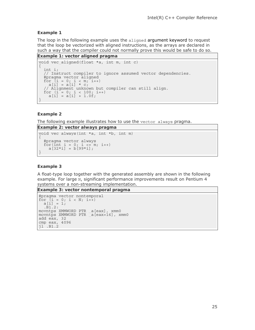#### **Example 1**

The loop in the following example uses the aligned argument keyword to request that the loop be vectorized with aligned instructions, as the arrays are declared in such a way that the compiler could not normally prove this would be safe to do so.

#### **Example 1: vector aligned pragma**

```
void vec_aligned(float *a, int m, int c) 
{ 
  int i; 
   // Instruct compiler to ignore assumed vector dependencies. 
  #pragma vector aligned 
for (i = 0; i < m; i++)a[i] = a[i] * c; // Alignment unknown but compiler can still align. 
for (i = 0; i < 100; i++)a[i] = a[i] + 1.0f;}
```
#### **Example 2**

The following example illustrates how to use the vector always pragma.

**Example 2: vector always pragma** 

```
void vec always(int *a, int *b, int m)
{ 
 #pragma vector always 
for(int i = 0; i \le m; i++)a[32*1] = b[99*1];}
```
#### **Example 3**

A float-type loop together with the generated assembly are shown in the following example. For large N, significant performance improvements result on Pentium 4 systems over a non-streaming implementation.

**Example 3: vector nontemporal pragma** 

```
#pragma vector nontemporal 
for (i = 0; i < N; i++)a[i] = 1; .B1.2: 
movntps XMMWORD PTR a[eax], xmm0
movntps XMMWORD PTR a[eax+16], xmm0
add eax, 32 
cmp eax, 4096 
jl .B1.2
```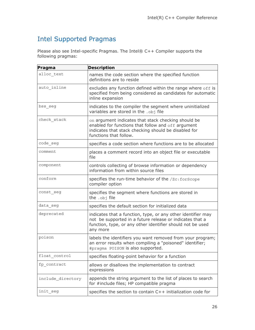# Intel Supported Pragmas

Please also see Intel-specific Pragmas. The Intel® C++ Compiler supports the following pragmas:

| Pragma            | <b>Description</b>                                                                                                                                                                                 |  |
|-------------------|----------------------------------------------------------------------------------------------------------------------------------------------------------------------------------------------------|--|
| alloc text        | names the code section where the specified function<br>definitions are to reside                                                                                                                   |  |
| auto inline       | excludes any function defined within the range where off is<br>specified from being considered as candidates for automatic<br>inline expansion                                                     |  |
| bss seg           | indicates to the compiler the segment where uninitialized<br>variables are stored in the .obj file                                                                                                 |  |
| check stack       | on argument indicates that stack checking should be<br>enabled for functions that follow and off argument<br>indicates that stack checking should be disabled for<br>functions that follow.        |  |
| code seg          | specifies a code section where functions are to be allocated                                                                                                                                       |  |
| comment           | places a comment record into an object file or executable<br>file                                                                                                                                  |  |
| component         | controls collecting of browse information or dependency<br>information from within source files                                                                                                    |  |
| conform           | specifies the run-time behavior of the /Zc: forScope<br>compiler option                                                                                                                            |  |
| const_seg         | specifies the segment where functions are stored in<br>the .obj file                                                                                                                               |  |
| data seg          | specifies the default section for initialized data                                                                                                                                                 |  |
| deprecated        | indicates that a function, type, or any other identifier may<br>not be supported in a future release or indicates that a<br>function, type, or any other identifier should not be used<br>any more |  |
| poison            | labels the identifiers you want removed from your program;<br>an error results when compiling a "poisoned" identifier;<br>#pragma POISON is also supported.                                        |  |
| float control     | specifies floating-point behavior for a function                                                                                                                                                   |  |
| fp contract       | allows or disallows the implementation to contract<br>expressions                                                                                                                                  |  |
| include_directory | appends the string argument to the list of places to search<br>for #include files; HP compatible pragma                                                                                            |  |
| init seg          | specifies the section to contain C++ initialization code for                                                                                                                                       |  |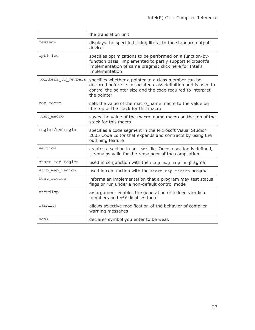|                     | the translation unit                                                                                                                                                                                 |  |
|---------------------|------------------------------------------------------------------------------------------------------------------------------------------------------------------------------------------------------|--|
| message             | displays the specified string literal to the standard output<br>device                                                                                                                               |  |
| optimize            | specifies optimizations to be performed on a function-by-<br>function basis; implemented to partly support Microsoft's<br>implementation of same pragma; click here for Intel's<br>implementation    |  |
| pointers to members | specifies whether a pointer to a class member can be<br>declared before its associated class definition and is used to<br>control the pointer size and the code required to interpret<br>the pointer |  |
| pop_macro           | sets the value of the macro_name macro to the value on<br>the top of the stack for this macro                                                                                                        |  |
| push macro          | saves the value of the macro_name macro on the top of the<br>stack for this macro                                                                                                                    |  |
| region/endregion    | specifies a code segment in the Microsoft Visual Studio*<br>2005 Code Editor that expands and contracts by using the<br>outlining feature                                                            |  |
| section             | creates a section in an . obj file. Once a section is defined,<br>it remains valid for the remainder of the compilation                                                                              |  |
| start map region    | used in conjunction with the stop_map_region pragma                                                                                                                                                  |  |
| stop map region     | used in conjunction with the start map region pragma                                                                                                                                                 |  |
| fenv access         | informs an implementation that a program may test status<br>flags or run under a non-default control mode                                                                                            |  |
| vtordisp            | on argument enables the generation of hidden vtordisp<br>members and off disables them                                                                                                               |  |
| warning             | allows selective modification of the behavior of compiler<br>warning messages                                                                                                                        |  |
| weak                | declares symbol you enter to be weak                                                                                                                                                                 |  |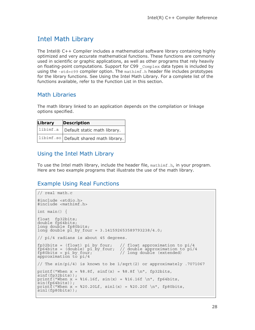# Intel Math Library

The Intel® C++ Compiler includes a mathematical software library containing highly optimized and very accurate mathematical functions. These functions are commonly used in scientific or graphic applications, as well as other programs that rely heavily on floating-point computations. Support for C99 Complex data types is included by using the -std=c99 compiler option. The mathimf.h header file includes prototypes for the library functions. See Using the Intel Math Library. For a complete list of the functions available, refer to the Function List in this section.

# Math Libraries

The math library linked to an application depends on the compilation or linkage options specified.

| Library  | Description                              |
|----------|------------------------------------------|
| libimf.a | Default static math library.             |
|          | libimf.so   Default shared math library. |

# Using the Intel Math Library

To use the Intel math library, include the header file, mathimf.h, in your program. Here are two example programs that illustrate the use of the math library.

# Example Using Real Functions

```
// real_math.c 
#include <stdio.h> 
#include <mathimf.h> 
int main() { 
float fp32bits; 
double fp64bits; 
long double fp80bits; 
long double pi by four = 3.141592653589793238/4.0;
// pi/4 radians is about 45 degrees. 
fp32bits = (float) pi by four; // float approximation to pi/4<br>fp64bits = (double) pi by four; // double approximation to pi/
fp64bits = (double) pi by four; // double approximation to pi/4
fp80bits = pi by four; // long double (extended)
approximation to pi/4 
// The sin(pi/4) is known to be 1/sqrt(2) or approximately .7071067
printf("When x = $8.8f, sinf(x) = $8.8f \n", fp32bits,
sinf(fp32bits)); 
printf("When x = $16.16f, sin(x) = $16.16f \n\vert, fp64bits,
sin(fp64bits)); 
printf("When x = $20.20Lf, sinl(x) = 20.20f \n\pi, fp80bits,
sinl(fp80bits));
```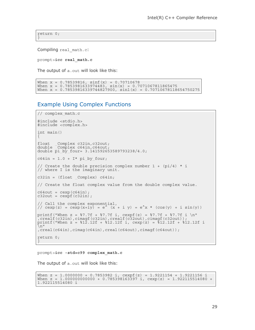return 0; }

Compiling real math.c:

prompt>**icc real\_math.c**

The output of a.out will look like this:

```
When x = 0.78539816, sinf(x) = 0.70710678When x = 0.7853981633974483, sin(x) = 0.7071067811865475When x = 0.78539816339744827900, sinl(x) = 0.70710678118654750275
```
# Example Using Complex Functions

```
// complex_math.c 
#include <stdio.h> 
#include <complex.h> 
int main() 
{ 
float Complex c32in,c32out;
double Complex c64in,c64out;
double pi_by_four= 3.141592653589793238/4.0; 
c64in = 1.0 + I^* pi by four;
// Create the double precision complex number 1 + (pi/4) * i\sqrt{7} where I is the imaginary unit.
c32in = (float Complex) c64in;// Create the float complex value from the double complex value. 
c64out = cexp(c64in);c32out = cexpf(c32in);// Call the complex exponential, 
\sqrt{7} cexp(z) = cexp(x+iy) = e^ (x + i y) = e^x * (cos(y) + i sin(y))
printf("When z = 87.7f + 87.7f i, cexpf(z) = 87.7f + 87.7f i \n"
,crealf(c32in),cimagf(c32in),crealf(c32out),cimagf(c32out)); 
printf("When z = 212.12f + 212.12f i, cexp(z) = 212.12f + 212.12f i
\ln"
,creal(c64in),cimag(c64in),creal(c64out),cimagf(c64out)); 
return 0; 
}
```
prompt>**icc -std=c99 complex\_math.c**

The output of a.out will look like this:

```
When z = 1.0000000 + 0.7853982 i, cexpf(z) = 1.9221154 + 1.9221156 i
When z = 1.0000000000000 + 0.785398163397 i, cexp(z) = 1.922115514080 +1.922115514080 i
```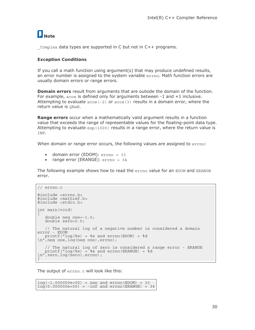**Note**

\_Complex data types are supported in C but not in C++ programs.

# **Exception Conditions**

If you call a math function using argument(s) that may produce undefined results, an error number is assigned to the system variable errno. Math function errors are usually domain errors or range errors.

**Domain errors** result from arguments that are outside the domain of the function. For example, acos is defined only for arguments between -1 and +1 inclusive. Attempting to evaluate  $a\cos(-2)$  or  $a\cos(3)$  results in a domain error, where the return value is ONAN.

**Range errors** occur when a mathematically valid argument results in a function value that exceeds the range of representable values for the floating-point data type. Attempting to evaluate  $\exp(1000)$  results in a range error, where the return value is INF.

When domain or range error occurs, the following values are assigned to errno:

- domain error (EDOM): errno = 33
- range error (ERANGE): errno = 34

The following example shows how to read the errno value for an EDOM and ERANGE error.

```
// errno.c 
#include <errno.h> 
#include <mathimf.h> 
#include <stdio.h> 
int main(void) 
{ 
    double neg_one=-1.0; 
    double zero=0.0; 
    // The natural log of a negative number is considered a domain 
error - EDOM 
   printf("log(%e) = %e and errno(EDOM) = %d 
\n", neg one, log(neg one), errno);
    // The natural log of zero is considered a range error - ERANGE 
 printf("log(%e) = %e and errno(ERANGE) = %d 
\n",zero,log(zero),errno); 
}
```
The output of errno.c will look like this:

 $log(-1.000000e+00)$  = nan and errno(EDOM) = 33  $log(0.000000e+00)$  =  $-inf$  and errno(ERANGE) = 34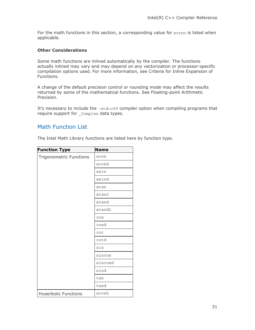For the math functions in this section, a corresponding value for errno is listed when applicable.

### **Other Considerations**

Some math functions are inlined automatically by the compiler. The functions actually inlined may vary and may depend on any vectorization or processor-specific compilation options used. For more information, see Criteria for Inline Expansion of Functions.

A change of the default precision control or rounding mode may affect the results returned by some of the mathematical functions. See Floating-point Arithmetic Precision.

It's necessary to include the -std=c99 compiler option when compiling programs that require support for Complex data types.

# Math Function List

The Intel Math Library functions are listed here by function type.

| <b>Function Type</b>           | <b>Name</b> |
|--------------------------------|-------------|
| <b>Trigonometric Functions</b> | acos        |
|                                | acosd       |
|                                | asin        |
|                                | asind       |
|                                | atan        |
|                                | atan2       |
|                                | atand       |
|                                | atand2      |
|                                | COS         |
|                                | cosd        |
|                                | cot         |
|                                | cotd        |
|                                | sin         |
|                                | sincos      |
|                                | sincosd     |
|                                | sind        |
|                                | tan         |
|                                | tand        |
| <b>Hyperbolic Functions</b>    | acosh       |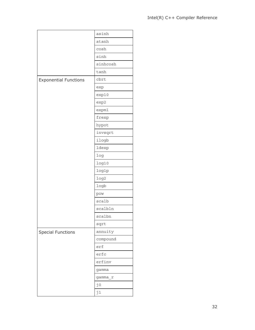|                              | asinh    |
|------------------------------|----------|
|                              | atanh    |
|                              | cosh     |
|                              | sinh     |
|                              | sinhcosh |
|                              | tanh     |
| <b>Exponential Functions</b> | cbrt     |
|                              | exp      |
|                              | exp10    |
|                              | exp2     |
|                              | expm1    |
|                              | frexp    |
|                              | hypot    |
|                              | invsqrt  |
|                              | ilogb    |
|                              | ldexp    |
|                              | log      |
|                              | log10    |
|                              | log1p    |
|                              | log2     |
|                              | logb     |
|                              | pow      |
|                              | scalb    |
|                              | scalbln  |
|                              | scalbn   |
|                              | sqrt     |
| <b>Special Functions</b>     | annuity  |
|                              | compound |
|                              | erf      |
|                              | erfc     |
|                              | erfinv   |
|                              | gamma    |
|                              | gamma r  |
|                              | j0       |
|                              | j1       |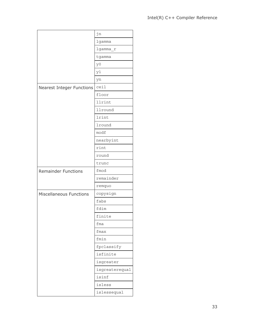|                            | jn             |
|----------------------------|----------------|
|                            | lgamma         |
|                            | lgamma r       |
|                            | tgamma         |
|                            | y0             |
|                            | y1             |
|                            | yn             |
| Nearest Integer Functions  | ceil           |
|                            | floor          |
|                            | llrint         |
|                            | llround        |
|                            | <b>lrint</b>   |
|                            | <b>lround</b>  |
|                            | modf           |
|                            | nearbyint      |
|                            | rint           |
|                            | round          |
|                            | trunc          |
| <b>Remainder Functions</b> | fmod           |
|                            | remainder      |
|                            | remquo         |
| Miscellaneous Functions    | copysign       |
|                            | fabs           |
|                            | fdim           |
|                            | finite         |
|                            | fma            |
|                            | fmax           |
|                            | fmin           |
|                            | fpclassify     |
|                            | isfinite       |
|                            | isgreater      |
|                            | isgreaterequal |
|                            | isinf          |
|                            | isless         |
|                            | islessequal    |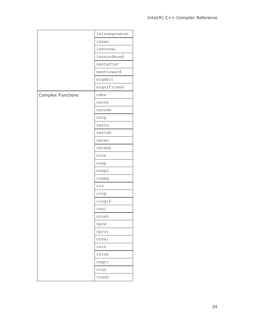| isnan<br>isnormal<br>isunordered<br>nextafter<br>nexttoward<br>signbit<br>significand<br>cabs<br><b>Complex Functions</b><br>cacos<br>cacosh<br>carg<br>casin<br>casinh<br>catan<br>catanh<br>CCOS<br>cexp<br>cexp2<br>cimag<br>cis<br>clog<br>clog10<br>conj<br>ccosh<br>cpow<br>cproj<br>creal<br>csin<br>csinh<br>csqrt<br>ctan<br>ctanh | islessgreater |
|---------------------------------------------------------------------------------------------------------------------------------------------------------------------------------------------------------------------------------------------------------------------------------------------------------------------------------------------|---------------|
|                                                                                                                                                                                                                                                                                                                                             |               |
|                                                                                                                                                                                                                                                                                                                                             |               |
|                                                                                                                                                                                                                                                                                                                                             |               |
|                                                                                                                                                                                                                                                                                                                                             |               |
|                                                                                                                                                                                                                                                                                                                                             |               |
|                                                                                                                                                                                                                                                                                                                                             |               |
|                                                                                                                                                                                                                                                                                                                                             |               |
|                                                                                                                                                                                                                                                                                                                                             |               |
|                                                                                                                                                                                                                                                                                                                                             |               |
|                                                                                                                                                                                                                                                                                                                                             |               |
|                                                                                                                                                                                                                                                                                                                                             |               |
|                                                                                                                                                                                                                                                                                                                                             |               |
|                                                                                                                                                                                                                                                                                                                                             |               |
|                                                                                                                                                                                                                                                                                                                                             |               |
|                                                                                                                                                                                                                                                                                                                                             |               |
|                                                                                                                                                                                                                                                                                                                                             |               |
|                                                                                                                                                                                                                                                                                                                                             |               |
|                                                                                                                                                                                                                                                                                                                                             |               |
|                                                                                                                                                                                                                                                                                                                                             |               |
|                                                                                                                                                                                                                                                                                                                                             |               |
|                                                                                                                                                                                                                                                                                                                                             |               |
|                                                                                                                                                                                                                                                                                                                                             |               |
|                                                                                                                                                                                                                                                                                                                                             |               |
|                                                                                                                                                                                                                                                                                                                                             |               |
|                                                                                                                                                                                                                                                                                                                                             |               |
|                                                                                                                                                                                                                                                                                                                                             |               |
|                                                                                                                                                                                                                                                                                                                                             |               |
|                                                                                                                                                                                                                                                                                                                                             |               |
|                                                                                                                                                                                                                                                                                                                                             |               |
|                                                                                                                                                                                                                                                                                                                                             |               |
|                                                                                                                                                                                                                                                                                                                                             |               |
|                                                                                                                                                                                                                                                                                                                                             |               |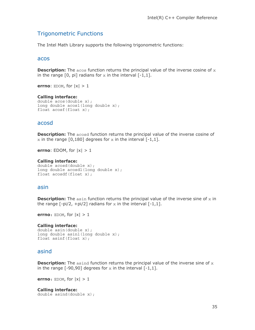# Trigonometric Functions

The Intel Math Library supports the following trigonometric functions:

### acos

**Description:** The acos function returns the principal value of the inverse cosine of x in the range  $[0, pi]$  radians for x in the interval  $[-1,1]$ .

**errno**: EDOM, for |x| > 1

```
Calling interface:
double acos(double x); 
long double acosl(long double x); 
float acosf(float x);
```
### acosd

**Description:** The acosd function returns the principal value of the inverse cosine of x in the range [0,180] degrees for x in the interval  $[-1,1]$ .

**errno**: EDOM, for |x| > 1

```
Calling interface:
```

```
double acosd(double x); 
long double acosdl(long double x);
float acosdf(float x);
```
#### asin

**Description:** The asin function returns the principal value of the inverse sine of  $x$  in the range  $[-pi/2, +pi/2]$  radians for x in the interval  $[-1,1]$ .

**errno**: EDOM, for  $|x| > 1$ 

```
Calling interface:
double asin(double x); 
long double asinl(long double x);
float asinf(float x);
```
## asind

**Description:** The asind function returns the principal value of the inverse sine of x in the range  $[-90,90]$  degrees for x in the interval  $[-1,1]$ .

**errno**: EDOM, for  $|x| > 1$ 

```
Calling interface:
double asind(double x);
```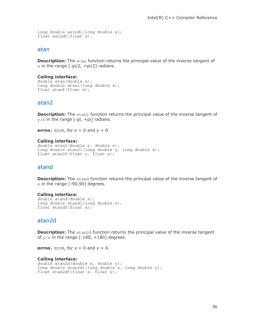```
long double asindl(long double x);
float asindf(float x);
```
### atan

**Description:** The atan function returns the principal value of the inverse tangent of  $x$  in the range  $[-pi/2, +pi/2]$  radians.

### **Calling interface:**

```
double atan(double x); 
long double atanl(long double x);
float atanf(float x);
```
# atan2

**Description:** The atan2 function returns the principal value of the inverse tangent of  $y/x$  in the range  $[-pi, +pi]$  radians.

```
errno: EDOM, for x = 0 and y = 0
```
#### **Calling interface:**

```
double atan2(double y, double x); 
long double atan2l(long double y, long double x); 
float atan2f(float y, float x);
```
# atand

**Description:** The atand function returns the principal value of the inverse tangent of  $x$  in the range [-90,90] degrees.

#### **Calling interface:**

```
double atand(double x); 
long double atandl(long double x);
float atandf(float x);
```
# atan2d

**Description:** The atan2d function returns the principal value of the inverse tangent of  $y/x$  in the range  $[-180, +180]$  degrees.

**errno**: EDOM, for  $x = 0$  and  $y = 0$ .

#### **Calling interface:** double atan2d(double x, double y); long double atan2dl(long double x, long double y);

float atan2df(float x, float y);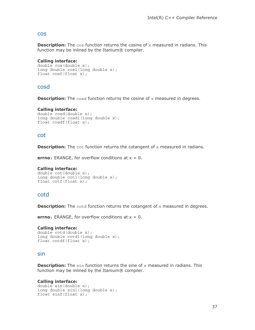### cos

**Description:** The cos function returns the cosine of x measured in radians. This function may be inlined by the Itanium® compiler.

#### **Calling interface:**

```
double cos(double x); 
long double cosl(long double x); 
float cosf(float x);
```
### cosd

**Description:** The cosd function returns the cosine of x measured in degrees.

```
Calling interface:
```

```
double cosd(double x); 
long double cosdl(long double x); 
float cosdf(float x);
```
### cot

**Description:** The cot function returns the cotangent of  $x$  measured in radians.

**errno:** ERANGE, for overflow conditions at  $x = 0$ .

```
Calling interface:
```

```
double cot(double x); 
long double cotl(long double x);
float cotf(float x);
```
## cotd

**Description:** The cotd function returns the cotangent of x measured in degrees.

**errno**: ERANGE, for overflow conditions at  $x = 0$ .

```
Calling interface:
double cotd(double x); 
long double cotdl(long double x); 
float cotdf(float x);
```
# sin

**Description:** The sin function returns the sine of x measured in radians. This function may be inlined by the Itanium® compiler.

```
Calling interface:
double sin(double x); 
long double sinl(long double x);
float sinf(float x);
```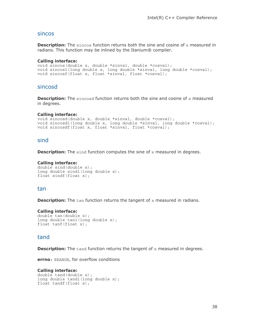### sincos

**Description:** The sincos function returns both the sine and cosine of x measured in radians. This function may be inlined by the Itanium® compiler.

#### **Calling interface:**

```
void sincos(double x, double *sinval, double *cosval); 
void sincosl(long double x, long double *sinval, long double *cosval); 
void sincosf(float x, float *sinval, float *cosval);
```
### sincosd

**Description:** The sincosd function returns both the sine and cosine of x measured in degrees.

#### **Calling interface:**

```
void sincosd(double x, double *sinval, double *cosval); 
void sincosdl(long double x, long double *sinval, long double *cosval); 
void sincosdf(float x, float *sinval, float *cosval);
```
### sind

**Description:** The sind function computes the sine of x measured in degrees.

```
Calling interface:
```
double sind(double x); long double sindl(long double x); float sindf(float x);

### tan

**Description:** The tan function returns the tangent of x measured in radians.

```
Calling interface:
double tan(double x); 
long double tanl(long double x);
float tanf(float x);
```
### tand

**Description:** The tand function returns the tangent of x measured in degrees.

**errno:** ERANGE, for overflow conditions

```
Calling interface:
double tand(double x); 
long double tandl(long double x); 
float tandf(float x);
```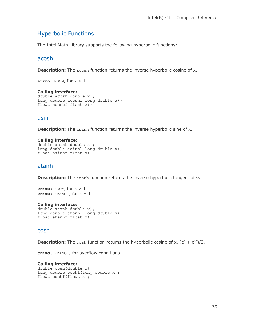# Hyperbolic Functions

The Intel Math Library supports the following hyperbolic functions:

# acosh

**Description:** The acosh function returns the inverse hyperbolic cosine of x.

**errno:** EDOM, for x < 1

```
Calling interface:
double acosh(double x); 
long double acoshl(long double x);
float acoshf(float x);
```
# asinh

**Description:** The asinh function returns the inverse hyperbolic sine of x.

#### **Calling interface:**

```
double asinh(double x); 
long double asinhl(long double x);
float asinhf(float x);
```
## atanh

**Description:** The atanh function returns the inverse hyperbolic tangent of x.

**errno**: EDOM, for  $x > 1$ **errno**: ERANGE, for  $x = 1$ 

#### **Calling interface:**

```
double atanh(double x); 
long double atanhl(long double x);
float atanhf(float x);
```
# cosh

**Description:** The  $cosh$  function returns the hyperbolic cosine of x,  $(e^x + e^{-x})/2$ .

**errno:** ERANGE, for overflow conditions

```
Calling interface:
double cosh(double x); 
long double coshl(long double x); 
float \cosh f(float x);
```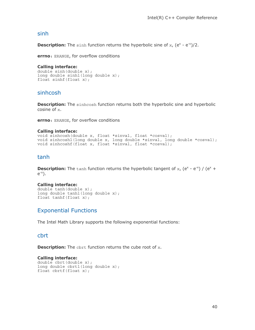# sinh

**Description:** The sinh function returns the hyperbolic sine of  $x$ ,  $(e^x - e^{-x})/2$ .

**errno:** ERANGE, for overflow conditions

```
Calling interface:
double sinh(double x); 
long double sinhl(long double x); 
float sinhf(float x);
```
# sinhcosh

**Description:** The sinhcosh function returns both the hyperbolic sine and hyperbolic cosine of x.

**errno:** ERANGE, for overflow conditions

#### **Calling interface:**

```
void sinhcosh(double x, float *sinval, float *cosval); 
void sinhcoshl(long double x, long double *sinval, long double *cosval); 
void sinhcoshf(float x, float *sinval, float *cosval);
```
# tanh

**Description:** The tanh function returns the hyperbolic tangent of x,  $(e^x - e^{-x}) / (e^x + e^{-x})$  $e^{-x}$ ).

#### **Calling interface:**

```
double tanh(double x); 
long double tanhl(long double x); 
float tanhf(float x);
```
# Exponential Functions

The Intel Math Library supports the following exponential functions:

## cbrt

**Description:** The cbrt function returns the cube root of x.

**Calling interface:** double cbrt(double x); long double cbrtl(long double x); float cbrtf(float x);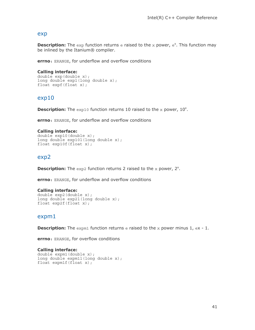### exp

**Description:** The  $exp$  function returns  $e$  raised to the  $x$  power,  $e^x$ . This function may be inlined by the Itanium® compiler.

**errno:** ERANGE, for underflow and overflow conditions

#### **Calling interface:**

```
double exp(double x); 
long double expl(long double x); 
float expf(float x);
```
## exp10

**Description:** The  $exp10$  function returns 10 raised to the x power,  $10^x$ .

**errno:** ERANGE, for underflow and overflow conditions

```
Calling interface:
double exp10(double x); 
long double exp10l(long double x); 
float exp10f(float x);
```
## exp2

**Description:** The  $\exp 2$  function returns 2 raised to the x power,  $2^x$ .

**errno:** ERANGE, for underflow and overflow conditions

#### **Calling interface:**

```
double exp2(double x); 
long double exp21(long double x);
float exp2f(float x);
```
### expm1

**Description:** The  $\exp(1)$  function returns  $\exp(1)$  raised to the x power minus 1,  $\exp(1)$ .

**errno:** ERANGE, for overflow conditions

# **Calling interface:**

double expm1(double x); long double expm1l(long double x); float expm1f(float x);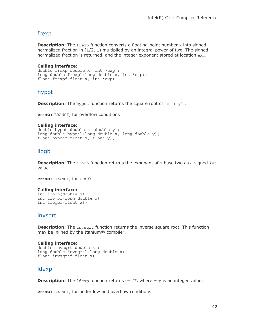# frexp

**Description:** The frexp function converts a floating-point number x into signed normalized fraction in  $[1/2, 1)$  multiplied by an integral power of two. The signed normalized fraction is returned, and the integer exponent stored at location exp.

### **Calling interface:**

```
double frexp(double x, int *exp); 
long double frexpl(long double x, int *exp);
float frexpf(float x, int *exp);
```
# hypot

**Description:** The hypot function returns the square root of  $(x^2 + y^2)$ .

**errno:** ERANGE, for overflow conditions

#### **Calling interface:**

```
double hypot(double x, double y); 
long double hypotl(long double x, long double y); 
float hypotf(float x, float y);
```
# ilogb

**Description:** The ilogb function returns the exponent of  $x$  base two as a signed int value.

**errno**: ERANGE, for  $x = 0$ 

#### **Calling interface:**

int ilogb(double x); int ilogbl(long double x); int ilogbf(float x);

## invsqrt

**Description:** The invsqrt function returns the inverse square root. This function may be inlined by the Itanium® compiler.

```
Calling interface:
```

```
double invsqrt(double x);
long double invsgrtl(long double x);
float invsqrtf(float x);
```
## ldexp

**Description:** The  $l_{\text{decay}}$  function returns  $x * 2^{exp}$ , where  $exp$  is an integer value.

**errno:** ERANGE, for underflow and overflow conditions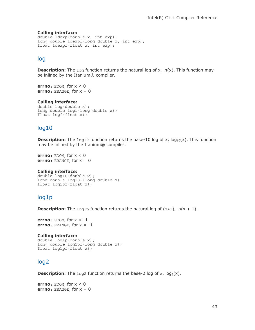```
Calling interface:
double ldexp(double x, int exp); 
long double ldexpl(long double x, int exp); 
float ldexpf(float x, int exp);
```
# log

**Description:** The  $log$  function returns the natural log of x,  $ln(x)$ . This function may be inlined by the Itanium® compiler.

```
errno: EDOM, for x < 0errno: ERANGE, for x = 0
```

```
Calling interface:
```

```
double log(double x); 
long double logl(long double x);
float logf(float x);
```
# log10

**Description:** The  $log_{10}$  function returns the base-10 log of x,  $log_{10}(x)$ . This function may be inlined by the Itanium® compiler.

```
errno: EDOM, for x < 0
errno: ERANGE, for x = 0
```

```
Calling interface:
```

```
double log10(double x); 
long double log101 (long double x);
float log10f(float x);
```
# log1p

**Description:** The log1p function returns the natural log of  $(x+1)$ ,  $ln(x + 1)$ .

**errno:** EDOM, for x < -1 **errno**: ERANGE, for  $x = -1$ 

#### **Calling interface:**

```
double log1p(double x); 
long double log1pl(long double x); 
float log1pf(float x);
```
# log2

**Description:** The  $log2$  function returns the base-2 log of x,  $log<sub>2</sub>(x)$ .

**errno:** EDOM, for x < 0 **errno**: ERANGE, for  $x = 0$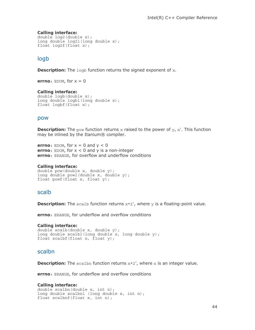**Calling interface:** double log2(double x); long double log21 (long double x); float log2f(float x);

# logb

**Description:** The logb function returns the signed exponent of x.

**errno**: EDOM, for  $x = 0$ 

**Calling interface:** double logb(double x); long double logbl(long double x); float logbf(float x);

### pow

**Description:** The pow function returns x raised to the power of  $y$ ,  $x^y$ . This function may be inlined by the Itanium® compiler.

**errno**: EDOM, for  $x = 0$  and  $y < 0$ **errno**: EDOM, for  $x < 0$  and y is a non-integer **errno:** ERANGE, for overflow and underflow conditions

#### **Calling interface:**

```
double pow(double x, double y); 
long double powl(double x, double y); 
float powf(float x, float y);
```
## scalb

**Description:** The scalb function returns  $x \times 2^{y}$ , where y is a floating-point value.

**errno:** ERANGE, for underflow and overflow conditions

```
Calling interface:
double scalb(double x, double y); 
long double scalbl(long double x, long double y); 
float scalbf(float x, float y);
```
### scalbn

**Description:** The scalbn function returns  $x \times 2^n$ , where n is an integer value.

**errno:** ERANGE, for underflow and overflow conditions

```
Calling interface:
double scalbn(double x, int n); 
long double scalbnl (long double x, int n); 
float scalbnf(float x, int n);
```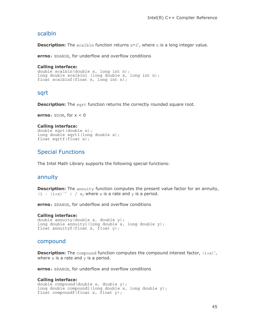# scalbln

**Description:** The scalbln function returns  $x \times 2^n$ , where n is a long integer value.

**errno:** ERANGE, for underflow and overflow conditions

#### **Calling interface:**

```
double scalbln(double x, long int n); 
long double scalblnl (long double x, long int n); 
float scalblnf(float x, long int n);
```
### sqrt

**Description:** The sqrt function returns the correctly rounded square root.

**errno**: EDOM, for  $x < 0$ 

#### **Calling interface:**

```
double sqrt(double x); 
long double sqrtl(long double x);
float sqrtf(float x);
```
## Special Functions

The Intel Math Library supports the following special functions:

### annuity

**Description:** The annuity function computes the present value factor for an annuity,  $(1 - (1+x)^{(-y)})$  / x, where x is a rate and y is a period.

**errno:** ERANGE, for underflow and overflow conditions

#### **Calling interface:**

```
double annuity(double x, double y); 
long double annuityl(long double x, long double y);
float annuityf(float x, float y);
```
#### compound

**Description:** The compound function computes the compound interest factor,  $(1+x)^y$ , where  $x$  is a rate and  $y$  is a period.

**errno:** ERANGE, for underflow and overflow conditions

#### **Calling interface:**

```
double compound(double x, double y); 
long double compoundl(long double x, long double y);
float compoundf(float x, float y);
```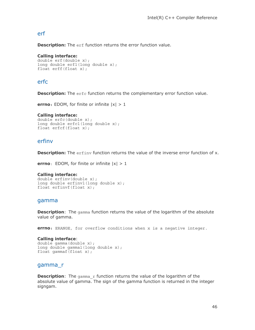### erf

**Description:** The erf function returns the error function value.

```
Calling interface:
```

```
double erf(double x); 
long double erfl(long double x); 
float erff(float x);
```
# erfc

**Description:** The erfc function returns the complementary error function value.

```
errno: EDOM, for finite or infinite |x| > 1
```

```
Calling interface:
```

```
double erfc(double x); 
long double erfcl(long double x);
float erfcf(float x);
```
# erfinv

**Description:** The erfinv function returns the value of the inverse error function of x.

**errno**: EDOM, for finite or infinite |x| > 1

```
Calling interface:
```

```
double erfinv(double x); 
long double erfinvl(long double x);
float erfinvf(float x);
```
#### gamma

**Description**: The gamma function returns the value of the logarithm of the absolute value of gamma.

**errno:** ERANGE, for overflow conditions when x is a negative integer.

```
Calling interface:
```

```
double gamma(double x); 
long double gammal(long double x); 
float gammaf(float x);
```
### gamma\_r

**Description**: The gamma\_r function returns the value of the logarithm of the absolute value of gamma. The sign of the gamma function is returned in the integer signgam.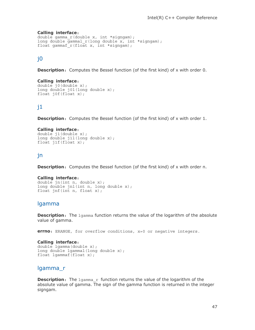**Calling interface:** double gamma\_r(double x, int \*signgam); long double gammal\_r(long double x, int \*signgam); float gammaf r(float x, int \*signgam);

# j0

**Description:** Computes the Bessel function (of the first kind) of x with order 0.

```
Calling interface:
double j0(double x); 
long double j0l(long double x); 
float j0f(float x);
```
# j1

**Description:** Computes the Bessel function (of the first kind) of x with order 1.

```
Calling interface:
```

```
double j1(double x); 
long double j1l(long double x); 
float j1f(float x);
```
# jn

**Description:** Computes the Bessel function (of the first kind) of x with order n.

```
Calling interface:
```

```
double jn(int n, double x); 
long double jnl(int n, long double x); 
float jnf(int n, float x);
```
# lgamma

**Description:** The lgamma function returns the value of the logarithm of the absolute value of gamma.

**errno:** ERANGE, for overflow conditions, x=0 or negative integers.

```
Calling interface:
double lgamma(double x); 
long double lgammal(long double x); 
float lgammaf(float x);
```
# lgamma\_r

**Description:** The 1gamma r function returns the value of the logarithm of the absolute value of gamma. The sign of the gamma function is returned in the integer signgam.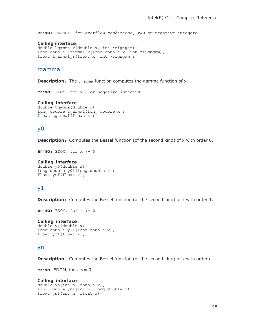**errno:** ERANGE, for overflow conditions, x=0 or negative integers.

#### **Calling interface:**

double lgamma\_r(double x, int \*signgam); long double lgammal\_r(long double x, int \*signgam); float lgammaf  $r(f$ loat x, int \*signgam);

# tgamma

**Description:** The tgamma function computes the gamma function of x.

**errno:** EDOM, for x=0 or negative integers.

#### **Calling interface:**

```
double tgamma(double x); 
long double tgammal(long double x); 
float tgammaf(float x);
```
# y0

**Description:** Computes the Bessel function (of the second kind) of x with order 0.

```
errno: EDOM, for x <= 0
```

```
Calling interface:
```

```
double y0(double x); 
long double y0l(long double x); 
float y0f(float x);
```
# $y1$

**Description:** Computes the Bessel function (of the second kind) of x with order 1.

```
errno: EDOM, for x <= 0
```
#### **Calling interface:**

```
double y1(double x); 
long double y1l(long double x); 
float y1f(float x);
```
## yn

**Description:** Computes the Bessel function (of the second kind) of x with order n.

**errno**: EDOM, for x <= 0

```
Calling interface:
double yn(int n, double x); 
long double ynl(int n, long double x);
float ynf(int n, float x);
```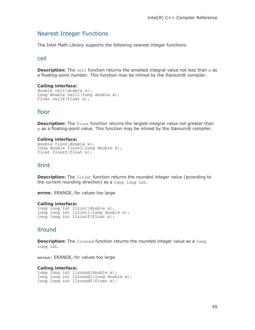# Nearest Integer Functions

The Intel Math Library supports the following nearest integer functions:

### ceil

**Description:** The ceil function returns the smallest integral value not less than  $x$  as a floating-point number. This function may be inlined by the Itanium® compiler.

#### **Calling interface:**

```
double ceil(double x); 
long double ceill(long double x); 
float ceilf(float x);
```
# floor

**Description:** The floor function returns the largest integral value not greater than  $x$  as a floating-point value. This function may be inlined by the Itanium $\circledR$  compiler.

#### **Calling interface:**

```
double floor(double x); 
long double floorl(long double x);
float floorf(float x);
```
# **Ilrint**

**Description:** The llrint function returns the rounded integer value (according to the current rounding direction) as a long long int.

**errno:** ERANGE, for values too large

#### **Calling interface:**

```
long long int llrint(double x);
long long int llrintl(long double x);
long long int llrintf(float x);
```
# llround

**Description:** The llround function returns the rounded integer value as a long long int.

**errno:** ERANGE, for values too large

#### **Calling interface:**

```
long long int llround(double x);
long long int llroundl(long double x); 
long long int llroundf(float x);
```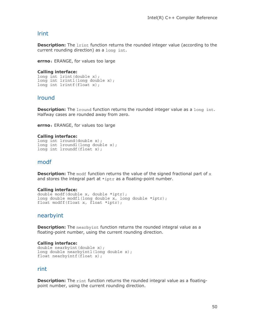# lrint

**Description:** The lrint function returns the rounded integer value (according to the current rounding direction) as a long int.

**errno:** ERANGE, for values too large

#### **Calling interface:**

```
long int lrint(double x);
long int lrintl(long double x);
long int lrintf(float x);
```
# lround

**Description:** The lround function returns the rounded integer value as a long int. Halfway cases are rounded away from zero.

**errno:** ERANGE, for values too large

#### **Calling interface:**

```
long int lround(double x);
long int lroundl(long double x); 
long int lroundf(float x);
```
# modf

**Description:** The modf function returns the value of the signed fractional part of x and stores the integral part at \*iptr as a floating-point number.

#### **Calling interface:**

```
double modf(double x, double *iptr); 
long double modfl(long double x, long double *iptr); 
float modff(float x, float *iptr);
```
### nearbyint

**Description:** The nearbyint function returns the rounded integral value as a floating-point number, using the current rounding direction.

#### **Calling interface:**

double nearbyint(double x); long double nearbyintl(long double x); float nearbyintf(float x);

## rint

**Description:** The rint function returns the rounded integral value as a floatingpoint number, using the current rounding direction.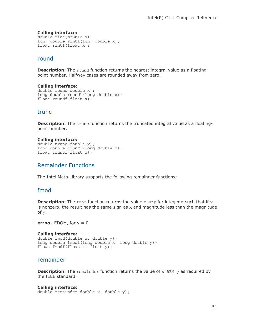```
Calling interface:
double rint(double x); 
long double rintl(long double x);
float rintf(float x);
```
# round

**Description:** The round function returns the nearest integral value as a floatingpoint number. Halfway cases are rounded away from zero.

#### **Calling interface:**

```
double round(double x); 
long double roundl(long double x); 
float roundf(float x);
```
# trunc

**Description:** The trunc function returns the truncated integral value as a floatingpoint number.

#### **Calling interface:**

```
double trunc(double x); 
long double truncl(long double x);
float truncf(float x);
```
# Remainder Functions

The Intel Math Library supports the following remainder functions:

# fmod

**Description:** The fmod function returns the value  $x-n*y$  for integer n such that if y is nonzero, the result has the same sign as  $x$  and magnitude less than the magnitude of y.

**errno**: EDOM, for  $y = 0$ 

#### **Calling interface:**

```
double fmod(double x, double y); 
long double fmodl(long double x, long double y); 
float fmodf(float x, float y);
```
### remainder

**Description:** The remainder function returns the value of  $x$  REM  $y$  as required by the IEEE standard.

# **Calling interface:**

double remainder(double x, double y);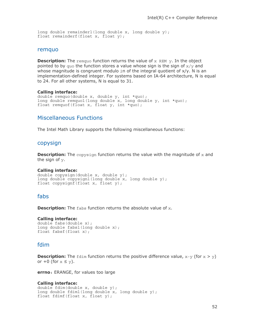```
long double remainderl(long double x, long double y); 
float remainderf(float x, float y);
```
### remquo

**Description:** The remquo function returns the value of  $x$  REM  $y$ . In the object pointed to by quo the function stores a value whose sign is the sign of  $x/y$  and whose magnitude is congruent modulo 2n of the integral quotient of x/y. N is an implementation-defined integer. For systems based on IA-64 architecture, N is equal to 24. For all other systems, N is equal to 31.

#### **Calling interface:**

```
double remquo(double x, double y, int *quo); 
long double remquol(long double x, long double y, int *quo);
float remquof(float x, float y, int *quo);
```
# Miscellaneous Functions

The Intel Math Library supports the following miscellaneous functions:

### copysign

**Description:** The copysign function returns the value with the magnitude of  $x$  and the sign of y.

#### **Calling interface:**

```
double copysign(double x, double y); 
long double copysignl(long double x, long double y);
float copysignf(float x, float y);
```
# fabs

**Description:** The fabs function returns the absolute value of x.

```
Calling interface:
```

```
double fabs(double x); 
long double fabsl(long double x); 
float fabsf(float x);
```
# fdim

**Description:** The fdim function returns the positive difference value,  $x-y$  (for  $x > y$ ) or  $+0$  (for  $x \le y$ ).

**errno:** ERANGE, for values too large

```
Calling interface:
double fdim(double x, double y); 
long double fdiml(long double x, long double y); 
float fdimf(float x, float y);
```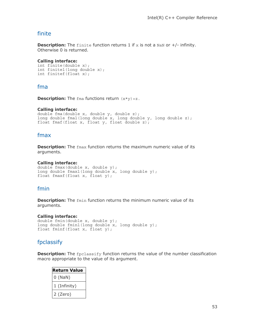# finite

**Description:** The finite function returns 1 if x is not a NaN or  $+/-$  infinity. Otherwise 0 is returned.

### **Calling interface:**

```
int finite(double x); 
int finitel(long double x); 
int finitef(float x);
```
# fma

**Description:** The  $f$ ma functions return  $(x*y)+z$ .

#### **Calling interface:**

```
double fma(double x, double y, double z); 
long double fmal(long double x, long double y, long double z); 
float fmaf(float x, float y, float double z);
```
# fmax

**Description:** The fmax function returns the maximum numeric value of its arguments.

#### **Calling interface:**

```
double fmax(double x, double y);
long double fmaxl(long double x, long double y); 
float fmaxf(float x, float y);
```
# fmin

**Description:** The fmin function returns the minimum numeric value of its arguments.

#### **Calling interface:**

```
double fmin(double x, double y); 
long double fminl(long double x, long double y);
float fminf(float x, float y);
```
# fpclassify

**Description:** The fpclassify function returns the value of the number classification macro appropriate to the value of its argument.

| Return Value |
|--------------|
| $0$ (NaN)    |
| 1 (Infinity) |
| 2 (Zero)     |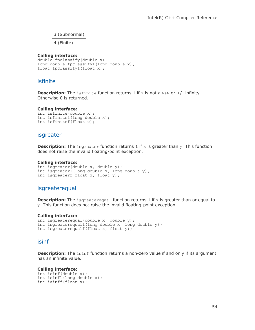```
3 (Subnormal) 
4 (Finite)
```
#### **Calling interface:**

```
double fpclassify(double x); 
long double fpclassifyl(long double x); 
float fpclassifyf(float x);
```
# isfinite

**Description:** The isfinite function returns 1 if  $x$  is not a NaN or  $+/-$  infinity. Otherwise 0 is returned.

#### **Calling interface:**

```
int isfinite(double x); 
int isfinitel(long double x); 
int isfinitef(float x);
```
# isgreater

**Description:** The isgreater function returns 1 if  $x$  is greater than  $y$ . This function does not raise the invalid floating-point exception.

#### **Calling interface:**

```
int isgreater(double x, double y); 
int isgreaterl(long double x, long double y);
int isgreaterf(float x, float y);
```
## isgreaterequal

**Description:** The isgreaterequal function returns  $1$  if  $x$  is greater than or equal to y. This function does not raise the invalid floating-point exception.

#### **Calling interface:**

```
int isgreaterequal(double x, double y); 
int isgreaterequall(long double x, long double y); 
int isgreaterequalf(float x, float y);
```
## isinf

**Description:** The isinf function returns a non-zero value if and only if its argument has an infinite value.

```
Calling interface:
int isinf(double x); 
int isinfl(long double x); 
int isinff(float x);
```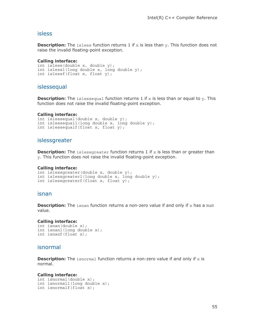## isless

**Description:** The isless function returns 1 if  $x$  is less than  $y$ . This function does not raise the invalid floating-point exception.

#### **Calling interface:**

```
int isless(double x, double y); 
int islessl(long double x, long double y); 
int islessf(float x, float y);
```
### islessequal

**Description:** The islessequal function returns 1 if x is less than or equal to y. This function does not raise the invalid floating-point exception.

#### **Calling interface:**

```
int islessequal(double x, double y); 
int islessequall(long double x, long double y); 
int islessequalf(float x, float y);
```
### islessgreater

**Description:** The isless greater function returns 1 if  $x$  is less than or greater than y. This function does not raise the invalid floating-point exception.

#### **Calling interface:**

```
int islessgreater(double x, double y); 
int islessgreaterl(long double x, long double y); 
int islessgreaterf(float x, float y);
```
#### isnan

**Description:** The isnan function returns a non-zero value if and only if x has a NaN value.

```
Calling interface:
int isnan(double x); 
int isnanl(long double x); 
int isnanf(float x);
```
## isnormal

**Description:** The isnormal function returns a non-zero value if and only if  $x$  is normal.

```
Calling interface:
int isnormal(double x); 
int isnormall(long double x); 
int isnormalf(float x);
```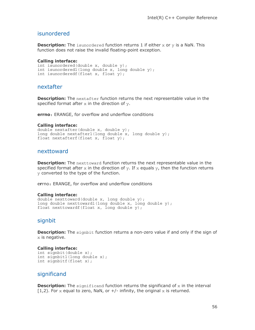# isunordered

**Description:** The isunordered function returns 1 if either x or y is a NaN. This function does not raise the invalid floating-point exception.

#### **Calling interface:**

```
int isunordered(double x, double y); 
int isunorderedl(long double x, long double y); 
int isunorderedf(float x, float y);
```
### nextafter

**Description:** The nextafter function returns the next representable value in the specified format after  $x$  in the direction of  $y$ .

**errno:** ERANGE, for overflow and underflow conditions

#### **Calling interface:**

```
double nextafter(double x, double y); 
long double nextafterl(long double x, long double y); 
float nextafterf(float x, float y);
```
### nexttoward

**Description:** The nexttoward function returns the next representable value in the specified format after x in the direction of y. If x equals y, then the function returns y converted to the type of the function.

e**r**rno**:** ERANGE, for overflow and underflow conditions

#### **Calling interface:**

```
double nexttoward(double x, long double y); 
long double nexttowardl(long double x, long double y); 
float nexttowardf(float x, long double y);
```
# signbit

**Description:** The signbit function returns a non-zero value if and only if the sign of x is negative.

```
Calling interface:
int signbit(double x); 
int signbitl(long double x); 
int signbitf(float x);
```
### significand

**Description:** The significand function returns the significand of x in the interval [1,2]. For x equal to zero, NaN, or  $+/-$  infinity, the original x is returned.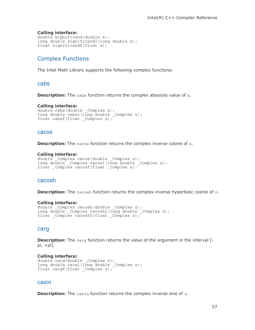#### **Calling interface:**

```
double significand(double x); 
long double significandl(long double x);
float significandf(float x);
```
# Complex Functions

The Intel Math Library supports the following complex functions:

### cabs

**Description:** The cabs function returns the complex absolute value of z.

#### **Calling interface:**

```
double cabs(double _Complex z); 
long double cabsl(long double _Complex z);
float cabsf(float Complex z);
```
#### cacos

**Description:** The cacos function returns the complex inverse cosine of z.

#### **Calling interface:**

```
double Complex cacos(double Complex z);
long double _Complex cacosl(long double _Complex z);
float _Complex cacosf(float _Complex z);
```
### cacosh

**Description:** The cacosh function returns the complex inverse hyperbolic cosine of z.

#### **Calling interface:**

```
double _Complex cacosh(double _Complex z); 
long double _Complex cacoshl(long double _Complex z);
float Complex cacoshf(float Complex z);
```
## carg

**Description:** The carg function returns the value of the argument in the interval [ pi, +pi].

#### **Calling interface:**

```
double carg(double Complex z);
long double cargl(long double \text{\_Complex } z);
float cargf(float Complex z);
```
### casin

**Description:** The casin function returns the complex inverse sine of z.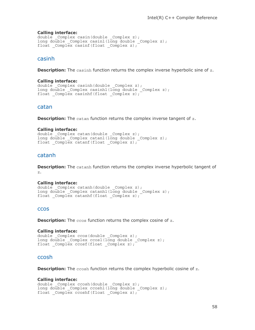#### **Calling interface:**

```
double Complex casin(double Complex z);
long double Complex casinl(long double Complex z);
float Complex casinf(float Complex z);
```
## casinh

**Description:** The casinh function returns the complex inverse hyperbolic sine of z.

#### **Calling interface:**

```
double Complex casinh(double Complex z);
long double Complex casinhl(long double Complex z);
float Complex casinhf(float Complex);
```
### catan

**Description:** The catan function returns the complex inverse tangent of z.

#### **Calling interface:**

```
double Complex catan(double Complex z);
long double Complex catanl(long double Complex z);
float Complex catanf(float Complex z);
```
# catanh

**Description:** The catanh function returns the complex inverse hyperbolic tangent of z.

#### **Calling interface:**

```
double _Complex catanh(double _Complex z); 
long double Complex catanhl(long double Complex z);
float Complex catanhf(float Complex z);
```
#### **CCOS**

**Description:** The ccos function returns the complex cosine of z.

#### **Calling interface:**

```
double _Complex ccos(double _Complex z); 
long double Complex ccosl(long double Complex z);
float Complex \ cosf(float Complex \ z);
```
# ccosh

**Description:** The ccosh function returns the complex hyperbolic cosine of z.

#### **Calling interface:**

```
double _Complex ccosh(double _Complex z); 
long double _Complex ccoshl(long double _Complex z);
float Complex ccoshf(float Complex z);
```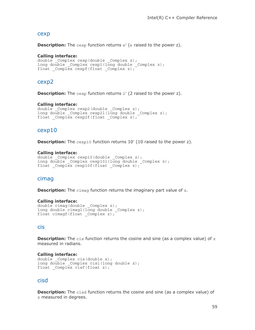### cexp

**Description:** The cexp function returns e<sup>z</sup> (e raised to the power z).

#### **Calling interface:**

```
double Complex cexp(double Complex z);
long double Complex cexpl(long double Complex z);
float _Complex cexpf(float _Complex z);
```
## cexp2

**Description:** The cexp function returns  $2^z$  (2 raised to the power z).

#### **Calling interface:**

```
double Complex cexp2(double Complex z);
long double Complex cexp2l(long double Complex z);
float Complex cexp2f(float Complex z);
```
## cexp10

**Description:** The cexp10 function returns 10<sup>°</sup> (10 raised to the power z).

#### **Calling interface:**

```
double Complex cexp10(double Complex z);
long double Complex cexp10l(long double Complex z);
float Complex cexp10f(float Complex z);
```
# cimag

**Description:** The cimag function returns the imaginary part value of z.

#### **Calling interface:**

```
double cimag(double _Complex z); 
long double cimagl(long double Complex z);
float cimagf(float Complex z);
```
## cis

**Description:** The cis function returns the cosine and sine (as a complex value) of z measured in radians.

#### **Calling interface:**

```
double Complex cis(double x);
long double _Complex cisl(long double z); 
float Complex cisf(float z);
```
### cisd

**Description:** The cisd function returns the cosine and sine (as a complex value) of z measured in degrees.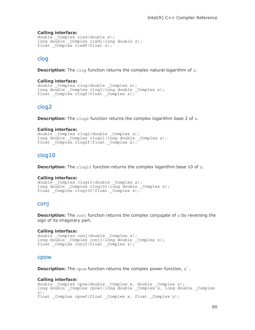#### **Calling interface:**

```
double Complex cisd(double x);
long double _Complex cisdl(long double z);
float Complex cisdf(float z);
```
# clog

**Description:** The clog function returns the complex natural logarithm of z.

#### **Calling interface:**

```
double Complex clog(double Complex z);
long double Complex clogl(long double Complex z);
float Complex clogf(float Complex z);
```
# clog2

**Description:** The clog<sub>2</sub> function returns the complex logarithm base 2 of z.

#### **Calling interface:**

```
double Complex clog2(double Complex z);
long double Complex clog2l(long double Complex z);
float Complex clog2f(float Complex z);
```
# clog10

**Description:** The clog10 function returns the complex logarithm base 10 of z.

#### **Calling interface:**

```
double Complex clog10(double Complex z);
long double Complex clog10l(long double Complex z);
float Complex clog10f(float Complex z);
```
### conj

**Description:** The conj function returns the complex conjugate of z by reversing the sign of its imaginary part.

#### **Calling interface:**

```
double _Complex conj(double _Complex z); 
long double Complex conjl(long double Complex z);
float Complex conjf(float Complex z);
```
## cpow

**Description:** The cpow function returns the complex power function,  $x^y$ .

#### **Calling interface:**

```
double _Complex cpow(double _Complex x, double _Complex y); 
long double Complex cpowl(long double Complex x, long double Complexy); 
float Complex cpowf(float Complex x, float Complex y);
```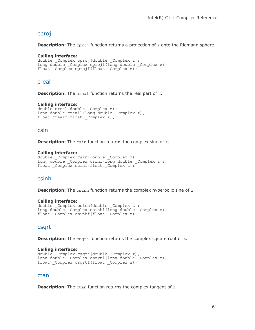# cproj

**Description:** The cproj function returns a projection of z onto the Riemann sphere.

#### **Calling interface:**

```
double Complex cproj(double Complex z);
long double Complex cprojl(long double Complex z);
float Complex cprojf(float Complex z);
```
# creal

**Description:** The creal function returns the real part of z.

#### **Calling interface:**

```
double creal(double Complex z);
long double creall(l\overline{o}ng double _Complex z);
float crealf(float Complex z);
```
### csin

**Description:** The csin function returns the complex sine of z.

#### **Calling interface:**

```
double Complex \ csin(double \ Complex z);
long double \text{\_Complex} csinl(long double \text{\_Complex} z);
float Complex \ csinf(float \ Complex z);
```
# csinh

**Description:** The csinh function returns the complex hyperbolic sine of z.

#### **Calling interface:**

```
double Complex csinh(double Complex z);
long double Complex csinhl(long double Complex z);
float _Complex csinhf(float _Complex z);
```
### csqrt

**Description:** The csqrt function returns the complex square root of z.

#### **Calling interface:**

```
double Complex csqrt(double Complex z);
long double _Complex csqrtl(long double _Complex z); 
float Complex csqrtf(float Complex z);
```
### ctan

**Description:** The ctan function returns the complex tangent of z.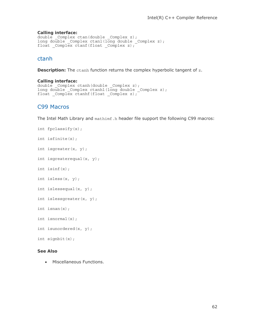#### **Calling interface:**

```
double Complex ctan(double Complex z);
long double Complex ctanl(long double Complex z);
float Complex ctanf(float Complex z);
```
## ctanh

**Description:** The ctanh function returns the complex hyperbolic tangent of z.

#### **Calling interface:**

```
double Complex ctanh(double Complex z);
long double Complex ctanhl(long double Complex z);
float Complex ctanhf(float Complex z);
```
## C99 Macros

The Intel Math Library and mathimf.h header file support the following C99 macros:

```
int fpclassify(x);
int isfinite(x);
int isgreater(x, y);
int isgreaterequal(x, y);
int isinf(x);
```

```
int isless(x, y);
```

```
int islessequal(x, y);
```

```
int islessgreater(x, y);
```

```
int isnan(x);
```

```
int isnormal(x);
```

```
int isunordered(x, y);
```

```
int signbit(x);
```
#### **See Also**

• Miscellaneous Functions.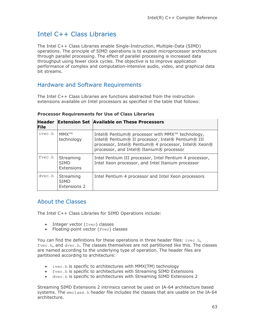# Intel C++ Class Libraries

The Intel C++ Class Libraries enable Single-Instruction, Multiple-Data (SIMD) operations. The principle of SIMD operations is to exploit microprocessor architecture through parallel processing. The effect of parallel processing is increased data throughput using fewer clock cycles. The objective is to improve application performance of complex and computation-intensive audio, video, and graphical data bit streams.

# Hardware and Software Requirements

The Intel C++ Class Libraries are functions abstracted from the instruction extensions available on Intel processors as specified in the table that follows:

| <b>Header</b><br><b>File</b> |                                          | <b>Extension Set Available on These Processors</b>                                                                                                                                                       |
|------------------------------|------------------------------------------|----------------------------------------------------------------------------------------------------------------------------------------------------------------------------------------------------------|
| ivec.h                       | I MMX <sup>™</sup><br>technology         | Intel® Pentium® processor with MMX™ technology,<br>Intel® Pentium® II processor, Intel® Pentium® III<br>processor, Intel® Pentium® 4 processor, Intel® Xeon®<br>processor, and Intel® Itanium® processor |
| fvec.h                       | Streaming<br><b>SIMD</b><br>Extensions   | Intel Pentium III processor, Intel Pentium 4 processor,<br>Intel Xeon processor, and Intel Itanium processor                                                                                             |
| dvec.h                       | Streaming<br><b>SIMD</b><br>Extensions 2 | Intel Pentium 4 processor and Intel Xeon processors                                                                                                                                                      |

**Processor Requirements for Use of Class Libraries** 

# About the Classes

The Intel C++ Class Libraries for SIMD Operations include:

- Integer vector (Ivec) classes
- Floating-point vector (Fvec) classes

You can find the definitions for these operations in three header files: ivec.h, fvec.h, and dvec.h. The classes themselves are not partitioned like this. The classes are named according to the underlying type of operation. The header files are partitioned according to architecture:

- ivec.h is specific to architectures with MMX(TM) technology
- fvec.h is specific to architectures with Streaming SIMD Extensions
- dvec.h is specific to architectures with Streaming SIMD Extensions 2

Streaming SIMD Extensions 2 intrinsics cannot be used on IA-64 architecture based systems. The mmclass.h header file includes the classes that are usable on the IA-64 architecture.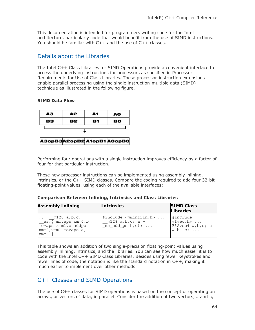This documentation is intended for programmers writing code for the Intel architecture, particularly code that would benefit from the use of SIMD instructions. You should be familiar with C++ and the use of C++ classes.

## Details about the Libraries

The Intel C++ Class Libraries for SIMD Operations provide a convenient interface to access the underlying instructions for processors as specified in Processor Requirements for Use of Class Libraries. These processor-instruction extensions enable parallel processing using the single instruction-multiple data (SIMD) technique as illustrated in the following figure.

## **SIMD Data Flow**

| АЗ                         | А2 | А1 | AO |  |
|----------------------------|----|----|----|--|
| вз                         | В2 | В1 | во |  |
|                            |    |    |    |  |
| A3opB3A2opB2 A1opB1 A0opB0 |    |    |    |  |

Performing four operations with a single instruction improves efficiency by a factor of four for that particular instruction.

These new processor instructions can be implemented using assembly inlining, intrinsics, or the C++ SIMD classes. Compare the coding required to add four 32-bit floating-point values, using each of the available interfaces:

| <b>Comparison Between Inlining, Intrinsics and Class Libraries</b> |  |  |  |
|--------------------------------------------------------------------|--|--|--|
|                                                                    |  |  |  |

| <b>Assembly Inlining</b>                                                                                                                 | <b>Intrinsics</b>                                                                                                   | <b>SIMD Class</b><br>Libraries                                          |
|------------------------------------------------------------------------------------------------------------------------------------------|---------------------------------------------------------------------------------------------------------------------|-------------------------------------------------------------------------|
| $\ldots$ m128 a, b, c;<br>$\alpha$ sm $\overline{\mathfrak{f}}$ movaps xmm0, b<br>movaps xmm1, c addps<br>xmm0, xmm1 movaps a,<br>$xmm0$ | #include <mmintrin.h> <br/>m128 a,b,c; a =<br/><math>\overline{mn}</math> add ps <math>(b, c)</math>; </mmintrin.h> | #include<br>$\times$ fvec.h><br>F32vec4 $a,b,c; a$<br>$= b + c; \ldots$ |

This table shows an addition of two single-precision floating-point values using assembly inlining, intrinsics, and the libraries. You can see how much easier it is to code with the Intel C++ SIMD Class Libraries. Besides using fewer keystrokes and fewer lines of code, the notation is like the standard notation in C++, making it much easier to implement over other methods.

# C++ Classes and SIMD Operations

The use of C++ classes for SIMD operations is based on the concept of operating on arrays, or vectors of data, in parallel. Consider the addition of two vectors,  $A$  and  $B$ ,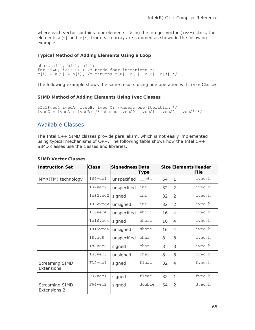where each vector contains four elements. Using the integer vector  $(Ivec)$  class, the elements A[i] and B[i] from each array are summed as shown in the following example.

## **Typical Method of Adding Elements Using a Loop**

short a[4], b[4], c[4]; for  $(i=0; i<4; i++)$  /\* needs four iterations \*/  $c[i] = a[i] + b[i]$ ; /\* returns  $c[0]$ ,  $c[1]$ ,  $c[2]$ ,  $c[3]$  \*/

The following example shows the same results using one operation with Ivec Classes.

## **SIMD Method of Adding Elements Using Ivec Classes**

```
sIs16vec4 ivecA, ivecB, ivec C; /*needs one iteration */ 
ivecC = ivecA + ivecB; /*returns ivecC0, ivecC1, ivecC2, ivecC3 */
```
## Available Classes

The Intel C++ SIMD classes provide parallelism, which is not easily implemented using typical mechanisms of C++. The following table shows how the Intel C++ SIMD classes use the classes and libraries.

| <b>Instruction Set</b>                       | <b>Class</b> | <b>SignednessData</b> | Type   |    | Size Elements Header | File   |
|----------------------------------------------|--------------|-----------------------|--------|----|----------------------|--------|
| MMX(TM) technology                           | I64vec1      | unspecified           | m64    | 64 | $\mathbf{1}$         | ivec.h |
|                                              | I32vec2      | unspecified           | int    | 32 | $\mathcal{P}$        | ivec.h |
|                                              | Is32vec2     | signed                | int    | 32 | 2                    | ivec.h |
|                                              | Iu32vec2     | unsigned              | int    | 32 | $\overline{2}$       | ivec.h |
|                                              | I16vec4      | unspecified           | short  | 16 | 4                    | ivec.h |
|                                              | Is16vec4     | signed                | short  | 16 | 4                    | ivec.h |
|                                              | Iu16vec4     | unsigned              | short  | 16 | 4                    | ivec.h |
|                                              | I8vec8       | unspecified           | char   | 8  | 8                    | ivec.h |
|                                              | Is8vec8      | signed                | char   | 8  | 8                    | ivec.h |
|                                              | Iu8vec8      | unsigned              | char   | 8  | 8                    | ivec.h |
| <b>Streaming SIMD</b><br>Extensions          | F32vec4      | signed                | float  | 32 | $\overline{4}$       | fvec.h |
|                                              | F32vec1      | signed                | float  | 32 | $\mathbf{1}$         | fvec.h |
| <b>Streaming SIMD</b><br><b>Extensions 2</b> | F64yec2      | signed                | double | 64 | $\overline{2}$       | dvec.h |

## **SIMD Vector Classes**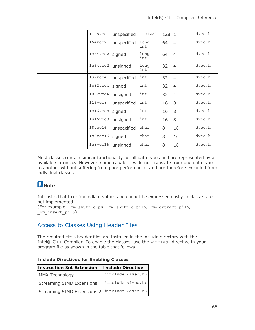| I128vec1 | unspecified | m128i       | 128 | $\mathbf{1}$   | dvec.h |
|----------|-------------|-------------|-----|----------------|--------|
| I64vec2  | unspecified | long<br>int | 64  | $\overline{4}$ | dvec.h |
| Is64vec2 | signed      | long<br>int | 64  | $\overline{4}$ | dvec.h |
| Iu64vec2 | unsigned    | long<br>int | 32  | $\overline{4}$ | dvec.h |
| I32vec4  | unspecified | int         | 32  | $\overline{4}$ | dvec.h |
| Is32vec4 | signed      | int         | 32  | $\overline{4}$ | dvec.h |
| Iu32vec4 | unsigned    | int         | 32  | $\overline{4}$ | dvec.h |
| I16vec8  | unspecified | int         | 16  | 8              | dvec.h |
| Is16vec8 | signed      | int         | 16  | 8              | dvec.h |
| Iu16vec8 | unsigned    | int         | 16  | 8              | dvec.h |
| I8vec16  | unspecified | char        | 8   | 16             | dvec.h |
| Is8vec16 | signed      | char        | 8   | 16             | dvec.h |
| Iu8vec16 | unsigned    | char        | 8   | 16             | dvec.h |

Most classes contain similar functionality for all data types and are represented by all available intrinsics. However, some capabilities do not translate from one data type to another without suffering from poor performance, and are therefore excluded from individual classes.

# **Note**

Intrinsics that take immediate values and cannot be expressed easily in classes are not implemented.

```
(For example, _mm_shuffle_ps, _mm_shuffle_pi16, _mm_extract_pi16, 
mm insert pi16).
```
# Access to Classes Using Header Files

The required class header files are installed in the include directory with the Intel® C++ Compiler. To enable the classes, use the #include directive in your program file as shown in the table that follows.

| <b>Instruction Set Extension</b>                       | Include Directive          |
|--------------------------------------------------------|----------------------------|
| MMX Technology                                         | #include <ivec.h></ivec.h> |
| <b>Streaming SIMD Extensions</b>                       | #include <fvec.h></fvec.h> |
| Streaming SIMD Extensions 2 #include <dvec.h></dvec.h> |                            |

## **Include Directives for Enabling Classes**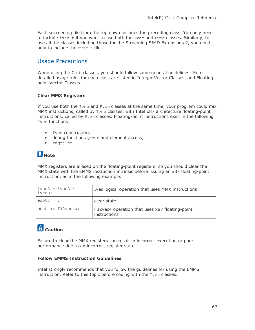Each succeeding file from the top down includes the preceding class. You only need to include fvec.h if you want to use both the Ivec and Fvec classes. Similarly, to use all the classes including those for the Streaming SIMD Extensions 2, you need only to include the dvec.h file.

## Usage Precautions

When using the C++ classes, you should follow some general guidelines. More detailed usage rules for each class are listed in Integer Vector Classes, and Floatingpoint Vector Classes.

## **Clear MMX Registers**

If you use both the Ivec and Fvec classes at the same time, your program could mix MMX instructions, called by Ivec classes, with Intel x87 architecture floating-point instructions, called by Fvec classes. Floating-point instructions exist in the following Fvec functions:

- fvec constructors
- debug functions (cout and element access)
- rsqrt\_nr

# **Note**

MMX registers are aliased on the floating-point registers, so you should clear the MMX state with the EMMS instruction intrinsic before issuing an x87 floating-point instruction, as in the following example.

| $\text{ivecA} = \text{ivecA}$ &<br>ivecB; | Ivec logical operation that uses MMX instructions              |
|-------------------------------------------|----------------------------------------------------------------|
| $empty()$ ;                               | clear state                                                    |
| $\text{cut} \ll \text{f32vec4a}$ ;        | F32vec4 operation that uses x87 floating-point<br>instructions |

# **Caution**

Failure to clear the MMX registers can result in incorrect execution or poor performance due to an incorrect register state.

## **Follow EMMS Instruction Guidelines**

Intel strongly recommends that you follow the guidelines for using the EMMS instruction. Refer to this topic before coding with the Ivec classes.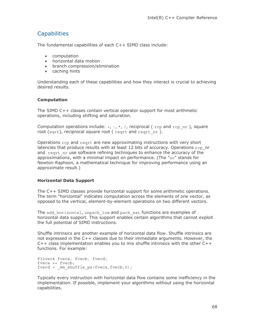# **Capabilities**

The fundamental capabilities of each C++ SIMD class include:

- computation
- horizontal data motion
- branch compression/elimination
- caching hints

Understanding each of these capabilities and how they interact is crucial to achieving desired results.

## **Computation**

The SIMD C++ classes contain vertical operator support for most arithmetic operations, including shifting and saturation.

Computation operations include:  $+$ ,  $-$ ,  $*$ ,  $/$ , reciprocal ( $\text{rep}$  and  $\text{rep}$   $\text{nr}$  ), square root (sqrt), reciprocal square root (rsqrt and rsqrt nr).

Operations rcp and rsqrt are new approximating instructions with very short latencies that produce results with at least 12 bits of accuracy. Operations  $\text{rcp}$  nr and rsqrt pr use software refining techniques to enhance the accuracy of the approximations, with a minimal impact on performance. (The " $n r$ " stands for Newton-Raphson, a mathematical technique for improving performance using an approximate result.)

## **Horizontal Data Support**

The C++ SIMD classes provide horizontal support for some arithmetic operations. The term "horizontal" indicates computation across the elements of one vector, as opposed to the vertical, element-by-element operations on two different vectors.

The add horizontal, unpack low and pack sat functions are examples of horizontal data support. This support enables certain algorithms that cannot exploit the full potential of SIMD instructions.

Shuffle intrinsics are another example of horizontal data flow. Shuffle intrinsics are not expressed in the C++ classes due to their immediate arguments. However, the  $C++$  class implementation enables you to mix shuffle intrinsics with the other  $C++$ functions. For example:

```
F32vec4 fveca, fvecb, fvecd; 
fveca += fvecb;
fvecd = mm shuffle ps(fveca, fvecb, 0);
```
Typically every instruction with horizontal data flow contains some inefficiency in the implementation. If possible, implement your algorithms without using the horizontal capabilities.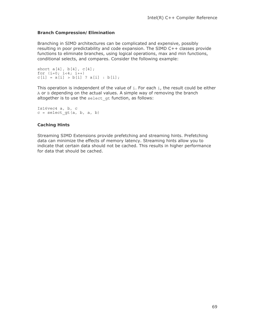## **Branch Compression/Elimination**

Branching in SIMD architectures can be complicated and expensive, possibly resulting in poor predictability and code expansion. The SIMD C++ classes provide functions to eliminate branches, using logical operations, max and min functions, conditional selects, and compares. Consider the following example:

short  $a[4]$ ,  $b[4]$ ,  $c[4]$ ; for  $(i=0; i<4; i++)$  $c[i] = a[i] > b[i]$  ?  $a[i] : b[i]$ ;

This operation is independent of the value of  $\pm$ . For each  $\pm$ , the result could be either A or B depending on the actual values. A simple way of removing the branch altogether is to use the select gt function, as follows:

```
Is16vec4 a, b, c 
c = select qt(a, b, a, b)
```
## **Caching Hints**

Streaming SIMD Extensions provide prefetching and streaming hints. Prefetching data can minimize the effects of memory latency. Streaming hints allow you to indicate that certain data should not be cached. This results in higher performance for data that should be cached.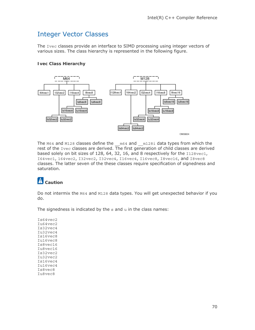# Integer Vector Classes

The Ivec classes provide an interface to SIMD processing using integer vectors of various sizes. The class hierarchy is represented in the following figure.

## **Ivec Class Hierarchy**



The  $M64$  and  $M128$  classes define the  $_{\text{mg}}$  and  $_{\text{m128i}}$  data types from which the rest of the Ivec classes are derived. The first generation of child classes are derived based solely on bit sizes of 128, 64, 32, 16, and 8 respectively for the I128vec1, I64vec1, 164vec2, I32vec2, I32vec4, I16vec4, I16vec8, I8vec16, and I8vec8 classes. The latter seven of the these classes require specification of signedness and saturation.

# **Caution**

Do not intermix the M64 and M128 data types. You will get unexpected behavior if you do.

The signedness is indicated by the  $s$  and  $u$  in the class names:

Is64vec2 Iu64vec2 Is32vec4 Iu32vec4 Is16vec8 Iu16vec8 Is8vec16 Iu8vec16 Is32vec2 Iu32vec2 Is16vec4 Iu16vec4 Is8vec8 Iu8vec8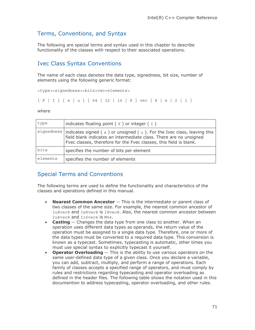# Terms, Conventions, and Syntax

The following are special terms and syntax used in this chapter to describe functionality of the classes with respect to their associated operations.

# Ivec Class Syntax Conventions

The name of each class denotes the data type, signedness, bit size, number of elements using the following generic format:

<type><signedness><bits>vec<elements>

```
{F | I} { s | u } { 64 | 32 | 16 | 8} vec { 8 | 4 | 2 | 1 }
```
where

| type     | indicates floating point $(F)$ or integer $(I)$                                                                                                                                                                                          |
|----------|------------------------------------------------------------------------------------------------------------------------------------------------------------------------------------------------------------------------------------------|
|          | signedness   indicates signed $( s )$ or unsigned $( u )$ . For the Ivec class, leaving this<br>field blank indicates an intermediate class. There are no unsigned<br>Fvec classes, therefore for the Fvec classes, this field is blank. |
| bits     | specifies the number of bits per element                                                                                                                                                                                                 |
| elements | specifies the number of elements                                                                                                                                                                                                         |

## Special Terms and Conventions

The following terms are used to define the functionality and characteristics of the classes and operations defined in this manual.

- **Nearest Common Ancestor** -- This is the intermediate or parent class of two classes of the same size. For example, the nearest common ancestor of Iu8vec8 and Is8vec8 is I8vec8. Also, the nearest common ancestor between Iu8vec8 and I16vec4 is M64.
- **Casting** -- Changes the data type from one class to another. When an operation uses different data types as operands, the return value of the operation must be assigned to a single data type. Therefore, one or more of the data types must be converted to a required data type. This conversion is known as a typecast. Sometimes, typecasting is automatic, other times you must use special syntax to explicitly typecast it yourself.
- **Operator Overloading** -- This is the ability to use various operators on the same user-defined data type of a given class. Once you declare a variable, you can add, subtract, multiply, and perform a range of operations. Each family of classes accepts a specified range of operators, and must comply by rules and restrictions regarding typecasting and operator overloading as defined in the header files. The following table shows the notation used in this documention to address typecasting, operator overloading, and other rules.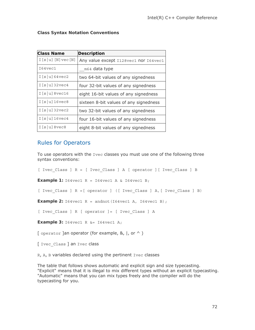| <b>Class Name</b>      | <b>Description</b>                     |
|------------------------|----------------------------------------|
| $I[s u] [N]$ vec $[N]$ | Any value except I128vec1 nor I64vec1  |
| I64vec1                | m64 data type                          |
| $I[s u] 64$ vec2       | two 64-bit values of any signedness    |
| $I[s u]32$ vec4        | four 32-bit values of any signedness   |
| $I[s u]$ 8vec16        | eight 16-bit values of any signedness  |
| $I[s u] 16$ vec8       | sixteen 8-bit values of any signedness |
| $I[s u]$ 32vec2        | two 32-bit values of any signedness    |
| $I[s u] 16$ vec4       | four 16-bit values of any signedness   |
| $I[s u]$ 8 vec 8       | eight 8-bit values of any signedness   |

## **Class Syntax Notation Conventions**

## Rules for Operators

To use operators with the Ivec classes you must use one of the following three syntax conventions:

[ Ivec Class ] R = [ Ivec Class ] A [ operator ] [ Ivec Class ] B

**Example 1:**  $I64 \text{vec1}$  R =  $I64 \text{vec1}$  A &  $I64 \text{vec1}$  B;

[ Ivec Class ] R = [ operator ] ([ Ivec Class ] A, [ Ivec Class ] B)

**Example 2:** I64vec1  $R =$  andnot (I64vec1 A, I64vec1 B);

[ Ivec Class ] R [ operator ]= [ Ivec Class ] A

**Example 3:** I64vec1 R &= I64vec1 A;

[ operator ]an operator (for example,  $\&$ ,  $\vert$ , or  $\wedge$  )

[ Ivec Class ] an Ivec class

R, A, B variables declared using the pertinent Ivec classes

The table that follows shows automatic and explicit sign and size typecasting. "Explicit" means that it is illegal to mix different types without an explicit typecasting. "Automatic" means that you can mix types freely and the compiler will do the typecasting for you.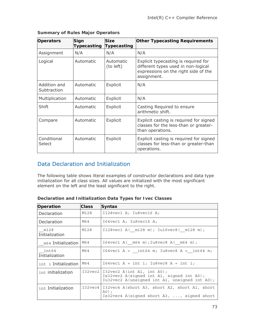| <b>Operators</b>            | Sign<br>Typecasting | Size<br>Typecasting    | <b>Other Typecasting Requirements</b>                                                                                              |
|-----------------------------|---------------------|------------------------|------------------------------------------------------------------------------------------------------------------------------------|
| Assignment                  | N/A                 | N/A                    | N/A                                                                                                                                |
| Logical                     | Automatic           | Automatic<br>(to left) | Explicit typecasting is required for<br>different types used in non-logical<br>expressions on the right side of the<br>assignment. |
| Addition and<br>Subtraction | Automatic           | Explicit               | N/A                                                                                                                                |
| Multiplication              | Automatic           | Explicit               | N/A                                                                                                                                |
| Shift                       | Automatic           | Explicit               | Casting Required to ensure<br>arithmetic shift.                                                                                    |
| Compare                     | Automatic           | Explicit               | Explicit casting is required for signed<br>classes for the less-than or greater-<br>than operations.                               |
| Conditional<br>Select       | Automatic           | Explicit               | Explicit casting is required for signed<br>classes for less-than or greater-than<br>operations.                                    |

## **Summary of Rules Major Operators**

# Data Declaration and Initialization

The following table shows literal examples of constructor declarations and data type initialization for all class sizes. All values are initialized with the most significant element on the left and the least significant to the right.

| Operation               | <b>Class</b> | <b>Syntax</b>                                                                                                                       |
|-------------------------|--------------|-------------------------------------------------------------------------------------------------------------------------------------|
| Declaration             | M128         | I128vec1 A; Iu8vec16 A;                                                                                                             |
| Declaration             | M64          | I64vec1 A; Iu8vec16 A;                                                                                                              |
| m128<br>Initialization  | M128         | $I128$ vec1 A( m128 m); Iu16vec8( m128 m);                                                                                          |
| m64 Initialization      | M64          | $I64$ vec $1 A($ m64 m); Iu8vec8 A(m64 m);                                                                                          |
| int64<br>Initialization | M64          | $I64$ vec $I A = int64$ m; Iu8vec8 A = int64 m;                                                                                     |
| int i Initialization    | M64          | $I64$ vec1 A = int i; Iu8vec8 A = int i;                                                                                            |
| int initialization      |              | I32vec2   I32vec2 A(int A1, int A0);<br>Is32vec2 A(signed int A1, signed int A0);<br>Iu32vec2 A (unsigned int A1, unsigned int A0); |
| int Initialization      |              | I32vec4   I32vec4 A (short A3, short A2, short A1, short<br>$A0$ );<br>Is32vec4 A(signed short A3, , signed short                   |

**Declaration and Initialization Data Types for Ivec Classes**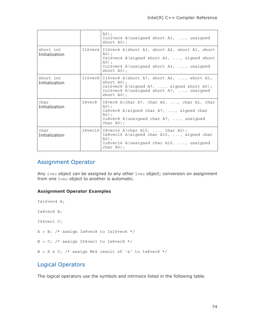|                             |        | $A0$ ):<br>Iu32vec4 A (unsigned short A3, , unsigned<br>short A0);                                                                                                                          |
|-----------------------------|--------|---------------------------------------------------------------------------------------------------------------------------------------------------------------------------------------------|
| short int<br>Initialization |        | I16vec4 I16vec4 A (short A3, short A2, short A1, short<br>$A0$ );<br>Is16vec4 A(signed short A3, , signed short<br>$A0$ );<br>Iu16vec4 A (unsigned short A3, , unsigned<br>short A0);       |
| short int<br>Initialization |        | I16vec8 I16vec8 A (short A7, short A6, , short A1,<br>$short$ AO) $:$<br>Is16 vec8 A(signed A7, $\ldots$ , signed short A0);<br>Iu16vec8 A(unsigned short A7, , unsigned<br>$short$ AO) $:$ |
| char<br>Initialization      | I8vec8 | I8vec8 A(char A7, char A6, $\ldots$ , char A1, char<br>$A0$ );<br>Is8vec8 A(signed char A7, , signed char<br>$A0$ );<br>Iu8vec8 A (unsigned char $A7, \ldots$ , unsigned<br>$char A0$ :     |
| char<br>Initialization      |        | $I8vec16$   $I8vec16$ A(char A15, , char A0);<br>Is8vec16 A(signed char A15, , signed char<br>$A0$ );<br>Iu8vec16 A (unsigned char A15, , unsigned<br>char A0);                             |

## Assignment Operator

Any Ivec object can be assigned to any other Ivec object; conversion on assignment from one Ivec object to another is automatic.

## **Assignment Operator Examples**

Is16vec4 A; Is8vec8 B; I64vec1 C;  $A = B$ ; /\* assign Is8vec8 to Is16vec4 \*/ B = C;  $/*$  assign I64vec1 to Is8vec8 \*/ B = A & C;  $/*$  assign M64 result of '&' to Is8vec8 \*/

# Logical Operators

The logical operators use the symbols and intrinsics listed in the following table.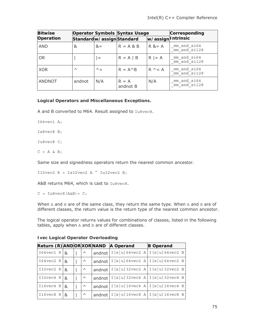| <b>Bitwise</b> |          |                          | Operator Symbols Syntax Usage |                    | Corresponding                                          |
|----------------|----------|--------------------------|-------------------------------|--------------------|--------------------------------------------------------|
| Operation      |          | Standardw/assignStandard |                               | w/assign Intrinsic |                                                        |
| <b>AND</b>     | &        | $\&=$                    | $R = A & B$                   | $R$ &= A           | _mm_and si64<br>$m$ and $\sin 128$                     |
| <b>OR</b>      |          | $=$                      | $R = A \mid B$                | $R \mid = A$       | mm and si64<br>$\overline{mm}$ and $\overline{s}$ i128 |
| <b>XOR</b>     | $\wedge$ | $\wedge$ $=$             | $R = A^{\wedge}B$             | $R^{\wedge} = A$   | mm and si64<br>mm and si128                            |
| <b>ANDNOT</b>  | andnot   | N/A                      | $R = A$<br>andnot B           | N/A                | mm and si64<br>$mm$ and $sl128$                        |

## **Logical Operators and Miscellaneous Exceptions.**

A and B converted to M64. Result assigned to Iu8vec8.

I64vec1 A;

Is8vec8 B;

Iu8vec8 C;

 $C = A & E$  B;

Same size and signedness operators return the nearest common ancestor.

I32vec2 R = Is32vec2 A  $^{\wedge}$  Iu32vec2 B;

A&B returns M64, which is cast to Iu8vec8.

 $C = Iu8vec8(A&B) + C;$ 

When  $A$  and  $B$  are of the same class, they return the same type. When  $A$  and  $B$  are of different classes, the return value is the return type of the nearest common ancestor.

The logical operator returns values for combinations of classes, listed in the following tables, apply when A and B are of different classes.

|                                  |  |           | Return (R) AND OR XOR NAND A Operand                                   | <b>B</b> Operand |
|----------------------------------|--|-----------|------------------------------------------------------------------------|------------------|
| $I64$ vec $1 R$ $8$              |  | $\lambda$ | andnot $I[s u] 64 \text{vec2 A} I[s u] 64 \text{vec2 B}$               |                  |
| $I64$ vec $2 R$ <sub>&amp;</sub> |  | $\sim$    | andnot $\left I[s u]\right $ 64 vec2 A $\left I[s u]\right $ 64 vec2 B |                  |
| $I32vec2$ R $\&$                 |  | $\wedge$  | andnot $I[s u]$ 32vec2 A $I[s u]$ 32vec2 B                             |                  |
| $I32vec4$ R $\&$                 |  | $\wedge$  | andnot $I[s u]$ 32vec4 A $I[s u]$ 32vec4 B                             |                  |
| $I16vec4$ R $\&$                 |  | $\wedge$  | andnot $\boxed{I[s u] 16$ vec $4$ A $\boxed{I[s u] 16$ vec $4$ B       |                  |
| $I16$ vec8 R $\alpha$            |  | $\lambda$ | andnot $I[s u]16$ vec8 A $I[s u]16$ vec8 B                             |                  |

**Ivec Logical Operator Overloading**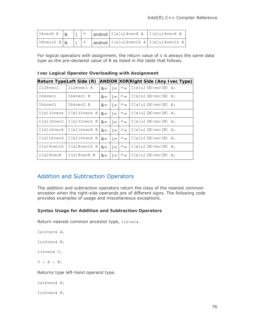|  |  | $ I8 \vee c16 R 8$     ^  andnot  I[s u] 8vec16 A   I[s u] 8vec16 B |  |
|--|--|---------------------------------------------------------------------|--|

For logical operators with assignment, the return value of  $R$  is always the same data type as the pre-declared value of R as listed in the table that follows.

|                   | Return TypeLeft Side (R) |       |     |             | <b>ANDOR XORRight Side (Any Ivec Type)</b> |
|-------------------|--------------------------|-------|-----|-------------|--------------------------------------------|
| I128vec1          | I128vec1 R               | $8 =$ | $=$ |             | $\wedge$ =   I [s   u] [N] vec [N] A;      |
| I64vec1           | 164 vec1 R               | $8 =$ | $=$ | $\wedge$ =  | $I[s u] [N]$ vec $[N]$ A;                  |
| I64vec2           | 164 vec2 R               | $8 =$ | $=$ |             | $\lambda$ = $[I[s u][N]$ vec [N] A;        |
| I[x]32vec4        | $I[x]$ 32vec4 R          | $&=$  | $=$ |             | $\lambda$ = $[I[s u][N]$ vec [N] A;        |
| $I[x]32$ vec $2$  | I[x]32vec2 R             | $&=$  | $=$ |             | $\lambda$ = $[I[s u][N]$ vec [N] A;        |
| $I[x] 16$ vec8    | $I[x] 16$ vec8 R         | $&=$  | $=$ | $\wedge$ =  | $I[s u] [N]$ vec [N] A;                    |
| $I[x] 16$ vec $4$ | $I[x] 16$ vec $4$ R      | $&=$  | $=$ |             | $\lambda$ = $[I[s u][N]$ vec [N] A;        |
| $I[x] 8$ vec16    | $I[x]$ 8 vec $16$ R      | $&=$  | $=$ |             | $\wedge$ = $[I[s u][N]$ vec [N] A;         |
| $I[x] 8$ vec $8$  | $I[x] 8$ vec $8R$        | $&=$  | $=$ | $\lambda =$ | $I[s u] [N]$ vec $[N]$ A;                  |

**Ivec Logical Operator Overloading with Assignment** 

# Addition and Subtraction Operators

The addition and subtraction operators return the class of the nearest common ancestor when the right-side operands are of different signs. The following code provides examples of usage and miscellaneous exceptions.

## **Syntax Usage for Addition and Subtraction Operators**

Return nearest common ancestor type, I16vec4.

Is16vec4 A;

Iu16vec4 B;

I16vec4 C;

 $C = A + B;$ 

Returns type left-hand operand type.

Is16vec4 A;

Iu16vec4 B;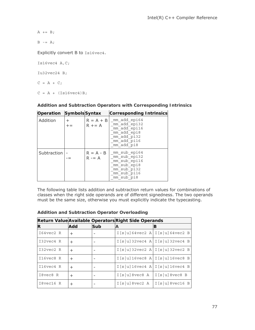A  $+= B;$ 

 $B - = A;$ 

Explicitly convert B to Is16vec4.

Is16vec4 A,C;

Iu32vec24 B;

 $C = A + C;$ 

 $C = A + (Is16vec4)B;$ 

| <b>Operation</b> | <b>Symbols</b> Syntax |                          | Corresponding Intrinsics                                                                                |
|------------------|-----------------------|--------------------------|---------------------------------------------------------------------------------------------------------|
| Addition         | $\pm$<br>$+=$         | $R = A + B$<br>$R + = A$ | mm add epi64<br>mm add epi32<br>mm add epi16<br>mm add epi8<br>mm add pi32<br>mm add pi16<br>mm add pi8 |
| Subtraction      |                       | $R = A - B$<br>$R - A$   | mm sub epi64<br>mm sub epi32<br>mm sub epi16<br>mm sub epi8<br>mm sub pi32<br>mm sub pi16<br>mm sub pi8 |

#### **Addition and Subtraction Operators with Corresponding Intrinsics**

The following table lists addition and subtraction return values for combinations of classes when the right side operands are of different signedness. The two operands must be the same size, otherwise you must explicitly indicate the typecasting.

| Return Value Available Operators Right Side Operands |        |            |                    |                                             |  |  |  |
|------------------------------------------------------|--------|------------|--------------------|---------------------------------------------|--|--|--|
| R                                                    | Add    | <b>Sub</b> | A                  |                                             |  |  |  |
| I64vec2 R                                            | $^{+}$ |            |                    | $I[s u] 64$ vec2 A $I[s u] 64$ vec2 B       |  |  |  |
| I32vec4 R                                            | $^{+}$ |            |                    | $I[s u]$ 32vec4 A $I[s u]$ 32vec4 B         |  |  |  |
| I32vec2 R                                            | $\pm$  |            |                    | $I[s u]$ 32vec2 A $I[s u]$ 32vec2 B         |  |  |  |
| I16yec8 R                                            | $\pm$  |            |                    | $I[s u]$ 16vec8 A $I[s u]$ 16vec8 B         |  |  |  |
| I16vec4 R                                            | $\pm$  |            |                    | $I[s u] 16$ vec $4$ A $I[s u] 16$ vec $4$ B |  |  |  |
| I8vec8 R                                             | $\pm$  |            | $I[s u]$ 8 vec 8 A | $I[s u]$ 8vec8 B                            |  |  |  |
| I8vec16 R                                            | $\pm$  |            | $I[s u]$ 8vec2 A   | $I[s u]$ 8vec16 B                           |  |  |  |

#### **Addition and Subtraction Operator Overloading**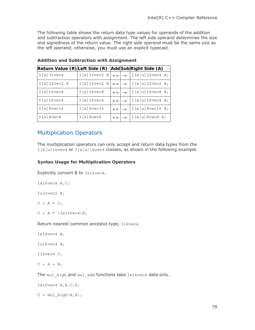The following table shows the return data type values for operands of the addition and subtraction operators with assignment. The left side operand determines the size and signedness of the return value. The right side operand must be the same size as the left operand; otherwise, you must use an explicit typecast.

| Return Value (R) Left Side (R) |                   |              | Add Sub Right Side (A)                                                                          |
|--------------------------------|-------------------|--------------|-------------------------------------------------------------------------------------------------|
| I[x]32vec4                     | I[x]32vec2 R      |              | $+$ = $-$ I [s   u] 32 vec4 A;                                                                  |
| $I[x]$ 32vec2 R                |                   |              | $I[x] 32 \text{vec2 } R$ $\left  \frac{1}{1} \right  = \left  I[s u] 32 \text{vec2 } A \right $ |
| $I[x] 16$ vec8                 | $I[x] 16$ vec $8$ |              | $+ =  - =   I [s   u] 16 \text{vec8 A};$                                                        |
| $I[x] 16$ vec $4$              | $I[x] 16$ vec $4$ | $+=$ $  - =$ | $I[s u] 16$ vec $4$ A;                                                                          |
| $I[x] 8$ vec16                 | $I[x] 8$ vec $16$ | $+=$ $-$     | $I[s u]$ 8vec16 A;                                                                              |
| I[x] 8vec8                     | $I[x]$ 8 vec 8    | $+=$ $-$     | $I[s u]$ 8vec8 A;                                                                               |

## **Addition and Subtraction with Assignment**

## Multiplication Operators

The multiplication operators can only accept and return data types from the  $I[s|u]16vec4$  or  $I[s|u]16vec8$  classes, as shown in the following example.

#### **Syntax Usage for Multiplication Operators**

Explicitly convert B to Is16vec4.

 $Is16vec4 A, C;$ 

Iu32vec2 B;

 $C = A * C;$ 

 $C = A * (Is16vec4)B;$ 

Return nearest common ancestor type, I16vec4

Is16vec4 A;

Iu16vec4 B;

I16vec4 C;

 $C = A + B;$ 

The mul high and mul add functions take Is16vec4 data only.

Is16vec4 A,B,C,D;

 $C = mul$  high $(A, B)$ ;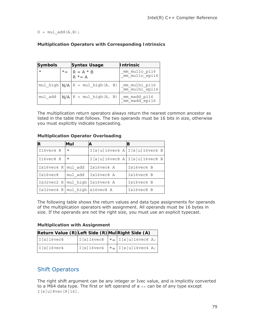$D = mul\_add(A, B);$ 

| <b>Symbols</b> | <b>Syntax Usage</b>                                     | Intrinsic                        |
|----------------|---------------------------------------------------------|----------------------------------|
| $\ast$         | *= $R = A * B$<br>$R * = A$                             | _mm_mullo_pi16<br>mm mullo epi16 |
|                | $mul_high N/A R = mul_high(A, B) mm_mulhi_pil6$         | mm mulhi epi16                   |
|                | $mul\_add   N/A   R = mul\_high(A, B)   _mm\_mad\_p116$ | mm madd epi16                    |

## **Multiplication Operators with Corresponding Intrinsics**

The multiplication return operators always return the nearest common ancestor as listed in the table that follows. The two operands must be 16 bits in size, otherwise you must explicitly indicate typecasting.

| R                                 | Mul     | А                                         | в          |
|-----------------------------------|---------|-------------------------------------------|------------|
| I16vec4 R                         | $\ast$  | $I[s u]16$ vec $4$ A $I[s u]16$ vec $4$ B |            |
| I16vec8 R                         | $\ast$  | $I[s u]16$ vec $8 A[I[s u]16$ vec $8 B$   |            |
| Is16vec4 R mul add                |         | Is16vec4 A                                | Is16vec4 B |
| Is16vec8                          | mul add | Is16vec8 A                                | Is16vec8 B |
|                                   |         | Is32vec2 R mul high   Is16vec4 A          | Is16vec4 B |
| Is32vec4 R   mul high   s16vec8 A |         |                                           | Is16vec8 B |

#### **Multiplication Operator Overloading**

The following table shows the return values and data type assignments for operands of the multiplication operators with assignment. All operands must be 16 bytes in size. If the operands are not the right size, you must use an explicit typecast.

## **Multiplication with Assignment**

| Return Value (R) Left Side (R) Mul Right Side (A) |  |                                                         |
|---------------------------------------------------|--|---------------------------------------------------------|
| $I[x] 16$ vec $8$                                 |  | $I[x]16$ vec $8$ $* = I[s]$ u]16vec $8$ A;              |
| $I[x] 16$ vec $4$                                 |  | $I[x] 16 \text{vec4}$ $* = I[s] u] 16 \text{vec4}$ $A;$ |

# Shift Operators

The right shift argument can be any integer or Ivec value, and is implicitly converted to a M64 data type. The first or left operand of a << can be of any type except I[s|u]8vec[8|16].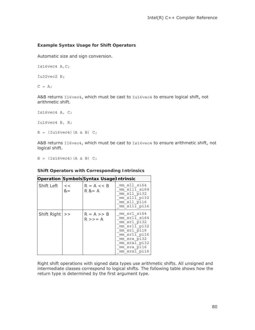## **Example Syntax Usage for Shift Operators**

Automatic size and sign conversion.

Is16vec4 A,C;

Iu32vec2 B;

 $C = A;$ 

A&B returns I16vec4, which must be cast to Iu16vec4 to ensure logical shift, not arithmetic shift.

Is16vec4 A, C;

Iu16vec4 B, R;

 $R = (Iul6vec4) (A & B) C;$ 

A&B returns I16vec4, which must be cast to Is16vec4 to ensure arithmetic shift, not logical shift.

 $R = (Is16vec4) (A & B) C;$ 

|             |                 | Operation Symbols Syntax Usage Intrinsic |                                                                                                                                                         |
|-------------|-----------------|------------------------------------------|---------------------------------------------------------------------------------------------------------------------------------------------------------|
| Shift Left  | $\,<\,$<br>$&=$ | $R = A << B$<br>$R \& = A$               | mm sll si64<br>$mm$ sll $\overline{1}$ si64<br>mm sll pi32<br>mm slli pi32<br>mm sll pi16<br>$mm \text{ sll}\overline{1} \text{ pil}$                   |
| Shift Right | $\geq$          | $R = A \gg B$<br>$R \gg = A$             | mm srl si64<br>mm srli si64<br>mm srl pi32<br>mm srli pi32<br>mm srl pi16<br>mm srli pi16<br>mm sra pi32<br>mm srai pi32<br>mm sra pi16<br>mm srai pi16 |

#### **Shift Operators with Corresponding Intrinsics**

Right shift operations with signed data types use arithmetic shifts. All unsigned and intermediate classes correspond to logical shifts. The following table shows how the return type is determined by the first argument type.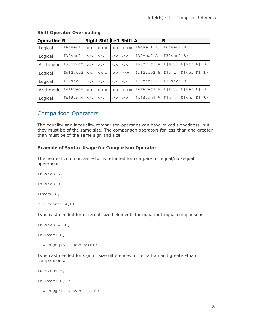| Operation <sub>R</sub> |         | Right ShiftLeft Shift A |  |                                           | lB.                                                                                                                                                                                                                                                                                                                                                                                                                                                                                                                                           |
|------------------------|---------|-------------------------|--|-------------------------------------------|-----------------------------------------------------------------------------------------------------------------------------------------------------------------------------------------------------------------------------------------------------------------------------------------------------------------------------------------------------------------------------------------------------------------------------------------------------------------------------------------------------------------------------------------------|
| Logical                | I64vec1 |                         |  | $ >> >>= << <<= $ I64vec1 A;   I64vec1 B; |                                                                                                                                                                                                                                                                                                                                                                                                                                                                                                                                               |
| Logical                | I32vec2 |                         |  | >>  >>=  << <<= I32vec2 A                 | I32 $vec2$ B;                                                                                                                                                                                                                                                                                                                                                                                                                                                                                                                                 |
| Arithmetic             |         |                         |  |                                           | Is32vec2 $ >> >>  <<  << $ Is32vec2 A I [s   u] [N] vec [N] B;                                                                                                                                                                                                                                                                                                                                                                                                                                                                                |
| Logical                |         |                         |  |                                           | Iu32vec2 >> >>= $  \langle \langle \rangle \rangle$ = $  \langle \rangle \rangle$ = $  \langle \rangle \rangle$ = $  \langle \rangle \rangle$ = $  \langle \rangle \rangle$ = $  \langle \rangle$ = $  \langle \rangle \rangle$ = $  \langle \rangle \rangle$ = $  \langle \rangle \rangle$ = $  \langle \rangle \rangle$ = $  \langle \rangle \rangle$ = $  \langle \rangle \rangle$ = $  \langle \rangle \rangle$ = $  \langle \rangle \rangle$ = $  \langle \rangle \rangle$ = $  \langle \rangle \rangle$ = $  \langle \rangle \rangle$ = |
| Logical                | I16vec4 |                         |  | $ >> >>= << <<= 116 \text{vec4 A} $       | Il6vec4 B                                                                                                                                                                                                                                                                                                                                                                                                                                                                                                                                     |
| Arithmetic             |         |                         |  |                                           | Is16vec4  >>  >>= $ << << $ Is16vec4 A   I [s   u] [N] vec [N] B;                                                                                                                                                                                                                                                                                                                                                                                                                                                                             |
| Logical                |         |                         |  |                                           | Iu16vec4   >>   >> = $  <<   <<  $ Iu16vec4 A   I [s   u] [N] vec [N] B;                                                                                                                                                                                                                                                                                                                                                                                                                                                                      |

#### **Shift Operator Overloading**

# Comparison Operators

The equality and inequality comparison operands can have mixed signedness, but they must be of the same size. The comparison operators for less-than and greaterthan must be of the same sign and size.

## **Example of Syntax Usage for Comparison Operator**

The nearest common ancestor is returned for compare for equal/not-equal operations.

Iu8vec8 A; Is8vec8 B;

I8vec8 C;

 $C =$  cmpneq(A,B);

Type cast needed for different-sized elements for equal/not-equal comparisons.

Iu8vec8 A, C;

Is16vec4 B;

 $C = \text{cmpeq}(A, (Iu8vec8)B);$ 

Type cast needed for sign or size differences for less-than and greater-than comparisons.

```
Iu16vec4 A; 
Is16vec4 B, C; 
C = \text{cmpge} ((Is16vec4)A, B);
```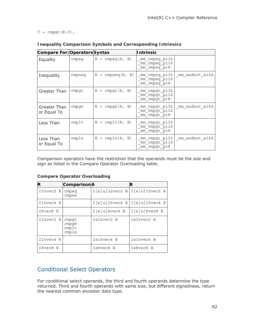## $C = \text{cmpgt}(B, C);$

| Compare For: Operators Syntax |          |                          | <b>Intrinsic</b>                               |                                |  |  |  |
|-------------------------------|----------|--------------------------|------------------------------------------------|--------------------------------|--|--|--|
| Equality                      | cmpeq    | $R = cmpeq(A, B)$        | mm cmpeq pi32<br>mm cmpeq pi16<br>mm cmpeq pi8 |                                |  |  |  |
| Inequality                    | cmpneg   | $R = cm$ pneq(A, B)      | mm cmpeq pi32<br>mm cmpeq pi16<br>mm cmpeq pi8 | mm andnot si64                 |  |  |  |
| Greater Than                  | cmpgt    | $R = \text{cmpqt}(A, B)$ | mm cmpqt pi32<br>mm cmpgt pi16<br>mm cmpqt pi8 |                                |  |  |  |
| Greater Than<br>or Equal To   | cmpge    | $R = \text{cmpge}(A, B)$ | mm_cmpgt_pi32<br>mm cmpgt pi16<br>mm cmpgt pi8 | mm andnot si64                 |  |  |  |
| Less Than                     | $cm$ plt | $R = \text{cmplt}(A, B)$ | mm cmpqt pi32<br>mm cmpgt pi16<br>mm cmpqt pi8 |                                |  |  |  |
| Less Than<br>or Equal To      | cmple    | $R = \text{cmple}(A, B)$ | mm cmpgt pi16<br>mm cmpgt pi8                  | mm cmpgt pi32   mm andnot si64 |  |  |  |

## **Inequality Comparison Symbols and Corresponding Intrinsics**

Comparison operators have the restriction that the operands must be the size and sign as listed in the Compare Operator Overloading table.

| R           | ComparisonA                         |                    | В                                           |
|-------------|-------------------------------------|--------------------|---------------------------------------------|
| $I32vec2$ R | cmpeg<br>cmpne                      |                    | $I[s u]$ 32vec2 B $I[s u]$ 32vec2 B         |
| I16vec4 R   |                                     |                    | $I[s u] 16$ vec $4$ B $I[s u] 16$ vec $4$ B |
| I8vec8 R    |                                     | $I[s u]$ 8 vec 8 B | $I[s u]$ 8 vec 8 B                          |
| I32vec2 R   | cmpqt<br>cmpqe<br>$cm$ plt<br>cmple | Is32vec2 B         | Is32vec2 B                                  |
| I16vec4 R   |                                     | Is16vec4 B         | Is16vec4 B                                  |
| I8vec8 R    |                                     | Is8vec8 B          | Is8vec8 B                                   |

## **Compare Operator Overloading**

# Conditional Select Operators

For conditional select operands, the third and fourth operands determine the type returned. Third and fourth operands with same size, but different signedness, return the nearest common ancestor data type.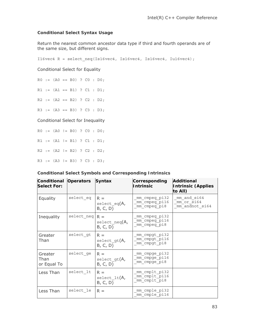## **Conditional Select Syntax Usage**

Return the nearest common ancestor data type if third and fourth operands are of the same size, but different signs.

I16vec4 R = select\_neq(Is16vec4, Is16vec4, Is16vec4, Iu16vec4);

#### Conditional Select for Equality

 $RO := (AO == BO) ? CO : DO;$ 

 $R1 := (A1 == B1) ? C1 : D1;$ 

R2 :=  $(A2 == B2)$  ? C2 : D2;

R3 :=  $(A3 == B3)$  ? C3 : D3;

#### Conditional Select for Inequality

 $RO := (AO != BO) ? CO : DO;$ 

 $R1 := (A1 != B1) ? C1 : D1;$ 

R2 :=  $(A2 \mid B2)$  ? C2 : D2;

R3 := (A3 != B3) ? C3 : D3;

## **Conditional Select Symbols and Corresponding Intrinsics**

| Conditional Operators<br><b>Select For:</b> |            | Syntax                              | Corresponding<br><b>Intrinsic</b>              | Additional<br><b>Intrinsic (Applies</b><br>to All) |
|---------------------------------------------|------------|-------------------------------------|------------------------------------------------|----------------------------------------------------|
| Equality                                    | select eq  | $R =$<br>select eq $(A,$<br>B, C, D | mm cmpeq pi32<br>mm cmpeq pi16<br>mm cmpeq pi8 | mm and si64<br>mm or si64<br>mm andnot si64        |
| Inequality                                  | select neq | $R =$<br>select $neq(A,$<br>B, C, D | mm cmpeq pi32<br>mm cmpeq pi16<br>mm cmpeq pi8 |                                                    |
| Greater<br>Than                             | select gt  | $R =$<br>select $gt(A,$<br>B, C, D  | mm cmpgt pi32<br>mm cmpgt pi16<br>mm cmpgt pi8 |                                                    |
| Greater<br>Than<br>or Equal To              | select ge  | $R =$<br>select $gt(A,$<br>B, C, D  | mm cmpge pi32<br>mm cmpge pi16<br>mm cmpge pi8 |                                                    |
| Less Than                                   | select lt  | $R =$<br>select $lt(A,$<br>B, C, D  | mm cmplt pi32<br>mm cmplt pi16<br>mm cmplt pi8 |                                                    |
| Less Than                                   | select le  | $R =$                               | mm cmple pi32<br>mm cmple pi16                 |                                                    |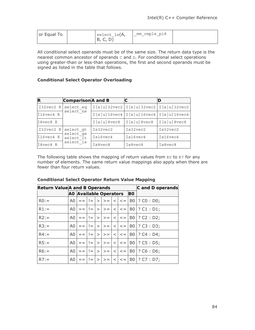| or Equal To | select $le(A,$<br>B, C, D | _mm_cmple_pi8 |  |
|-------------|---------------------------|---------------|--|
|             |                           |               |  |

All conditional select operands must be of the same size. The return data type is the nearest common ancestor of operands C and D. For conditional select operations using greater-than or less-than operations, the first and second operands must be signed as listed in the table that follows.

## **Conditional Select Operator Overloading**

| $\mathsf R$ | Comparison <sub>A</sub> and B |                  |                                                         |                |  |
|-------------|-------------------------------|------------------|---------------------------------------------------------|----------------|--|
| I32vec2 R   | select eq                     |                  | $I[s u]$ 32vec2 $I[s u]$ 32vec2 $I[s u]$ 32vec2         |                |  |
| I16vec4 R   | select_ne                     |                  | $I[s u] 16$ vec $4 I[s u] 16$ vec $4 I[s u] 16$ vec $4$ |                |  |
| I8vec8 R    |                               | $I[s u]$ 8 vec 8 | $I[s u]$ 8vec8                                          | $I[s u]$ 8vec8 |  |
| I32vec2 R   | select qt                     | Is32vec2         | Is32vec2                                                | Is32vec2       |  |
| I16vec4 R   | select ge<br>select lt        | Is16vec4         | Is16vec4                                                | Is16vec4       |  |
| I8vec8 R    | select le                     | Is8vec8          | Is8vec8                                                 | Is8vec8        |  |

The following table shows the mapping of return values from R0 to R7 for any number of elements. The same return value mappings also apply when there are fewer than four return values.

|         | <b>Return Value A and B Operands</b> |                        |  |  |  |           |  |  |                                                                                |  |  |  |
|---------|--------------------------------------|------------------------|--|--|--|-----------|--|--|--------------------------------------------------------------------------------|--|--|--|
|         |                                      | AO Available Operators |  |  |  | <b>BO</b> |  |  |                                                                                |  |  |  |
| $RO:=$  |                                      |                        |  |  |  |           |  |  | $ A0  =  B  =  B  >  B  =  C  =  B0 $ ? C0 : D0;                               |  |  |  |
| $R1 :=$ |                                      |                        |  |  |  |           |  |  | $ A0  ==  != > >= < <= B0 $ ? C1 : D1;                                         |  |  |  |
| $R2 :=$ |                                      |                        |  |  |  |           |  |  | $A0$ = = $ 1= $ > $ $ > = $ $ < $ $ < = $ $ B0 $ $ ? C2 : D2;                  |  |  |  |
| $R3 :=$ |                                      |                        |  |  |  |           |  |  | $ A0  ==  != > > - < <= B0 $ ? C3 : D3;                                        |  |  |  |
| $R4 :=$ |                                      |                        |  |  |  |           |  |  | $ A0  ==  != > > - < <= B0 $ ? C4 : D4;                                        |  |  |  |
| $R5 :=$ | A <sub>0</sub>                       |                        |  |  |  |           |  |  | $=$ $  =$ $ >$ $ >$ $=$ $ <$ $ <$ $=$ $ $ B0 $ $ ? C5 : D5;                    |  |  |  |
| $R6 :=$ | AO <sub>1</sub>                      |                        |  |  |  |           |  |  | $=$ $ !$ $=$ $ $ $>$ $ $ $>$ $=$ $ $ $<$ $ $ $ $ $<$ $=$ $ $ B0 $ $ ? C6 : D6; |  |  |  |
| $R7 :=$ | A0                                   |                        |  |  |  |           |  |  |                                                                                |  |  |  |

## **Conditional Select Operator Return Value Mapping**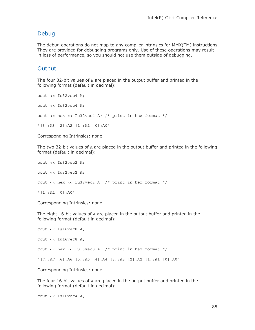## Debug

The debug operations do not map to any compiler intrinsics for MMX(TM) instructions. They are provided for debugging programs only. Use of these operations may result in loss of performance, so you should not use them outside of debugging.

## **Output**

The four 32-bit values of A are placed in the output buffer and printed in the following format (default in decimal):

cout << Is32vec4 A; cout << Iu32vec4 A; cout << hex << Iu32vec4 A; /\* print in hex format \*/ "[3]:A3 [2]:A2 [1]:A1 [0]:A0"

Corresponding Intrinsics: none

The two 32-bit values of  $A$  are placed in the output buffer and printed in the following format (default in decimal):

cout << Is32vec2 A; cout << Iu32vec2 A; cout << hex << Iu32vec2 A; /\* print in hex format \*/ "[1]:A1 [0]:A0"

Corresponding Intrinsics: none

The eight 16-bit values of A are placed in the output buffer and printed in the following format (default in decimal):

cout << Is16vec8 A; cout << Iu16vec8 A; cout << hex << Iu16vec8 A; /\* print in hex format \*/ "[7]:A7 [6]:A6 [5]:A5 [4]:A4 [3]:A3 [2]:A2 [1]:A1 [0]:A0"

Corresponding Intrinsics: none

The four  $16$ -bit values of A are placed in the output buffer and printed in the following format (default in decimal):

cout << Is16vec4 A;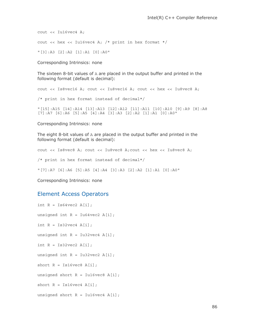cout << Iu16vec4 A; cout << hex << Iu16vec4 A; /\* print in hex format \*/ "[3]:A3 [2]:A2 [1]:A1 [0]:A0"

Corresponding Intrinsics: none

The sixteen 8-bit values of  $A$  are placed in the output buffer and printed in the following format (default is decimal):

cout << Is8vec16 A; cout << Iu8vec16 A; cout << hex << Iu8vec8 A;

/\* print in hex format instead of decimal\*/

"[15]:A15 [14]:A14 [13]:A13 [12]:A12 [11]:A11 [10]:A10 [9]:A9 [8]:A8 [7]:A7 [6]:A6 [5]:A5 [4]:A4 [3]:A3 [2]:A2 [1]:A1 [0]:A0"

Corresponding Intrinsics: none

The eight 8-bit values of A are placed in the output buffer and printed in the following format (default is decimal):

cout << Is8vec8 A; cout << Iu8vec8 A;cout << hex << Iu8vec8 A;

/\* print in hex format instead of decimal\*/

"[7]:A7 [6]:A6 [5]:A5 [4]:A4 [3]:A3 [2]:A2 [1]:A1 [0]:A0"

Corresponding Intrinsics: none

#### Element Access Operators

int  $R = Is64$ vec2  $A[i]$ ; unsigned int  $R = Iu64$ vec2 A[i]; int  $R = Is32vec4$  A[i]; unsigned int  $R = Iu32vec4$  A[i]; int  $R = Is32vec2 A[i];$ unsigned int  $R = Iu32vec2 A[i];$ short  $R = Is16$ vec $8$  A[i]; unsigned short  $R = I$ u16vec8 A[i]; short  $R = Is16vec4$  A[i]; unsigned short  $R = I$ u16vec4 A[i];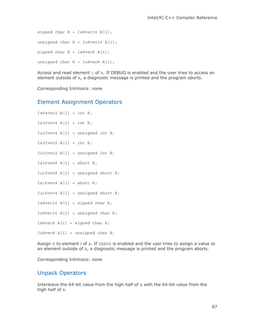signed char  $R = Is8$ vec16 A[i]; unsigned char  $R = Iu8vec16 A[i];$ signed char  $R = Is8vec8$  A[i]; unsigned char  $R = Iu8vec8$  A[i];

Access and read element i of A. If DEBUG is enabled and the user tries to access an element outside of A, a diagnostic message is printed and the program aborts.

Corresponding Intrinsics: none

## Element Assignment Operators

Is64vec2  $A[i] = int R;$  $Is32vec4 A[i] = int R;$ Iu32vec4 A[i] = unsigned int  $R$ ; Is32vec2  $A[i] = int R;$ Iu32vec2  $A[i]$  = unsigned int R; Is16vec8  $A[i] = short R;$ Iu16vec8 A[i] = unsigned short  $R$ ; Is16vec4  $A[i] = short R;$ Iu16vec4 A[i] = unsigned short  $R$ ; Is8vec16 A[i] = signed char  $R$ ; Iu8vec16 A[i] = unsigned char  $R$ ; Is8vec8  $A[i] =$  signed char  $R$ ; Iu8vec8 A[i] = unsigned char  $R$ ;

Assign R to element i of A. If DEBUG is enabled and the user tries to assign a value to an element outside of A, a diagnostic message is printed and the program aborts.

Corresponding Intrinsics: none

## Unpack Operators

Interleave the 64-bit value from the high half of A with the 64-bit value from the high half of B.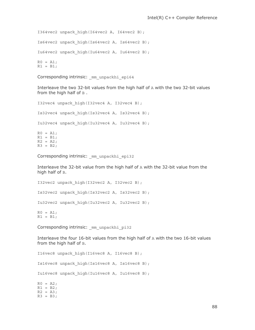```
I364vec2 unpack_high(I64vec2 A, I64vec2 B); 
Is64vec2 unpack_high(Is64vec2 A, Is64vec2 B); 
Iu64vec2 unpack_high(Iu64vec2 A, Iu64vec2 B); 
RO = A1;R1 = B1;
```
Corresponding intrinsic: mm unpackhi epi64

Interleave the two 32-bit values from the high half of A with the two 32-bit values from the high half of B .

```
I32vec4 unpack high(I32vec4 A, I32vec4 B);
Is32vec4 unpack high(Is32vec4 A, Is32vec4 B);
Iu32vec4 unpack_high(Iu32vec4 A, Iu32vec4 B); 
RO = A1;R1 = B1;R2 = A2;R3 = B2;
```
Corresponding intrinsic: mm unpackhi epi32

Interleave the 32-bit value from the high half of A with the 32-bit value from the high half of B.

```
I32vec2 unpack_high(I32vec2 A, I32vec2 B); 
Is32vec2 unpack_high(Is32vec2 A, Is32vec2 B); 
Iu32vec2 unpack_high(Iu32vec2 A, Iu32vec2 B); 
RO = A1;
```
 $R1 = B1;$ 

Corresponding intrinsic: mm unpackhi pi32

Interleave the four 16-bit values from the high half of A with the two 16-bit values from the high half of B.

```
I16vec8 unpack_high(I16vec8 A, I16vec8 B); 
Is16vec8 unpack high(Is16vec8 A, Is16vec8 B);
Iu16vec8 unpack_high(Iu16vec8 A, Iu16vec8 B); 
RO = A2;R1 = B2;R2 = A3;R3 = B3;
```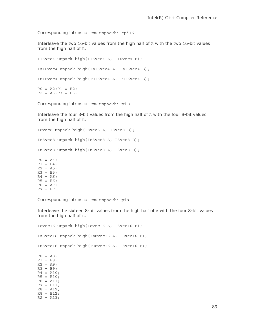Corresponding intrinsic: mm unpackhi epi16

Interleave the two 16-bit values from the high half of A with the two 16-bit values from the high half of B.

```
I16vec4 unpack high(I16vec4 A, I16vec4 B);
Is16vec4 unpack_high(Is16vec4 A, Is16vec4 B); 
Iu16vec4 unpack_high(Iu16vec4 A, Iu16vec4 B); 
R0 = A2; R1 = B2;R2 = A3; R3 = B3;
```
Corresponding intrinsic: mm unpackhi pi16

Interleave the four 8-bit values from the high half of A with the four 8-bit values from the high half of B.

```
I8vec8 unpack_high(I8vec8 A, I8vec8 B); 
Is8vec8 unpack_high(Is8vec8 A, I8vec8 B); 
Iu8vec8 unpack_high(Iu8vec8 A, I8vec8 B); 
RO = A4;R1 = B4;
R2 = A5;R3 = B5;R4 = A6;R5 = B6;
```
Corresponding intrinsic: mm\_unpackhi\_pi8

 $R6 = A7;$  $R7 = B7;$ 

Interleave the sixteen 8-bit values from the high half of A with the four 8-bit values from the high half of B.

```
I8vec16 unpack high(I8vec16 A, I8vec16 B);
Is8vec16 unpack high(Is8vec16 A, I8vec16 B);
Iu8vec16 unpack high(Iu8vec16 A, I8vec16 B);
RO = A8;R1 = B8;R2 = A9:
R3 = B9;R4 = A10;R5 = B10;R6 = A11;R7 = B11:
R8 = A12;R8 = B12;R2 = A13;
```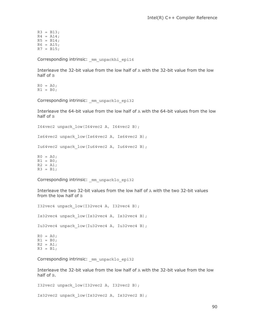$R3 = B13;$  $R4 = A14;$  $R5 = B14;$  $R6 = A15;$  $R7 = B15;$ 

Corresponding intrinsic: \_mm\_unpackhi\_epi16

Interleave the 32-bit value from the low half of A with the 32-bit value from the low half of B

 $RO = AO:$  $R1 = BO;$ 

Corresponding intrinsic: mm unpacklo epi32

Interleave the 64-bit value from the low half of  $A$  with the 64-bit values from the low half of B

```
I64vec2 unpack_low(I64vec2 A, I64vec2 B);
```
Is64vec2 unpack\_low(Is64vec2 A, Is64vec2 B);

Iu64vec2 unpack\_low(Iu64vec2 A, Iu64vec2 B);

 $RO = AO;$  $R1 = B0;$  $R2 = A1;$  $R3 = B1;$ 

Corresponding intrinsic: mm unpacklo epi32

Interleave the two 32-bit values from the low half of A with the two 32-bit values from the low half of B

```
I32vec4 unpack_low(I32vec4 A, I32vec4 B); 
Is32vec4 unpack_low(Is32vec4 A, Is32vec4 B); 
Iu32vec4 unpack_low(Iu32vec4 A, Iu32vec4 B); 
RO = AO;R1 = B0;R2 = A1;R3 = B1;
```
Corresponding intrinsic: mm unpacklo epi32

Interleave the 32-bit value from the low half of A with the 32-bit value from the low half of B.

```
I32vec2 unpack_low(I32vec2 A, I32vec2 B);
```

```
Is32vec2 unpack_low(Is32vec2 A, Is32vec2 B);
```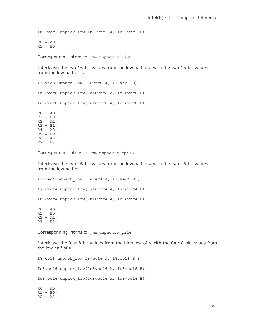```
Iu32vec2 unpack_low(Iu32vec2 A, Iu32vec2 B); 
RO = AO;R1 = B0;
```
Corresponding intrinsic: mm unpacklo pi32

Interleave the two 16-bit values from the low half of A with the two 16-bit values from the low half of B.

```
I16vec8 unpack_low(I16vec8 A, I16vec8 B);
Is16vec8 unpack_low(Is16vec8 A, Is16vec8 B);
Iu16vec8 unpack_low(Iu16vec8 A, Iu16vec8 B);
RO = AO;R1 = B0;R2 = A1; 
R3 = B1;R4 = A2;R5 = B2;R6 = A3; 
R7 = B3;
```
Corresponding intrinsic: \_mm\_unpacklo\_epi16

Interleave the two 16-bit values from the low half of A with the two 16-bit values from the low half of B.

```
I16vec4 unpack_low(I16vec4 A, I16vec4 B);
Is16vec4 unpack_low(Is16vec4 A, Is16vec4 B);
Iu16vec4 unpack_low(Iu16vec4 A, Iu16vec4 B);
RO = AO;R1 = B0;R2 = A1;R3 = B1;
```
Corresponding intrinsic: mm unpacklo pi16

Interleave the four 8-bit values from the high low of A with the four 8-bit values from the low half of B.

```
I8vec16 unpack_low(I8vec16 A, I8vec16 B); 
Is8vec16 unpack low(Is8vec16 A, Is8vec16 B);
Iu8vec16 unpack low(Iu8vec16 A, Iu8vec16 B);
RO = AO;R1 = B0;R2 = A1;
```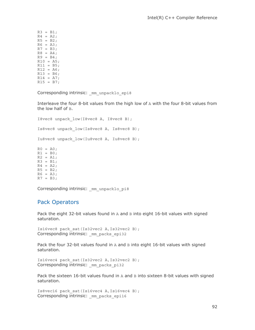$R3 = B1;$  $R4 = A2;$  $R5 = B2;$  $R6 = A3;$  $R7 = B3;$  $R8 = A4;$  $R9 = B4;$  $R10 = A5;$  $R11 = B5;$  $R12 = A6;$  $R13 = B6;$  $R14 = A7;$  $R15 = B7;$ 

Corresponding intrinsic: mm unpacklo epi8

Interleave the four 8-bit values from the high low of A with the four 8-bit values from the low half of B.

```
I8vec8 unpack_low(I8vec8 A, I8vec8 B); 
Is8vec8 unpack_low(Is8vec8 A, Is8vec8 B); 
Iu8vec8 unpack_low(Iu8vec8 A, Iu8vec8 B); 
RO = AO;R1 = B0;R2 = A1;R3 = B1;R4 = A2;R5 = B2;R6 = A3; 
R7 = B3;
```
Corresponding intrinsic: \_mm\_unpacklo\_pi8

## Pack Operators

Pack the eight 32-bit values found in  $A$  and  $B$  into eight 16-bit values with signed saturation.

```
Is16vec8 pack_sat(Is32vec2 A,Is32vec2 B);
Corresponding intrinsic: mm packs epi32
```
Pack the four 32-bit values found in  $A$  and  $B$  into eight 16-bit values with signed saturation.

```
Is16vec4 pack sat(Is32vec2 A,Is32vec2 B);
Corresponding intrinsic: mm packs pi32
```
Pack the sixteen 16-bit values found in A and B into sixteen 8-bit values with signed saturation.

```
Is8vec16 pack sat(Is16vec4 A,Is16vec4 B);
Corresponding intrinsic: mm packs epi16
```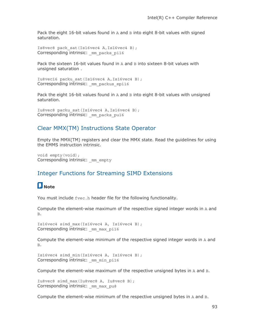Pack the eight 16-bit values found in A and B into eight 8-bit values with signed saturation.

```
Is8vec8 pack sat(Is16vec4 A,Is16vec4 B);
Corresponding intrinsic: mm packs pi16
```
Pack the sixteen 16-bit values found in  $A$  and  $B$  into sixteen 8-bit values with unsigned saturation .

```
Iu8vec16 packu sat(Is16vec4 A,Is16vec4 B);
Corresponding intrinsic: mm packus epi16
```
Pack the eight 16-bit values found in A and B into eight 8-bit values with unsigned saturation.

Iu8vec8 packu\_sat(Is16vec4 A,Is16vec4 B); Corresponding intrinsic: mm packs pu16

## Clear MMX(TM) Instructions State Operator

Empty the MMX(TM) registers and clear the MMX state. Read the guidelines for using the EMMS instruction intrinsic.

```
void empty(void); 
Corresponding intrinsic: mm empty
```
## Integer Functions for Streaming SIMD Extensions

# **Note**

You must include fvec.h header file for the following functionality.

Compute the element-wise maximum of the respective signed integer words in A and B.

```
Is16vec4 simd_max(Is16vec4 A, Is16vec4 B);
Corresponding intrinsic: mm max pi16
```
Compute the element-wise minimum of the respective signed integer words in A and B.

```
Is16vec4 simd min(Is16vec4 A, Is16vec4 B);
Corresponding intrinsic: mm min pi16
```
Compute the element-wise maximum of the respective unsigned bytes in A and B.

Iu8vec8 simd\_max(Iu8vec8 A, Iu8vec8 B); Corresponding intrinsic: mm max pu8

Compute the element-wise minimum of the respective unsigned bytes in A and B.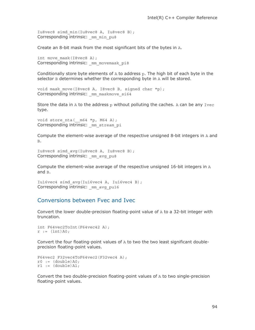Iu8vec8 simd\_min(Iu8vec8 A, Iu8vec8 B); Corresponding intrinsic: mm min pu8

Create an 8-bit mask from the most significant bits of the bytes in A.

int move mask(I8vec8 A); Corresponding intrinsic: mm movemask pi8

Conditionally store byte elements of  $A$  to address  $p$ . The high bit of each byte in the selector B determines whether the corresponding byte in A will be stored.

void mask move(I8vec8 A, I8vec8 B, signed char \*p); Corresponding intrinsic: mm maskmove si64

Store the data in A to the address  $p$  without polluting the caches. A can be any Ivec type.

void store  $nta$  ( $m64 *p$ , M64 A); Corresponding intrinsic: mm stream pi

Compute the element-wise average of the respective unsigned 8-bit integers in A and B.

```
Iu8vec8 simd_avg(Iu8vec8 A, Iu8vec8 B);
Corresponding intrinsic: mm avg pu8
```
Compute the element-wise average of the respective unsigned 16-bit integers in A and B.

```
Iu16vec4 simd_avg(Iu16vec4 A, Iu16vec4 B);
Corresponding intrinsic: mm avg pu16
```
## Conversions between Fvec and Ivec

Convert the lower double-precision floating-point value of A to a 32-bit integer with truncation.

```
int F64vec2ToInt(F64vec42 A); 
r := (int)A0;
```
Convert the four floating-point values of A to two the two least significant doubleprecision floating-point values.

```
F64vec2 F32vec4ToF64vec2(F32vec4 A); 
r0 := (double)A0;
r1 := (double) A1;
```
Convert the two double-precision floating-point values of A to two single-precision floating-point values.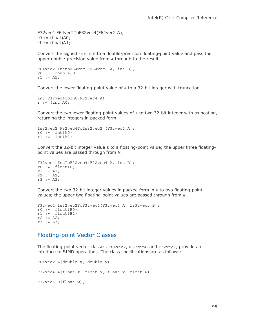F32vec4 F64vec2ToF32vec4(F64vec2 A);  $r0 := (float)AO;$  $r1 := (float)A1;$ 

Convert the signed int in B to a double-precision floating-point value and pass the upper double-precision value from A through to the result.

```
F64vec2 InttoF64vec2(F64vec2 A, int B); 
r0 := (double)B;r1 := A1;
```
Convert the lower floating-point value of  $A$  to a 32-bit integer with truncation.

```
int F32vec4ToInt(F32vec4 A); 
r := (int)A0;
```
Convert the two lower floating-point values of  $A$  to two 32-bit integer with truncation, returning the integers in packed form.

```
Is32vec2 F32vec4ToIs32vec2 (F32vec4 A); 
r0 := (int) A0;r1 := (int) A1;
```
Convert the 32-bit integer value B to a floating-point value; the upper three floatingpoint values are passed through from A.

```
F32vec4 IntToF32vec4 (F32vec4 A, int B);
r0 := (float)B;r1 := A1;r2 := A2;r3 := A3;
```
Convert the two 32-bit integer values in packed form in B to two floating-point values; the upper two floating-point values are passed through from A.

```
F32vec4 Is32vec2ToF32vec4(F32vec4 A, Is32vec2 B); 
r0 := (float)B0;r1 := (float)B1;r2 := A2;r3 := A3;
```
## Floating-point Vector Classes

The floating-point vector classes, F64vec2, F32vec4, and F32vec1, provide an interface to SIMD operations. The class specifications are as follows:

F64vec2 A(double x, double y); F32vec4 A(float z, float y, float x, float w); F32vec1 B(float w);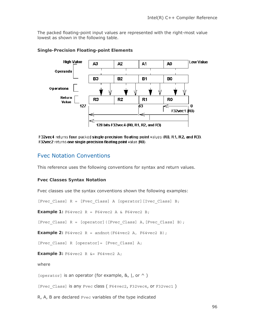The packed floating-point input values are represented with the right-most value lowest as shown in the following table.



## **Single-Precision Floating-point Elements**

F32vec4 returns four packed single-precision floating point values (RO, R1, R2, and R3). F32vec2 returns one single-precision floating point value (RO).

## Fvec Notation Conventions

This reference uses the following conventions for syntax and return values.

## **Fvec Classes Syntax Notation**

Fvec classes use the syntax conventions shown the following examples:

[Fvec Class] R = [Fvec Class] A [operator][Ivec Class] B;

**Example 1:** F64vec2  $R = F64$ vec2  $A \& F64$ vec2  $B$ ;

[Fvec Class] R = [operator]([Fvec Class] A, [Fvec Class] B);

**Example 2:** F64vec2  $R =$  andnot (F64vec2 A, F64vec2 B);

[Fvec Class] R [operator] = [Fvec Class] A;

**Example 3:** F64vec2 R &= F64vec2 A;

where

[operator] is an operator (for example,  $\&$ ,  $\vert$ , or  $\wedge$ )

[Fvec Class] is any Fvec class ( F64vec2, F32vec4, or F32vec1 )

R, A, B are declared Fvec variables of the type indicated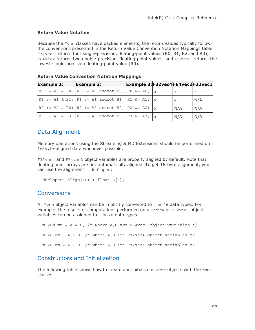## **Return Value Notation**

Because the Fvec classes have packed elements, the return values typically follow the conventions presented in the Return Value Convention Notation Mappings table. F32vec4 returns four single-precision, floating-point values (R0, R1, R2, and R3); F64vec2 returns two double-precision, floating-point values, and F32vec1 returns the lowest single-precision floating-point value (R0).

| Example 1: |  |  | Example 2: |  |                                                                 |  |  | Example 3: F32 vec4 F64 vec2 F32 vec1 |     |
|------------|--|--|------------|--|-----------------------------------------------------------------|--|--|---------------------------------------|-----|
|            |  |  |            |  | $RO := AO & BO; RO; RO := AO andnot BO; RO & = AO; X$           |  |  |                                       |     |
|            |  |  |            |  | $RI := AI & B1; RI := AI and not B1; RI & = AI; X$              |  |  |                                       | N/A |
|            |  |  |            |  | R2 := A2 & B2; R2 := A2 and not B2; R2 &= A2; $\vert x \vert$   |  |  | N/A                                   | N/A |
|            |  |  |            |  | $ R3 := A3 \& B3  R3 := A3 \text{ andhot } B3;  R3 \&= A3;  X $ |  |  | N/A                                   | N/A |

## **Return Value Convention Notation Mappings**

# Data Alignment

Memory operations using the Streaming SIMD Extensions should be performed on 16-byte-aligned data whenever possible.

F32vec4 and F64vec2 object variables are properly aligned by default. Note that floating point arrays are not automatically aligned. To get 16-byte alignment, you can use the alignment declspec:

```
declspec( align(16) ) float A[4];
```
## **Conversions**

All Fvec object variables can be implicitly converted to  $\mu$ 128 data types. For example, the results of computations performed on F32vec4 or F32vec1 object variables can be assigned to  $m128$  data types.

<code>m128d mm = A & B; /\* where A,B are F64vec2 object variables \*/</code> m128 mm = A & B; /\* where A,B are F32vec4 object variables  $*/$  $m128$  mm = A & B; /\* where A,B are F32vec1 object variables \*/

# Constructors and Initialization

The following table shows how to create and initialize  $F32vec$  objects with the Fvec classes.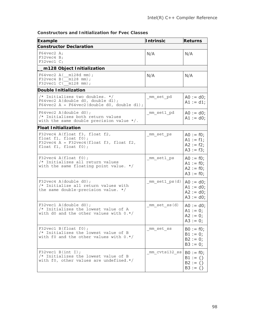| <b>Example</b>                                                                                                            | <b>Intrinsic</b> | <b>Returns</b>                                              |
|---------------------------------------------------------------------------------------------------------------------------|------------------|-------------------------------------------------------------|
| <b>Constructor Declaration</b>                                                                                            |                  |                                                             |
| F64vec2 A;<br>$F32vec4 B$ ;<br>F32vec1 C;                                                                                 | N/A              | N/A                                                         |
| m128 Object Initialization                                                                                                |                  |                                                             |
| $F64$ vec $2$ A $(m128d$ mm);<br>$F32vec4 \; B(\overline{m128 \; mm});$<br>$F32vec1 C($ m128 mm);                         | N/A              | N/A                                                         |
| <b>Double Initialization</b>                                                                                              |                  |                                                             |
| /* Initializes two doubles. */<br>F64vec2 A(double d0, double d1);<br>F64vec2 A = F64vec2 (double d0, double d1);         | _mm_set_pd       | $AO := d0;$<br>$A1 := d1;$                                  |
| F64vec2 A(double d0);<br>/* Initializes both return values<br>with the same double precision value $*/$ .                 | mm set1 pd       | $AO := d0;$<br>$A1 := d0;$                                  |
| <b>Float Initialization</b>                                                                                               |                  |                                                             |
| F32vec4 A(float f3, float f2,<br>float f1, float f0);<br>F32vec4 A = F32vec4 (float f3, float f2,<br>float f1, float f0); | _mm_set_ps       | $AO := f0;$<br>$A1 := f1;$<br>$A2 := f2;$<br>$A3 := f3;$    |
| $F32vec4$ A(float f0);<br>/* Initializes all return values<br>with the same floating point value. $*/$                    | mm set1 ps       | $AO := f0$ ;<br>$A1 := f0;$<br>$A2 := f0;$<br>$A3 := f0;$   |
| F32vec4 A(double d0);<br>/* Initialize all return values with<br>the same double-precision value. $*/$                    | mm set1 ps(d)    | $AO := d0;$<br>$A1 := d0;$<br>$A2 := d0;$<br>$A3 := d0;$    |
| $F32vec1$ A(double d0);<br>/* Initializes the lowest value of A<br>with d0 and the other values with $0.*/$               | mm set ss(d)     | $AO :=$ d0;<br>$A1 := 0;$<br>$A2 := 0;$<br>$A3 := 0;$       |
| F32vec1 B(fload f0);<br>/* Initializes the lowest value of B<br>with f0 and the other values with $0.*/$                  | mm set ss        | $BO := f0;$<br>$B1 := 0;$<br>$B2 := 0;$<br>$B3 := 0;$       |
| F32vec1 B(int I);<br>/* Initializes the lowest value of B<br>with f0, other values are undefined.*/                       | mm cvtsi32 ss    | $BO := f0;$<br>$B1 := \{\}$<br>$B2 := \{\}$<br>$B3 := \{\}$ |

### **Constructors and Initialization for Fvec Classes**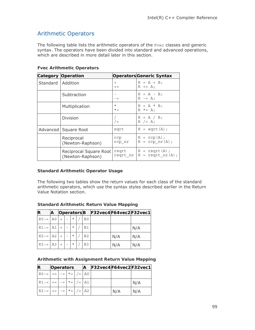# Arithmetic Operators

The following table lists the arithmetic operators of the Fvec classes and generic syntax. The operators have been divided into standard and advanced operations, which are described in more detail later in this section.

|  | <b>Fvec Arithmetic Operators</b> |
|--|----------------------------------|
|--|----------------------------------|

|                     | <b>Category Operation</b>                  |                   | OperatorsGeneric Syntax               |
|---------------------|--------------------------------------------|-------------------|---------------------------------------|
| Standard   Addition |                                            | $^{+}$<br>$+=$    | $R = A + B;$<br>$R$ += A;             |
|                     | Subtraction                                | $=$               | $R = A - B$ ;<br>$R = A$ ;            |
|                     | Multiplication                             | $\star$<br>$* =$  | $R = A * B;$<br>$R * = A$ :           |
|                     | Division                                   | $/ =$             | $R = A / B;$<br>$R$ /= A;             |
|                     | Advanced   Square Root                     | sqrt              | $R = sqrt(A);$                        |
|                     | Reciprocal<br>(Newton-Raphson)             | rcp<br>rcp nr     | $R = rcp(A);$<br>$R = rcp nr(A);$     |
|                     | Reciprocal Square Root<br>(Newton-Raphson) | rsqrt<br>rsqrt nr | $R = rsqrt(A);$<br>$R = rsqrt nr(A);$ |

#### **Standard Arithmetic Operator Usage**

The following two tables show the return values for each class of the standard arithmetic operators, which use the syntax styles described earlier in the Return Value Notation section.

| <b>Standard Arithmetic Return Value Mapping</b> |
|-------------------------------------------------|
|-------------------------------------------------|

| $\overline{\mathbf{R}}$ | IA | Operators <sup>B</sup> |            |                | F32vec4F64vec2F32vec1 |     |     |
|-------------------------|----|------------------------|------------|----------------|-----------------------|-----|-----|
| $RO := A0 +$            |    |                        | $+$ $+$    | B <sub>0</sub> |                       |     |     |
| $R1 :=  A1  +$          |    |                        | $1 \times$ | B1             |                       |     | N/A |
| $R2 :=  A2  +$          |    |                        | $\star$    | B <sub>2</sub> |                       | N/A | N/A |
| $R3 :=  A3  +  -$       |    |                        |            | B <sub>3</sub> |                       | N/A | N/A |

### **Arithmetic with Assignment Return Value Mapping**

| IR                                                                        | <b>Operators</b> |  |  |  | F32vec4F64vec2F32vec1 |     |     |
|---------------------------------------------------------------------------|------------------|--|--|--|-----------------------|-----|-----|
| $RO: =  - =   * =   / =   AO$                                             |                  |  |  |  |                       |     |     |
| $\vert$ R1 : = $\vert$ + = $\vert$ - = $\vert$ * = $\vert$ / = $\vert$ A1 |                  |  |  |  |                       |     | N/A |
| $R2 :=   +   -   -   *   /   22$                                          |                  |  |  |  |                       | N/A | N/A |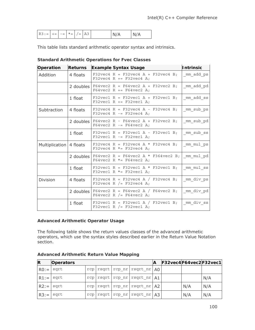This table lists standard arithmetic operator syntax and intrinsics.

| Operation               | <b>Returns</b> | <b>Example Syntax Usage</b>                                                                    | <b>Intrinsic</b> |
|-------------------------|----------------|------------------------------------------------------------------------------------------------|------------------|
| Addition                | 4 floats       | F32vec4 R = F32vec4 A + F32vec4 B;<br>F32vec4 R $+=$ F32vec4 A;                                | mm add ps        |
|                         |                | 2 doubles   $F64$ vec2 R = $F64$ vec2 A + $F32$ vec2 B;<br>F64vec2 R $+=$ F64vec2 A;           | mm add pd        |
|                         | 1 float        | F32vec1 R = F32vec1 A + F32vec1 B;<br>F32vec1 R $+=$ F32vec1 A;                                | mm add ss        |
| Subtraction             | 4 floats       | F32vec4 R = F32vec4 A - F32vec4 B;<br>$F32vec4$ R $= F32vec4$ A;                               | mm sub ps        |
|                         |                | 2 doubles   $F64$ vec2 R - $F64$ vec2 A + $F32$ vec2 B;<br>$F64$ vec $2$ R -= $F64$ vec $2$ A; | mm sub pd        |
|                         | 1 float        | F32vec1 R = F32vec1 A - F32vec1 B;<br>F32vec1 R $-$ = F32vec1 A;                               | mm sub ss        |
| Multiplication 4 floats |                | F32vec4 R = F32vec4 A * F32vec4 B;<br>F32vec4 R $* =$ F32vec4 A;                               | mm mul ps        |
|                         |                | 2 doubles   F64vec2 R = F64vec2 A * F364vec2 B;<br>F64vec2 R $*$ = F64vec2 A;                  | mm mul pd        |
|                         | 1 float        | F32vec1 R = F32vec1 A * F32vec1 B;<br>F32vec1 R $* =$ F32vec1 A;                               | _mm_mul_ss       |
| <b>Division</b>         | 4 floats       | F32vec4 R = F32vec4 A / F32vec4 B;<br>F32vec4 R $/$ = F32vec4 A;                               | mm div ps        |
|                         |                | 2 doubles   $F64$ vec2 R = $F64$ vec2 A / $F64$ vec2 B;<br>F64vec2 R $/$ = F64vec2 A;          | mm div pd        |
|                         | 1 float        | F32vec1 R = F32vec1 A / F32vec1 B;<br>F32vec1 R $/$ = F32vec1 A;                               | mm div ss        |

#### **Standard Arithmetic Operations for Fvec Classes**

#### **Advanced Arithmetic Operator Usage**

The following table shows the return values classes of the advanced arithmetic operators, which use the syntax styles described earlier in the Return Value Notation section.

| $\mathbf R$   | <b>Operators</b> |           |                                      | F32vec4F64vec2F32vec1 |     |     |
|---------------|------------------|-----------|--------------------------------------|-----------------------|-----|-----|
| $RO :=  sqrt$ |                  |           | rcp   rsqrt   rcp_nr   rsqrt_nr   AO |                       |     |     |
| $R1 :=  sqrt$ |                  |           | rcp   rsqrt   rcp_nr   rsqrt_nr   A1 |                       |     | N/A |
| $R2 :=  sqrt$ |                  |           | rcp   rsqrt   rcp_nr   rsqrt_nr   A2 |                       | N/A | N/A |
| $R3 :=  sqrt$ |                  | rcp rsqrt | rcp_nr rsqrt_nr A3                   |                       | N/A | N/A |

#### **Advanced Arithmetic Return Value Mapping**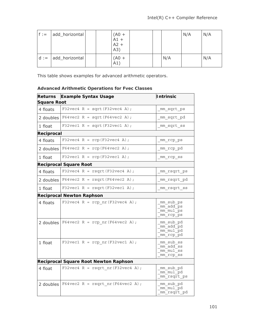| $f :=$ | add_horizontal | $(AO +$<br>$A1 +$<br>$A2 +$<br>A3) |  |     | N/A | N/A |
|--------|----------------|------------------------------------|--|-----|-----|-----|
| $d :=$ | add_horizontal | $(AO +$<br>A1)                     |  | N/A |     | N/A |

This table shows examples for advanced arithmetic operators.

| Returns            | <b>Example Syntax Usage</b>                                 | Intrinsic                                        |
|--------------------|-------------------------------------------------------------|--------------------------------------------------|
| <b>Square Root</b> |                                                             |                                                  |
| 4 floats           | F32vec4 R = sqrt (F32vec4 A);                               | mm sqrt ps                                       |
|                    | 2 doubles   $F64vec2$ R = sqrt (F64vec2 A);                 | mm_sqrt_pd                                       |
| 1 float            | F32vec1 R = sqrt (F32vec1 A);                               | mm sqrt ss                                       |
| Reciprocal         |                                                             |                                                  |
| 4 floats           | F32vec4 R = $rcp(F32vec4 A)$ ;                              | mm_rcp_ps                                        |
|                    | 2 doubles   $F64 \text{vec2}$ R = $rcp(F64 \text{vec2}$ A); | mm rcp pd                                        |
| 1 float            | F32vec1 R = $rcp(F32vec1 A)$ ;                              | mm rcp ss                                        |
|                    | <b>Reciprocal Square Root</b>                               |                                                  |
| 4 floats           | F32vec4 R = $rsqrt(F32vec4 A);$                             | mm rsqrt ps                                      |
|                    | 2 doubles   $F64vec2$ R = $rsqrt(F64vec2 A)$ ;              | mm rsqrt pd                                      |
| 1 float            | F32vec1 R = $rsqrt(F32vec1 A);$                             | mm rsqrt ss                                      |
|                    | <b>Reciprocal Newton Raphson</b>                            |                                                  |
| 4 floats           | F32vec4 R = rcp $nr(F32vec4 A)$ ;                           | mm sub ps<br>mm add ps<br>mm mul ps<br>mm rcp ps |
|                    | 2 doubles   $F64$ vec2 R = rcp nr ( $F64$ vec2 A);          | mm sub pd<br>mm add pd<br>mm mul pd<br>mm rcp pd |
| 1 float            | F32vec1 R = rcp $nr(F32vec1 A)$ ;                           | mm sub ss<br>mm add ss<br>mm mul ss<br>mm rcp ss |
|                    | Reciprocal Square Root Newton Raphson                       |                                                  |
| 4 float            | F32vec4 R = rsqrt $nr(F32vec4 A)$ ;                         | mm sub pd<br>$mm$ $mu1$ $pd$<br>mm rsqrt ps      |
|                    | 2 doubles   $F64vec2$ R = $rsqrt_nr(F64vec2 A)$ ;           | mm sub pd<br>mm mul pd<br>mm rsqrt pd            |

### **Advanced Arithmetic Operations for Fvec Classes**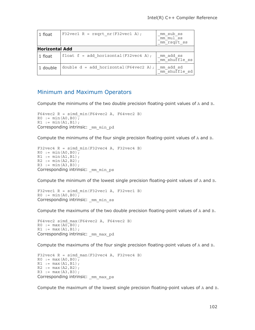| 1 float               | F32vec1 R = rsqrt $nr(F32vec1 A)$ ;      | mm sub ss<br>mm mul ss<br>mm rsqrt ss |
|-----------------------|------------------------------------------|---------------------------------------|
| <b>Horizontal Add</b> |                                          |                                       |
| 1 float               | float $f = add horizontal(F32vec4 A);$   | _mm_add_ss<br>mm_shuffle_ss           |
| 1 double              | double $d = add horizontal(F64vec2 A)$ ; | mm add sd<br>mm shuffle sd            |

## Minimum and Maximum Operators

Compute the minimums of the two double precision floating-point values of A and B.

```
F64vec2 R = \text{simd} \min(F64vec2 A, F64vec2 B)RO := min(AO, BO);
R1 := min(A1, B1);Corresponding intrinsic: mm min pd
```
Compute the minimums of the four single precision floating-point values of A and B.

```
F32vec4 R = simd min(F32vec4 A, F32vec4 B)
RO := min(AO, BO);
R1 := min(A1, B1);R2 := min(A2, B2);R3 := min(A3, B3);Corresponding intrinsic: mm min ps
```
Compute the minimum of the lowest single precision floating-point values of  $A$  and  $B$ .

```
F32vec1 R = simd min(F32vec1 A, F32vec1 B)
RO := min(AO, BO);
Corresponding intrinsic: mm min ss
```
Compute the maximums of the two double precision floating-point values of A and B.

```
F64vec2 simd_max(F64vec2 A, F64vec2 B) 
RO := max(AO, BO);R1 := max(A1, B1);Corresponding intrinsic: mm max pd
```
Compute the maximums of the four single precision floating-point values of A and B.

```
F32vec4 R = simd man(F32vec4 A, F32vec4 B)
RO := max(AO, BO);
R1 := max(A1, B1);R2 := max(A2, B2);R3 := max(A3, B3);Corresponding intrinsic: mm max ps
```
Compute the maximum of the lowest single precision floating-point values of A and B.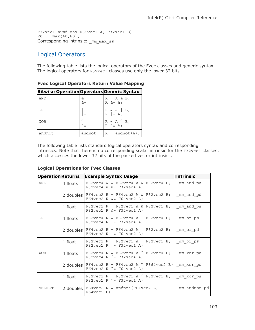```
F32vec1 simd max(F32vec1 A, F32vec1 B)
RO := max(AO, BO);Corresponding intrinsic: _mm_max_ss
```
# Logical Operators

The following table lists the logical operators of the Fvec classes and generic syntax. The logical operators for F32vec1 classes use only the lower 32 bits.

| <b>Bitwise Operation Operators Generic Syntax</b> |            |                             |
|---------------------------------------------------|------------|-----------------------------|
| AND                                               | &<br>$\&=$ | $R = A \& B;$<br>$R$ &= A;  |
| 0 <sub>R</sub>                                    |            | $R = A   B;$<br>$R   = A;$  |
| XOR                                               | ᄉ          | $R = A^ A B;$<br>$R^2 = A;$ |
| andnot                                            | andnot     | $R = \text{andnot}(A)$ ;    |

#### **Fvec Logical Operators Return Value Mapping**   $\sim$ **Contract Contract Contract Contract Contract**

The following table lists standard logical operators syntax and corresponding intrinsics. Note that there is no corresponding scalar intrinsic for the F32vec1 classes, which accesses the lower 32 bits of the packed vector intrinsics.

| <b>Operation Returns</b> |          | <b>Example Syntax Usage</b>                                                                               | <b>Intrinsic</b> |
|--------------------------|----------|-----------------------------------------------------------------------------------------------------------|------------------|
| AND                      | 4 floats | $F32vec4$ & = $F32vec4$ A & $F32vec4$ B;<br>$F32vec4$ & &= $F32vec4$ A;                                   | mm and ps        |
|                          |          | 2 doubles   $F64 \text{vec2}$ R = $F64 \text{vec2}$ A & $F32 \text{vec2}$ B;<br>F64vec2 R $&=$ F64vec2 A; | mm and pd        |
|                          | 1 float  | F32vec1 R = F32vec1 A & F32vec1 B; $\mid$ mm and ps<br>F32vec1 R $&=$ F32vec1 A;                          |                  |
| OR.                      | 4 floats | F32vec4 R = F32vec4 A   F32vec4 B;<br>F32vec4 R $=$ F32vec4 A;                                            | mm or ps         |
|                          |          | 2 doubles   F64vec2 R = F64vec2 A   F32vec2 B;   mm or pd<br>F64vec2 R $=$ F64vec2 A;                     |                  |
|                          | 1 float  | F32vec1 R = F32vec1 A   F32vec1 B;<br>F32vec1 R $=$ F32vec1 A;                                            | mm or ps         |
| XOR                      | 4 floats | F32vec4 R = F32vec4 A $\sim$ F32vec4 B;<br>F32vec4 R $\sim$ = F32vec4 A;                                  | mm xor ps        |
|                          |          | 2 doubles F64vec2 R = F64vec2 A $\hat{ }$ F364vec2 B; mm xor pd<br>F64vec2 R $\approx$ = F64vec2 A;       |                  |
|                          | 1 float  | F32vec1 R = F32vec1 A $\hat{ }$ F32vec1 B;<br>F32vec1 R $\hat{=}$ F32vec1 A;                              | mm xor ps        |
| <b>ANDNOT</b>            |          | 2 doubles   $F64$ vec2 R = andnot ( $F64$ vec2 A,<br>$F64vec2 B)$ ;                                       | mm andnot pd     |

### **Logical Operations for Fvec Classes**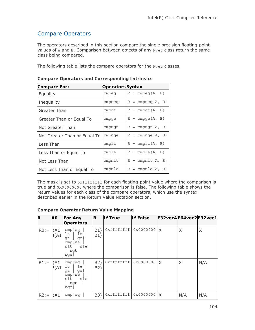# Compare Operators

The operators described in this section compare the single precision floating-point values of A and B. Comparison between objects of any Fvec class return the same class being compared.

The following table lists the compare operators for the Fvec classes.

| <b>Compare For:</b>          | OperatorsSyntax |                                   |  |  |  |
|------------------------------|-----------------|-----------------------------------|--|--|--|
| Equality                     | cmpeq           | $R = cmpeq(A, B)$                 |  |  |  |
| Inequality                   | cmpneg          | $R = cm$ pneq(A, B)               |  |  |  |
| Greater Than                 | cmpqt           | $R = \text{cmpqt}(A, B)$          |  |  |  |
| Greater Than or Equal To     | cmpqe           | $R = \text{cmpge}(A, B)$          |  |  |  |
| Not Greater Than             | cmpnqt          | $R = c m p n q t (A, B)$          |  |  |  |
| Not Greater Than or Equal To | cmpnge          | $R = \text{cmpage}(A, B)$         |  |  |  |
| Less Than                    | $cm$ plt        | $R = \text{cmplt}(A, B)$          |  |  |  |
| Less Than or Equal To        | cmple           | $R = \text{cmple}(A, B)$          |  |  |  |
| Not Less Than                | cmpnlt          | $R = \text{cm} \text{pnlt}(A, B)$ |  |  |  |
| Not Less Than or Equal To    | cmpnle          | $R = \text{cmphle}(A, B)$         |  |  |  |

#### **Compare Operators and Corresponding Intrinsics**

The mask is set to  $\alpha$ xfffffffff for each floating-point value where the comparison is true and 0x00000000 where the comparison is false. The following table shows the return values for each class of the compare operators, which use the syntax described earlier in the Return Value Notation section.

|  | <b>Compare Operator Return Value Mapping</b> |  |  |  |
|--|----------------------------------------------|--|--|--|
|--|----------------------------------------------|--|--|--|

| $\overline{\mathbf{R}}$ | <b>AO</b>     | For Any<br>Operators                                                     | B          | If True     | If False  | F32vec4F64vec2F32vec1 |     |     |
|-------------------------|---------------|--------------------------------------------------------------------------|------------|-------------|-----------|-----------------------|-----|-----|
| $RO:=$                  | (A1)<br>!(A1) | cmp [eq<br>lt<br>le<br>qe]<br>qt<br>cmp [ne<br>nlt<br>nle<br>ngt<br>nge] | B1)<br>B1) | 0xfffffffff | 0x0000000 | X                     | X   | X   |
| $R1 :=$                 | (A1)<br>!(A1) | cmp[eq<br>lt<br>le<br>qt<br>qe]<br>cmp [ne<br>nlt<br>nle<br>ngt<br>nge]  | B2)<br>B2) | Oxfffffffff | 0x0000000 | $\times$              | X   | N/A |
| $R2 :=  $               | (A1)          | cmp[eq]                                                                  | B3)        | 0xfffffffff | 0x0000000 | $\times$              | N/A | N/A |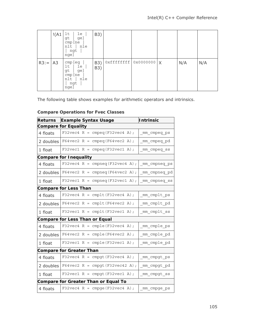|              | !(A1) | lt<br>le<br>ge]<br>gt<br>cmp[ne<br>nlt<br>nle<br>ngt<br>nge]            | B3)        |             |                  |     |     |
|--------------|-------|-------------------------------------------------------------------------|------------|-------------|------------------|-----|-----|
| $R3 :=  A3 $ |       | cmp[eq<br>le<br>lt<br>gt<br>ge]<br>cmp [ne<br>nlt<br>nle<br>ngt<br>nge] | B3)<br>B3) | 0xfffffffff | $0x0000000 \, X$ | N/A | N/A |

The following table shows examples for arithmetic operators and intrinsics.

| <b>Returns</b> | <b>Example Syntax Usage</b>                   | Intrinsic    |
|----------------|-----------------------------------------------|--------------|
|                | <b>Compare for Equality</b>                   |              |
| 4 floats       | F32vec4 R = cmpeq(F32vec4 A);                 | mm cmpeq ps  |
| 2 doubles      | $F64$ vec2 R = cmpeq(F64vec2 A);              | mm cmpeq pd  |
| 1 float        | F32vec1 R = $cmpeq(F32vec1 A);$               | mm cmpeq ss  |
|                | <b>Compare for Inequality</b>                 |              |
| 4 floats       | F32vec4 R = cmpneq (F32vec4 A);               | mm cmpneq ps |
| 2 doubles      | $F64vec2$ R = cmpneq(F64vec2 A);              | mm cmpneq pd |
| 1 float        | F32vec1 R = cmpneq(F32vec1 A);                | mm cmpneq ss |
|                | <b>Compare for Less Than</b>                  |              |
| 4 floats       | F32vec4 R = cmplt (F32vec4 A);                | mm cmplt ps  |
| 2 doubles      | $F64vec2$ R = cmplt (F64vec2 A);              | mm cmplt pd  |
| 1 float        | F32vec1 R = cmplt (F32vec1 A);                | mm cmplt ss  |
|                | <b>Compare for Less Than or Equal</b>         |              |
| 4 floats       | F32vec4 $R = \text{cmple}(\text{F32vec4 A});$ | mm cmple ps  |
| 2 doubles      | $F64vec2 R = cmple(F64vec2 A);$               | mm cmple pd  |
| 1 float        | F32vec1 R = cmple(F32vec1 A);                 | mm cmple pd  |
|                | <b>Compare for Greater Than</b>               |              |
| 4 floats       | F32vec4 R = cmpgt (F32vec4 A) ;               | mm cmpgt ps  |
| 2 doubles      | $F64vec2 R = cmpgt(F32vec42 A);$              | mm cmpgt pd  |
| 1 float        | F32vec1 R = $cmpgt(F32vec1 A);$               | mm cmpgt ss  |
|                | <b>Compare for Greater Than or Equal To</b>   |              |
| 4 floats       | F32vec4 R = cmpge(F32vec4 A);                 | mm cmpge ps  |

# **Compare Operations for Fvec Classes**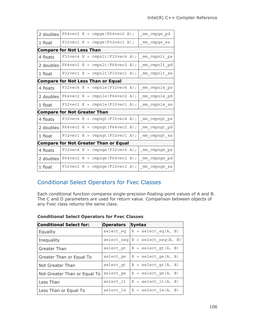| 2 doubles | $F64vec2$ R = cmpge(F64vec2 A);           | mm cmpge pd   |
|-----------|-------------------------------------------|---------------|
| 1 float   | $F32vec1 R = cmpqe(F32vec1 A);$           | mm cmpge ss   |
|           | <b>Compare for Not Less Than</b>          |               |
| 4 floats  | F32vec4 R = cmpnlt(F32vec4 A);            | mm cmpnlt ps  |
| 2 doubles | $F64vec2$ R = cmpnlt(F64vec2 A);          | mm_cmpnlt_pd  |
| 1 float   | F32vec1 R = cmpnlt(F32vec1 A);            | mm cmpnlt ss  |
|           | <b>Compare for Not Less Than or Equal</b> |               |
| 4 floats  | $F32vec4$ R = cmpnle(F32vec4 A);          | mm cmpnle ps  |
| 2 doubles | $F64vec2$ R = cmpnle(F64vec2 A);          | mm_cmpnle_pd  |
| 1 float   | F32vec1 R = cmpnle(F32vec1 A);            | mm cmpnle ss  |
|           | <b>Compare for Not Greater Than</b>       |               |
| 4 floats  | F32vec4 R = cmpngt (F32vec4 A) ;          | mm cmpngt ps  |
| 2 doubles | $F64$ vec2 R = cmpnqt (F64vec2 A);        | mm cmpngt pd  |
| 1 float   | F32vec1 R = cmpngt (F32vec1 A) ;          | mm cmpngt ss  |
|           | Compare for Not Greater Than or Equal     |               |
| 4 floats  | F32vec4 R = cmpnge(F32vec4 A);            | mm cmpnge ps  |
| 2 doubles | $F64$ vec2 R = cmpnge(F64vec2 A);         | _mm_cmpnge_pd |
| 1 float   | F32vec1 R = cmpnge(F32vec1 A);            | mm cmpnge ss  |

# Conditional Select Operators for Fvec Classes

Each conditional function compares single-precision floating-point values of A and B. The C and D parameters are used for return value. Comparison between objects of any Fvec class returns the same class.

| <b>Conditional Select for:</b> | <b>Operators</b> | <b>Syntax</b>                          |
|--------------------------------|------------------|----------------------------------------|
| Equality                       | select eq        | $R = select eq(A, B)$                  |
| Inequality                     |                  | select $neq \mid R = select neg(A, B)$ |
| Greater Than                   | select gt        | $R = select gt(A, B)$                  |
| Greater Than or Equal To       | select qe        | $R = select ge(A, B)$                  |
| Not Greater Than               | select gt        | $R = select gt(A, B)$                  |
| Not Greater Than or Equal To   | select ge        | $R = select ge(A, B)$                  |
| Less Than                      | select lt        | $R = select It(A, B)$                  |
| Less Than or Equal To          | select le        | $R = select le(A, B)$                  |

### **Conditional Select Operators for Fvec Classes**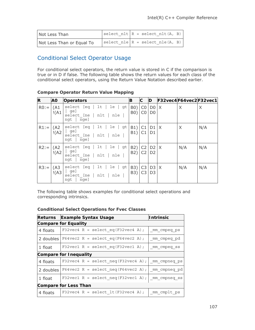| Not Less Than             | $  select_nt   R = select_nt(A, B)  $ |
|---------------------------|---------------------------------------|
| Not Less Than or Equal To | select nle $R =$ select nle(A, B)     |

# Conditional Select Operator Usage

For conditional select operators, the return value is stored in C if the comparison is true or in D if false. The following table shows the return values for each class of the conditional select operators, using the Return Value Notation described earlier.

| $\overline{\mathsf{R}}$ | AO           | <b>Operators</b>                                                                            | B                           | C                   | $\mathsf{D}$                  | F32vec4F64vec2F32vec1 |     |
|-------------------------|--------------|---------------------------------------------------------------------------------------------|-----------------------------|---------------------|-------------------------------|-----------------------|-----|
| $RO:=$                  | !(A1)        | $(A1$ select [eq   1t   1e   gt<br>$ $ ge]<br>select [ne   nlt   nle  <br>$nqt \mid nqe$ ]  | B(0)<br>B <sub>0</sub>      | C <sub>0</sub>      | $CO$ DO $X$<br>D <sub>0</sub> | $\times$              | X   |
| $R1 :=$                 | !(A2)        | $(A2)$ select [eq   1t   1e   gt]<br>  ge]<br>select $[ne   nlt   nle  $<br>$ngt \mid nge]$ | B1)  C1  D1   X<br>$B1)$ C1 |                     | D1                            | $\times$              | N/A |
| $R2 :=$                 | !(A2)        | $(A2)$ select [eq   1t   1e   gt<br>  ge]<br>select $[ne   nlt   nle  $<br>$nqt \mid nqe]$  | B2)<br>B2)                  | $C2$ D <sub>2</sub> | $C2$ D <sub>2</sub> $X$       | N/A                   | N/A |
| $R3 :=$                 | (A3<br>!(A3) | select $[eq   It   le   gt$<br>$ $ ge]<br>select [ne   nlt   nle  <br>nge]<br>nqt           | B3)<br>B3)                  | $C3$ D <sub>3</sub> | $C3$ D <sub>3</sub> $X$       | N/A                   | N/A |

**Compare Operator Return Value Mapping** 

The following table shows examples for conditional select operations and corresponding intrinsics.

| Returns   | <b>Example Syntax Usage</b>          | ll ntrinsic  |
|-----------|--------------------------------------|--------------|
|           | <b>Compare for Equality</b>          |              |
| 4 floats  | F32vec4 R = select eq(F32vec4 A);    | mm cmpeq ps  |
| 2 doubles | F64vec2 R = select eq(F64vec2 A);    | mm cmpeg pd  |
| 1 float   | F32vec1 R = select eq(F32vec1 A);    | mm cmpeq ss  |
|           | Compare for Inequality               |              |
| 4 floats  | F32vec4 R = select neq(F32vec4 A);   | mm cmpneq ps |
| 2 doubles | $F64vec2$ R = select neq(F64vec2 A); | mm cmpneq pd |
| 1 float   | F32vec1 R = select neq(F32vec1 A);   | mm cmpneq ss |
|           | <b>Compare for Less Than</b>         |              |
| 4 floats  | F32vec4 R = select $lt(F32vec4 A)$ ; | mm cmplt ps  |

### **Conditional Select Operations for Fvec Classes**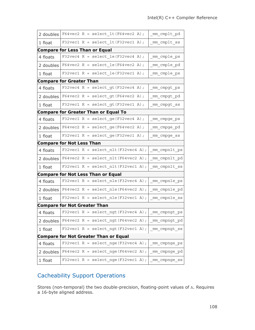|           | 2 doubles   $F64$ vec2 R = select_lt(F64vec2 A); | mm cmplt pd  |
|-----------|--------------------------------------------------|--------------|
| 1 float   | F32vec1 R = select $lt(F32vec1 A)$ ;             | mm_cmplt_ss  |
|           | <b>Compare for Less Than or Equal</b>            |              |
| 4 floats  | F32vec4 $R = select le(F32vec4 A);$              | mm cmple ps  |
| 2 doubles | F64vec2 $R = select_{le}(F64vec2 A);$            | mm cmple pd  |
| 1 float   | F32vec1 R = select le(F32vec1 A);                | mm cmple ps  |
|           | <b>Compare for Greater Than</b>                  |              |
| 4 floats  | F32vec4 $R = select gt(F32vec4 A);$              | mm cmpgt ps  |
| 2 doubles | $F64vec2$ R = select gt(F64vec2 A);              | _mm_cmpgt_pd |
| 1 float   | F32vec1 R = select gt (F32vec1 A) ;              | mm cmpgt ss  |
|           | <b>Compare for Greater Than or Equal To</b>      |              |
| 4 floats  | F32vec1 $R = select_{ge}(F32vec4 A);$            | mm_cmpge_ps  |
| 2 doubles | $F64vec2$ R = select ge(F64vec2 A);              | mm_cmpge_pd  |
| 1 float   | F32vec1 $R = select ge(F32vec1 A);$              | mm cmpge ss  |
|           | <b>Compare for Not Less Than</b>                 |              |
| 4 floats  | F32vec1 $R = select nlt(F32vec4 A);$             | mm cmpnlt ps |
| 2 doubles | F64vec2 $R = select nlt(F64vec2 A);$             | mm cmpnlt pd |
| 1 float   | F32vec1 $R = select nlt(F32vec1 A);$             | mm_cmpnlt_ss |
|           | Compare for Not Less Than or Equal               |              |
| 4 floats  | F32vec1 R = select nle(F32vec4 A);               | mm_cmpnle_ps |
| 2 doubles | F64vec2 $R =$ select nle(F64vec2 A);             | mm cmpnle pd |
| 1 float   | F32vec1 $R = select$ nle(F32vec1 A);             | mm cmpnle ss |
|           | <b>Compare for Not Greater Than</b>              |              |
| 4 floats  | F32vec1 R = select ngt (F32vec4 A) ;             | mm cmpngt ps |
| 2 doubles | F64vec2 $R = select ngt(F64vec2 A);$             | mm cmpngt pd |
| 1 float   | F32vec1 R = select ngt (F32vec1 A);              | mm cmpngt ss |
|           | <b>Compare for Not Greater Than or Equal</b>     |              |
| 4 floats  | F32vec1 $R = select nge(F32vec4 A);$             | mm cmpnge ps |
| 2 doubles | F64vec2 $R = select nge(F64vec2 A);$             | mm_cmpnge_pd |
| 1 float   | F32vec1 R = select nge(F32vec1 A);               | mm cmpnge ss |

# Cacheability Support Operations

Stores (non-temporal) the two double-precision, floating-point values of A. Requires a 16-byte aligned address.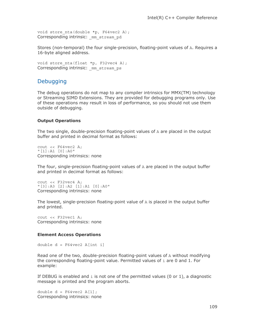void store nta(double \*p, F64vec2 A); Corresponding intrinsic: mm\_stream\_pd

Stores (non-temporal) the four single-precision, floating-point values of A. Requires a 16-byte aligned address.

void store nta(float \*p, F32vec4 A); Corresponding intrinsic: mm stream ps

## **Debugging**

The debug operations do not map to any compiler intrinsics for MMX(TM) technology or Streaming SIMD Extensions. They are provided for debugging programs only. Use of these operations may result in loss of performance, so you should not use them outside of debugging.

#### **Output Operations**

The two single, double-precision floating-point values of A are placed in the output buffer and printed in decimal format as follows:

cout << F64vec2 A; "[1]:A1 [0]:A0" Corresponding intrinsics: none

The four, single-precision floating-point values of A are placed in the output buffer and printed in decimal format as follows:

cout << F32vec4 A; "[3]:A3 [2]:A2 [1]:A1 [0]:A0" Corresponding intrinsics: none

The lowest, single-precision floating-point value of  $A$  is placed in the output buffer and printed.

cout << F32vec1 A; Corresponding intrinsics: none

#### **Element Access Operations**

double  $d = F64$ vec2 A[int i]

Read one of the two, double-precision floating-point values of A without modifying the corresponding floating-point value. Permitted values of  $\pm$  are 0 and 1. For example:

If DEBUG is enabled and  $\pm$  is not one of the permitted values (0 or 1), a diagnostic message is printed and the program aborts.

double  $d = F64$ vec2  $A[1]$ ; Corresponding intrinsics: none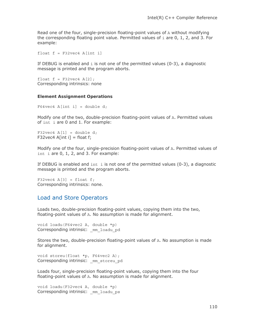Read one of the four, single-precision floating-point values of A without modifying the corresponding floating point value. Permitted values of  $i$  are 0, 1, 2, and 3. For example:

float  $f = F32 \text{vec4}$  A[int i]

If DEBUG is enabled and  $\pm$  is not one of the permitted values (0-3), a diagnostic message is printed and the program aborts.

float  $f = F32vec4 A[2];$ Corresponding intrinsics: none

#### **Element Assignment Operations**

 $F64vec4$  A[int i] = double d;

Modify one of the two, double-precision floating-point values of A. Permitted values of int i are 0 and 1. For example:

F32vec4 A[1] = double  $d_i$ F32vec4 A[int i] = float f;

Modify one of the four, single-precision floating-point values of A. Permitted values of int i are 0, 1, 2, and 3. For example:

If DEBUG is enabled and  $int$  is not one of the permitted values  $(0-3)$ , a diagnostic message is printed and the program aborts.

F32vec4 A[3] = float  $f$ ; Corresponding intrinsics: none.

### Load and Store Operators

Loads two, double-precision floating-point values, copying them into the two, floating-point values of A. No assumption is made for alignment.

void loadu(F64vec2 A, double \*p) Corresponding intrinsic: mm loadu pd

Stores the two, double-precision floating-point values of A. No assumption is made for alignment.

void storeu(float \*p, F64vec2 A); Corresponding intrinsic: mm\_storeu\_pd

Loads four, single-precision floating-point values, copying them into the four floating-point values of A. No assumption is made for alignment.

void loadu(F32vec4 A, double \*p) Corresponding intrinsic: mm loadu ps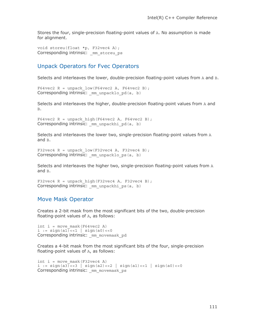Stores the four, single-precision floating-point values of A. No assumption is made for alignment.

void storeu(float \*p, F32vec4 A); Corresponding intrinsic: mm storeu ps

### Unpack Operators for Fvec Operators

Selects and interleaves the lower, double-precision floating-point values from A and B.

```
F64vec2 R = unpack low(F64vec2 A, F64vec2 B);
Corresponding intrinsic: mm unpacklo pd(a, b)
```
Selects and interleaves the higher, double-precision floating-point values from A and B.

```
F64vec2 R = unpack high(F64vec2 A, F64vec2 B);
Corresponding intrinsic: mm unpackhi pd(a, b)
```
Selects and interleaves the lower two, single-precision floating-point values from A and B.

```
F32vec4 R = unpack low(F32vec4 A, F32vec4 B);
Corresponding intrinsic: mm unpacklo ps(a, b)
```
Selects and interleaves the higher two, single-precision floating-point values from A and B.

```
F32vec4 R = unpack high(F32vec4 A, F32vec4 B);
Corresponding intrinsic: mm unpackhi ps(a, b)
```
### Move Mask Operator

Creates a 2-bit mask from the most significant bits of the two, double-precision floating-point values of A, as follows:

```
int i = move mask(F64vec2 A)
i := sign(a1) < 1 sign(a0) << 0
Corresponding intrinsic: mm movemask pd
```
Creates a 4-bit mask from the most significant bits of the four, single-precision floating-point values of A, as follows:

```
int i = move mask(F32vec4 A)
i := sign(a3) << 3 | sign(a2) << 2 | sign(a1) << 1 | sign(a0) << 0Corresponding intrinsic: mm movemask ps
```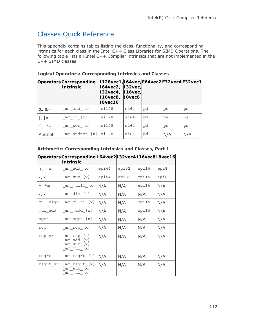# Classes Quick Reference

This appendix contains tables listing the class, functionality, and corresponding intrinsics for each class in the Intel C++ Class Libraries for SIMD Operations. The following table lists all Intel C++ Compiler intrinsics that are not implemented in the C++ SIMD classes.

|                       | OperatorsCorresponding<br><b>Intrinsic</b> | 128vec1, 164vec, F64vec2 F32vec4 F32vec1<br>$\vert$ 164 vec2, $\vert$ 132 vec,<br>132vec4, 116vec,<br>116vec8, 18vec8<br>$\vert$ I 8vec16 |      |    |     |     |
|-----------------------|--------------------------------------------|-------------------------------------------------------------------------------------------------------------------------------------------|------|----|-----|-----|
| $8, 8 =$              | $mm$ and $[x]$                             | si128                                                                                                                                     | si64 | pd | ps  | ps  |
| $ , =$                | $mm$ or $[x]$                              | si128                                                                                                                                     | si64 | pd | ps  | ps  |
| $\wedge$ . $\wedge$ = | mm xor [x]                                 | si128                                                                                                                                     | si64 | pd | ps  | ps  |
| Andnot                | mm andnot [x]                              | si128                                                                                                                                     | si64 | pd | N/A | N/A |

#### **Logical Operators: Corresponding Intrinsics and Classes**

#### **Arithmetic: Corresponding Intrinsics and Classes, Part 1**

|             | Operators Corresponding   64 vec2   32 vec4   16 vec8   8 vec 16<br><b>Intrinsic</b> |       |       |       |      |
|-------------|--------------------------------------------------------------------------------------|-------|-------|-------|------|
| $+, +=$     | mm_add_[x]                                                                           | epi64 | epi32 | epi16 | epi8 |
| $-$ , $ =$  | $\texttt{mm\_sub\_[x]}$                                                              | epi64 | epi32 | epi16 | epi8 |
| *, *=       | _mm_mullo_[x]                                                                        | N/A   | N/A   | epi16 | N/A  |
| $/$ , $/$ = | mm div [x]                                                                           | N/A   | N/A   | N/A   | N/A  |
| mul high    | mm mulhi [x]                                                                         | N/A   | N/A   | epi16 | N/A  |
| mul add     | mm madd [x]                                                                          | N/A   | N/A   | epi16 | N/A  |
| sqrt        | mm_sqrt_[x]                                                                          | N/A   | N/A   | N/A   | N/A  |
| rcp         | mm_rcp_[x]                                                                           | N/A   | N/A   | N/A   | N/A  |
| $rcp_nr$    | mm_rcp [x]<br>$mm$ add $[x]$<br>$mm$ sub $[x]$<br>$mm$ $mu1$ [x]                     | N/A   | N/A   | N/A   | N/A  |
| rsqrt       | $mm$ rsqrt $[x]$                                                                     | N/A   | N/A   | N/A   | N/A  |
| rsqrt nr    | $mm$ rsqrt $[x]$<br>$mm$ sub $[\overline{x}]$<br>mm mul [x]                          | N/A   | N/A   | N/A   | N/A  |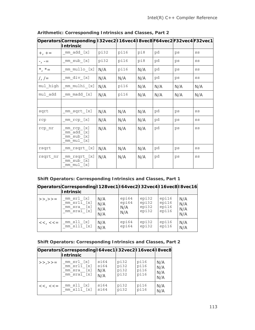|             | Operators Corresponding    32vec2   16vec4   8vec8 F64vec2 F32vec4 F32vec1 <br><b>Intrinsic</b> |      |      |     |     |     |     |
|-------------|-------------------------------------------------------------------------------------------------|------|------|-----|-----|-----|-----|
| $+, + =$    | _mm_add_[x]                                                                                     | pi32 | pi16 | pi8 | pd  | ps  | SS  |
| $-7 - 1 =$  | _mm_sub_[x]                                                                                     | pi32 | pi16 | pi8 | pd  | ps  | SS  |
| *, *=       | $mm_m$ ullo $[x]$                                                                               | N/A  | pi16 | N/A | pd  | ps  | SS  |
| $/$ , $/$ = | _mm_div_[x]                                                                                     | N/A  | N/A  | N/A | pd  | ps  | SS  |
| mul high    | mm mulhi [x]                                                                                    | N/A  | pi16 | N/A | N/A | N/A | N/A |
| mul add     | mm madd [x]                                                                                     | N/A  | pi16 | N/A | N/A | N/A | N/A |
|             |                                                                                                 |      |      |     |     |     |     |
| sqrt        | _mm_sqrt_[x]                                                                                    | N/A  | N/A  | N/A | pd  | ps  | SS  |
| rcp         | _mm_rcp_[x]                                                                                     | N/A  | N/A  | N/A | pd  | ps  | SS  |
| rcp nr      | $mm$ rcp $[x]$<br>$mm$ add $[x]$<br>$mm$ sub $[x]$<br>$mm$ $mul$ $[x]$                          | N/A  | N/A  | N/A | pd  | ps  | SS  |
| rsqrt       | _mm_rsqrt_[x]                                                                                   | N/A  | N/A  | N/A | pd  | ps  | SS  |
| rsqrt nr    | $mm$ rsqrt $[x]$<br>$\overline{mm}$ sub $[\overline{x}]$<br>$mm$ $mul$ $[x]$                    | N/A  | N/A  | N/A | pd  | ps  | SS  |

### **Arithmetic: Corresponding Intrinsics and Classes, Part 2**

**Shift Operators: Corresponding Intrinsics and Classes, Part 1** 

|               | Operators Corresponding   128 vec 1   64 vec 2   32 vec 4   16 vec 8   8 vec 16<br><b>Intrinsic</b>   |                          |                              |                                  |                                  |                          |
|---------------|-------------------------------------------------------------------------------------------------------|--------------------------|------------------------------|----------------------------------|----------------------------------|--------------------------|
| $>>$ , $>>$ = | $mm$ srl $[x]$<br>$mm$ srl $\overline{i}$ [x]<br>$\left[ \infty \right]$<br>mm sra<br>$mm$ srai $[x]$ | N/A<br>N/A<br>N/A<br>N/A | epi64<br>epi64<br>N/A<br>N/A | epi32<br>epi32<br>epi32<br>epi32 | epi16<br>epi16<br>epi16<br>epi16 | N/A<br>N/A<br>N/A<br>N/A |
| $<<, <<=$     | mm_sll_[x]<br>mm_slli [x]                                                                             | N/A<br>N/A               | epi64<br>epi64               | epi32<br>epi32                   | epi16<br>epi16                   | N/A<br>N/A               |

**Shift Operators: Corresponding Intrinsics and Classes, Part 2** 

|               | Operators Corresponding   64 vec 1   32 vec 2   16 vec 4   8 vec 8<br><b>Intrinsic</b>    |                            |                              |                              |                          |
|---------------|-------------------------------------------------------------------------------------------|----------------------------|------------------------------|------------------------------|--------------------------|
| $>>$ , $>>$ = | $mm$ srl $[x]$<br>$mm$ srli [x]<br>$\left[ \text{x} \right]$<br>mm sra<br>$mm$ srai $[x]$ | si64<br>si64<br>N/A<br>N/A | pi32<br>pi32<br>pi32<br>pi32 | pi16<br>pi16<br>pi16<br>pi16 | N/A<br>N/A<br>N/A<br>N/A |
| $<<, << =$    | $mm\_s11$ [x]<br>$mm$ sll $\overline{1}$ [x]                                              | si64<br>si64               | pi32<br>pi32                 | pi16<br>pi16                 | N/A<br>N/A               |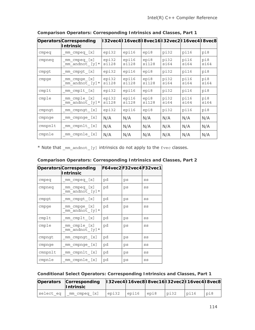|         | <b>Operators Corresponding</b><br><b>IIntrinsic</b> |                      |                      | 32vec4   16vec8   8vec16   32vec2   16vec4   8vec8 |              |              |             |
|---------|-----------------------------------------------------|----------------------|----------------------|----------------------------------------------------|--------------|--------------|-------------|
| cmpeq   | $\texttt{mm\_cmpeq\_[x]}$                           | epi32                | epi16                | epi8                                               | pi32         | pi16         | pi8         |
| cmpneq  | mm_cmpeq_[x]<br>mm andnot [y] *                     | epi32<br>si128       | epi16<br>si128       | epi8<br>si128                                      | pi32<br>si64 | pi16<br>si64 | pi8<br>si64 |
| cmpgt   | _mm_cmpgt_[x]                                       | epi32                | epi16                | epi8                                               | pi32         | pi16         | pi8         |
| cmpge   | _mm_cmpge_[x]<br>$mm$ andnot [y] $*$                | epi32<br>$s$ i $128$ | epi16<br>$s$ il28    | epi8<br>si128                                      | pi32<br>si64 | pi16<br>si64 | pi8<br>si64 |
| cmplt   | $mm$ cmplt $[x]$                                    | epi32                | epi16                | epi8                                               | pi32         | pi16         | pi8         |
| cmple   | mm cmple [x]<br>$mm$ and not [y] $*$                | epi32<br>$s$ i $128$ | epi16<br>$s$ i $128$ | epi8<br>si128                                      | pi32<br>si64 | pi16<br>si64 | pi8<br>si64 |
| cmpnqt  | mm_cmpngt_[x]                                       | epi32                | epi16                | epi8                                               | pi32         | pi16         | pi8         |
| cmpnge  | _mm_cmpnge_[x]                                      | N/A                  | N/A                  | N/A                                                | N/A          | N/A          | N/A         |
| cmnpnlt | $mm$ cmpnlt $[x]$                                   | N/A                  | N/A                  | N/A                                                | N/A          | N/A          | N/A         |
| cmpnle  | _mm_cmpnle_[x]                                      | N/A                  | N/A                  | N/A                                                | N/A          | N/A          | N/A         |

**Comparison Operators: Corresponding Intrinsics and Classes, Part 1** 

 $*$  Note that  $_{mm\_andnot\_[y]}$  intrinsics do not apply to the fvec classes.

|          | Operators Corresponding<br><b>IIntrinsic</b> | F64vec2F32vec4F32vec1 |    |    |
|----------|----------------------------------------------|-----------------------|----|----|
| cmpeq    | mm cmpeq [x]                                 | pd                    | ps | SS |
| cmpneq   | mm_cmpeq_[x]<br>mm and not [y] $*$           | pd                    | ps | SS |
| cmpgt    | mm cmpgt [x]                                 | pd                    | ps | SS |
| cmpge    | mm_cmpge_[x]<br>$mm$ and $n$ ot [y] *        | pd                    | ps | SS |
| $cm$ plt | mm cmplt [x]                                 | pd                    | ps | SS |
| cmple    | $mm$ cmple $[x]$<br>mm and not [y] $*$       | pd                    | ps | SS |
| cmpngt   | mm cmpngt [x]                                | pd                    | ps | SS |
| cmpnge   | mm_cmpnge_[x]                                | pd                    | ps | SS |
| cmnpnlt  | mm cmpnlt [x]                                | pd                    | ps | SS |
| cmpnle   | $mm$ cmpnle $[x]$                            | pd                    | ps | SS |

### **Comparison Operators: Corresponding Intrinsics and Classes, Part 2**

**Conditional Select Operators: Corresponding Intrinsics and Classes, Part 1** 

|           | Operators   Corresponding    32vec4   16vec8   8vec16   32vec2   16vec4   8vec8<br><b>Intrinsic</b> |       |       |      |      |      |     |
|-----------|-----------------------------------------------------------------------------------------------------|-------|-------|------|------|------|-----|
| select eq | mm cmpeg [x]                                                                                        | epi32 | epi16 | epi8 | pi32 | pi16 | pi8 |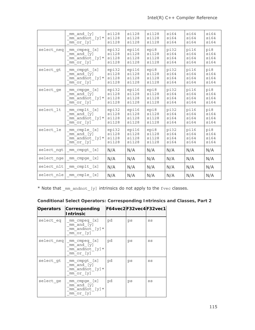|            | $mm$ and $[y]$     | si128 | si128 | si128  | si64 | si64 | si64 |
|------------|--------------------|-------|-------|--------|------|------|------|
|            | mm and not $[y]$ * | si128 | si128 | si128  | si64 | si64 | si64 |
|            | mm or [y]          | si128 | si128 | si128  | si64 | si64 | si64 |
| select neq | $mm$ cmpeq $[x]$   | epi32 | epi16 | epi8   | pi32 | pi16 | pi8  |
|            | mm and [y]         | si128 | si128 | si128  | si64 | si64 | si64 |
|            | mm andnot [y] *    | si128 | si128 | si128  | si64 | si64 | si64 |
|            | mm or [y]          | si128 | si128 | si128  | si64 | si64 | si64 |
| select gt  | mm cmpgt [x]       | epi32 | epi16 | epi8   | pi32 | pi16 | pi8  |
|            | mm and [y]         | si128 | si128 | si128  | si64 | si64 | si64 |
|            | $mm\_andnot_{y}$   | si128 | si128 | si128  | si64 | si64 | si64 |
|            | mm or [y]          | si128 | si128 | si128  | si64 | si64 | si64 |
| select ge  | $mm$ cmpqe $[x]$   | epi32 | epi16 | epi8   | pi32 | pi16 | pi8  |
|            | mm and [y]         | si128 | si128 | si128  | si64 | si64 | si64 |
|            | mm_andnot_[y]*     | si128 | si128 | si128  | si64 | si64 | si64 |
|            | mm or [y]          | si128 | si128 | si128  | si64 | si64 | si64 |
| select lt  | $mm$ cmplt $[x]$   | epi32 | epi16 | epi8   | pi32 | pi16 | pi8  |
|            | mm and [y]         | si128 | si128 | si128  | si64 | si64 | si64 |
|            | $mm\_andnot_{y}$   | si128 | si128 | si128  | si64 | si64 | si64 |
|            | mm or [y]          | si128 | si128 | si128  | si64 | si64 | si64 |
| select le  | $mm$ cmple $[x]$   | epi32 | epi16 | epi8   | pi32 | pi16 | pi8  |
|            | mm and [y]         | si128 | si128 | si128  | si64 | si64 | si64 |
|            | mm andnot [y] *    | si128 | si128 | sij128 | si64 | si64 | si64 |
|            | mm or [y]          | si128 | si128 | si128  | si64 | si64 | si64 |
| select ngt | mm cmpgt [x]       | N/A   | N/A   | N/A    | N/A  | N/A  | N/A  |
| select nge | $mm$ $cmpge$ $[x]$ | N/A   | N/A   | N/A    | N/A  | N/A  | N/A  |
| select nlt | mm cmplt [x]       | N/A   | N/A   | N/A    | N/A  | N/A  | N/A  |
| select nle | mm cmple [x]       | N/A   | N/A   | N/A    | N/A  | N/A  | N/A  |

 $*$  Note that  $\text{mm}$  andnot [y] intrinsics do not apply to the fvec classes.

| <b>Conditional Select Operators: Corresponding Intrinsics and Classes, Part 2</b> |  |  |
|-----------------------------------------------------------------------------------|--|--|
|                                                                                   |  |  |

|            | Operators Corresponding<br><b>Intrinsic</b>                            | F64vec2F32vec4F32vec1 |    |    |
|------------|------------------------------------------------------------------------|-----------------------|----|----|
| select eq  | $mm$ cmpeq $[x]$<br>mm and [y]<br>mm andnot [y] *<br>mm or [y]         | pd                    | ps | SS |
| select neq | $mm$ cmpeq $[x]$<br>$mm$ and $[y]$<br>$mm$ andnot [y] $*$<br>mm or [y] | pd                    | ps | SS |
| select qt  | mm cmpgt [x]<br>mm and [y]<br>mm and not [y] $*$<br>$mm$ or [y]        | pd                    | ps | SS |
| select qe  | mm_cmpge [x]<br>mm and [y]<br>mm and not $[y]$ *<br>mm or [y]          | pd                    | ps | SS |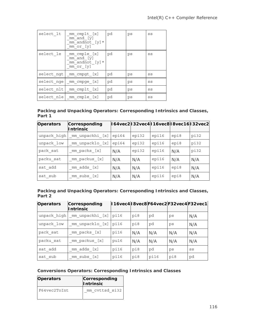| select lt  | $mm$ cmplt $[x]$<br>$mm$ and $[y]$<br>mm and not [y] $*$<br>mm or [y] | pd | ps | SS |
|------------|-----------------------------------------------------------------------|----|----|----|
| select le  | $mm$ cmple $[x]$<br>$mm$ and $[y]$<br>mm and not [y] $*$<br>mm or [y] | pd | ps | SS |
| select ngt | mm cmpqt [x]                                                          | pd | ps | SS |
| select nge | mm cmpqe [x]                                                          | pd | ps | SS |
| select nlt | mm cmplt [x]                                                          | pd | ps | SS |
|            | select nle   mm cmple [x]                                             | pd | ps | SS |

| Packing and Unpacking Operators: Corresponding Intrinsics and Classes, |  |
|------------------------------------------------------------------------|--|
| Part 1                                                                 |  |

| <b>Operators</b> | Corresponding<br><b>IIntrinsic</b> | 64 vec 2   32 vec 4   16 vec 8   8 vec 16   32 vec 2 |       |       |      |      |
|------------------|------------------------------------|------------------------------------------------------|-------|-------|------|------|
| unpack high      | mm unpackhi [x]                    | epi64                                                | epi32 | epi16 | epi8 | pi32 |
| unpack low       | mm unpacklo [x]                    | epi64                                                | epi32 | epi16 | epi8 | pi32 |
| pack sat         | mm packs [x]                       | N/A                                                  | epi32 | epi16 | N/A  | pi32 |
| packu sat        | mm_packus_[x]                      | N/A                                                  | N/A   | epi16 | N/A  | N/A  |
| sat add          | mm adds [x]                        | N/A                                                  | N/A   | epi16 | epi8 | N/A  |
| sat sub          | mm subs [x]                        | N/A                                                  | N/A   | epi16 | epi8 | N/A  |

**Packing and Unpacking Operators: Corresponding Intrinsics and Classes, Part 2** 

| <b>Operators</b> | Corresponding<br><b>Intrinsic</b> |      |     |      | I16vec4l8vec8F64vec2F32vec4F32vec1 |     |
|------------------|-----------------------------------|------|-----|------|------------------------------------|-----|
| unpack high      | mm unpackhi [x]                   | pi16 | pi8 | pd   | ps                                 | N/A |
| unpack low       | mm unpacklo [x]                   | pi16 | pi8 | pd   | ps                                 | N/A |
| pack sat         | mm packs [x]                      | pi16 | N/A | N/A  | N/A                                | N/A |
| packu sat        | mm packus [x]                     | pu16 | N/A | N/A  | N/A                                | N/A |
| sat add          | mm adds [x]                       | pi16 | pi8 | pd   | ps                                 | SS  |
| sat sub          | $mm\_subs$ $[x]$                  | pi16 | pi8 | pi16 | pi8                                | pd  |

**Conversions Operators: Corresponding Intrinsics and Classes** 

| <b>Operators</b> | Corresponding<br><b>Intrinsic</b> |  |  |  |
|------------------|-----------------------------------|--|--|--|
| F64yec2ToInt     | mm cvttsd si32                    |  |  |  |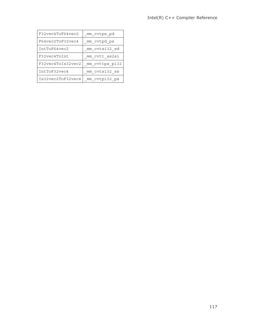| F32vec4ToF64vec2  | mm cvtps pd    |  |  |
|-------------------|----------------|--|--|
| F64vec2ToF32vec4  | mm cvtpd ps    |  |  |
| IntToF64vec2      | mm cvtsi32 sd  |  |  |
| F32vec4ToInt      | mm cvtt ss2si  |  |  |
| F32vec4ToIs32vec2 | mm cvttps pi32 |  |  |
| IntToF32vec4      | mm cvtsi32 ss  |  |  |
| Is32vec2ToF32vec4 | mm cvtpi32 ps  |  |  |